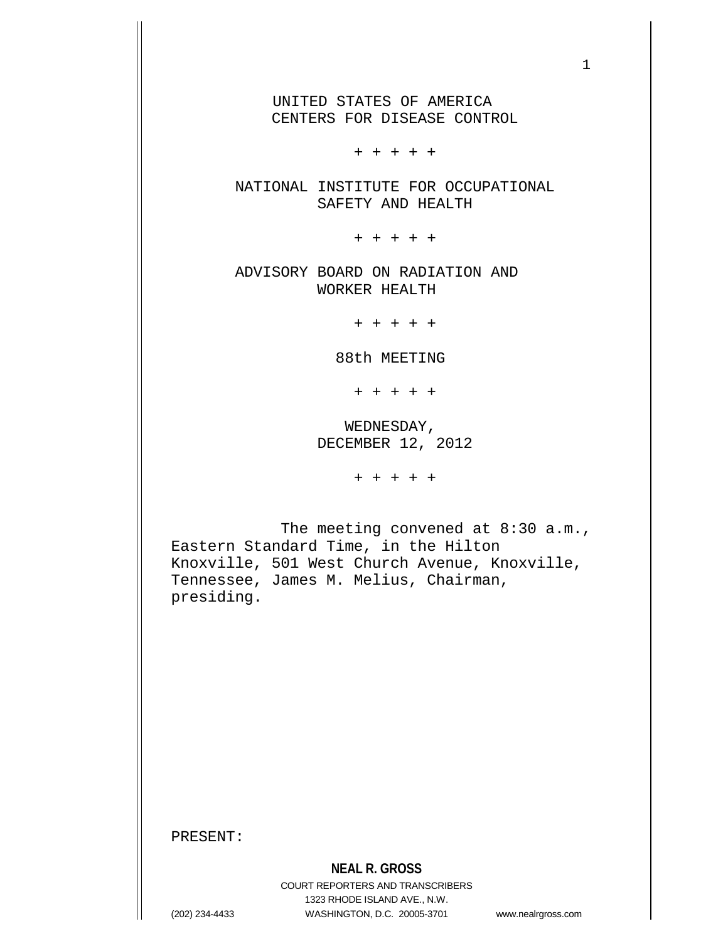UNITED STATES OF AMERICA CENTERS FOR DISEASE CONTROL

+ + + + +

 NATIONAL INSTITUTE FOR OCCUPATIONAL SAFETY AND HEALTH

+ + + + +

ADVISORY BOARD ON RADIATION AND WORKER HEALTH

+ + + + +

88th MEETING

+ + + + +

 WEDNESDAY, DECEMBER 12, 2012

+ + + + +

The meeting convened at 8:30 a.m., Eastern Standard Time, in the Hilton Knoxville, 501 West Church Avenue, Knoxville, Tennessee, James M. Melius, Chairman, presiding.

PRESENT: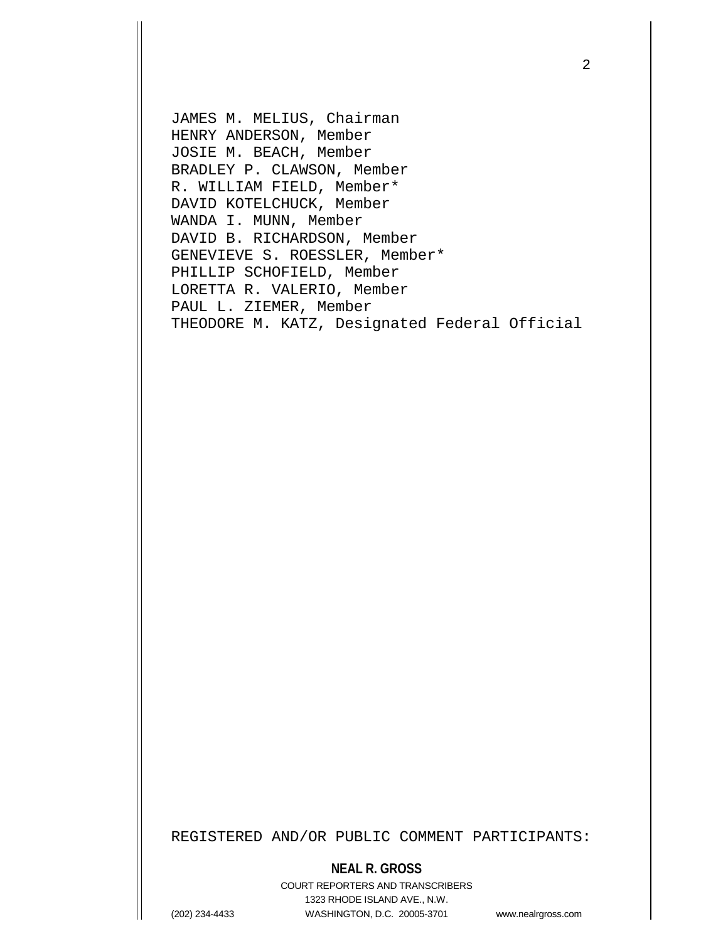JAMES M. MELIUS, Chairman HENRY ANDERSON, Member JOSIE M. BEACH, Member BRADLEY P. CLAWSON, Member R. WILLIAM FIELD, Member\* DAVID KOTELCHUCK, Member WANDA I. MUNN, Member DAVID B. RICHARDSON, Member GENEVIEVE S. ROESSLER, Member\* PHILLIP SCHOFIELD, Member LORETTA R. VALERIO, Member PAUL L. ZIEMER, Member THEODORE M. KATZ, Designated Federal Official

REGISTERED AND/OR PUBLIC COMMENT PARTICIPANTS:

#### **NEAL R. GROSS**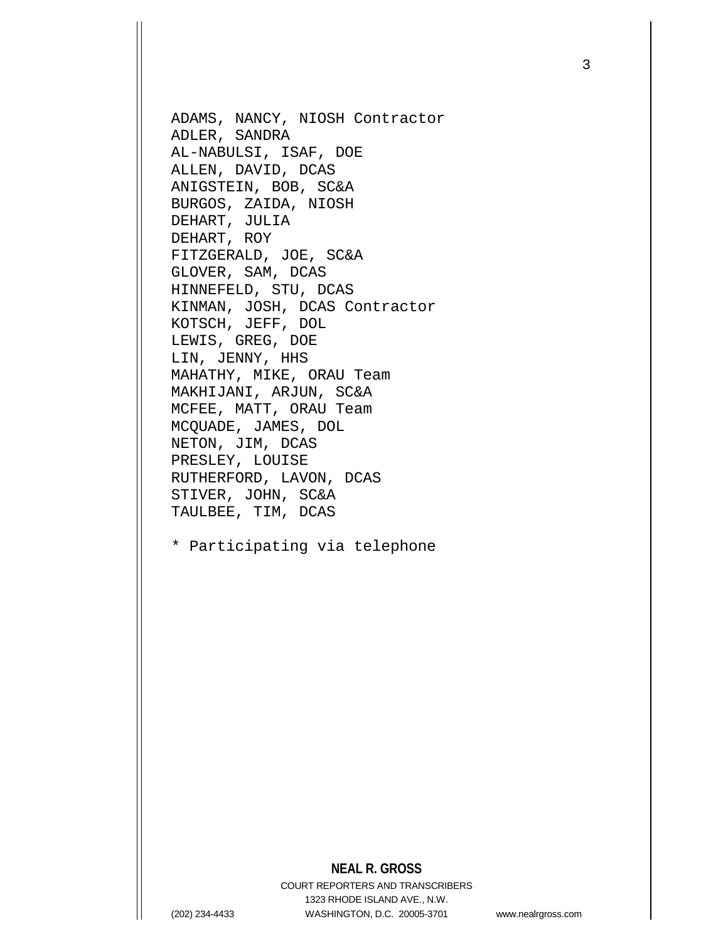ADAMS, NANCY, NIOSH Contractor ADLER, SANDRA AL-NABULSI, ISAF, DOE ALLEN, DAVID, DCAS ANIGSTEIN, BOB, SC&A BURGOS, ZAIDA, NIOSH DEHART, JULIA DEHART, ROY FITZGERALD, JOE, SC&A GLOVER, SAM, DCAS HINNEFELD, STU, DCAS KINMAN, JOSH, DCAS Contractor KOTSCH, JEFF, DOL LEWIS, GREG, DOE LIN, JENNY, HHS MAHATHY, MIKE, ORAU Team MAKHIJANI, ARJUN, SC&A MCFEE, MATT, ORAU Team MCQUADE, JAMES, DOL NETON, JIM, DCAS PRESLEY, LOUISE RUTHERFORD, LAVON, DCAS STIVER, JOHN, SC&A TAULBEE, TIM, DCAS

\* Participating via telephone

## **NEAL R. GROSS**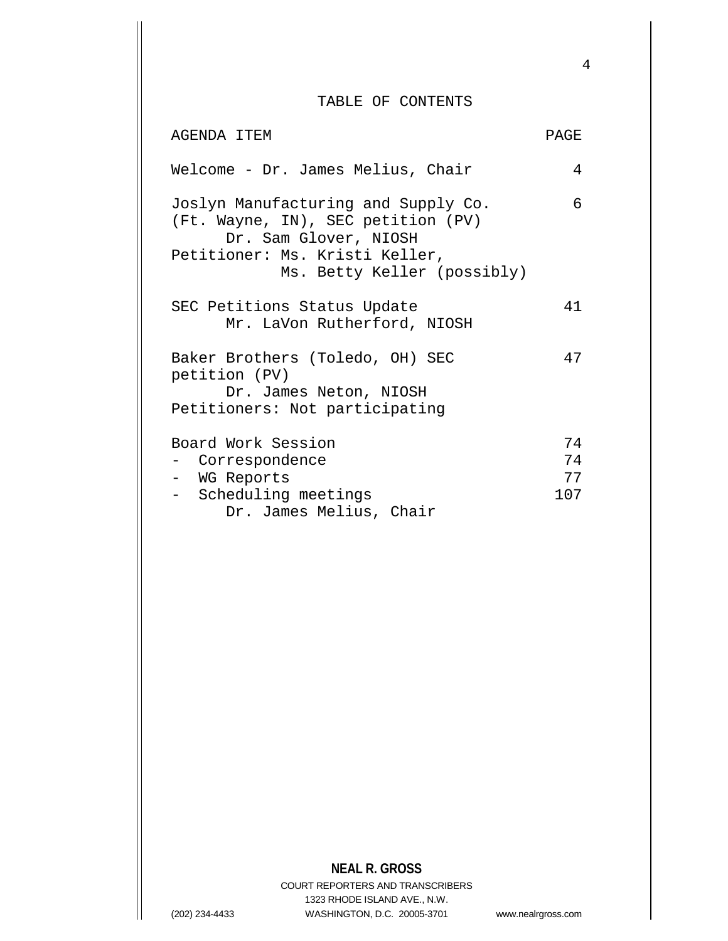### TABLE OF CONTENTS

| AGENDA ITEM                                                                                                                                                         | <b>PAGE</b> |
|---------------------------------------------------------------------------------------------------------------------------------------------------------------------|-------------|
| Welcome - Dr. James Melius, Chair                                                                                                                                   | 4           |
| Joslyn Manufacturing and Supply Co.<br>(Ft. Wayne, IN), SEC petition (PV)<br>Dr. Sam Glover, NIOSH<br>Petitioner: Ms. Kristi Keller,<br>Ms. Betty Keller (possibly) | 6           |
| SEC Petitions Status Update<br>Mr. LaVon Rutherford, NIOSH                                                                                                          | 41          |
| Baker Brothers (Toledo, OH) SEC<br>petition (PV)<br>Dr. James Neton, NIOSH<br>Petitioners: Not participating                                                        | 47          |
| Board Work Session                                                                                                                                                  | 74          |
| - Correspondence                                                                                                                                                    | 74          |
| - WG Reports                                                                                                                                                        | 77          |
| - Scheduling meetings                                                                                                                                               | 107         |
| Dr. James Melius, Chair                                                                                                                                             |             |

# **NEAL R. GROSS**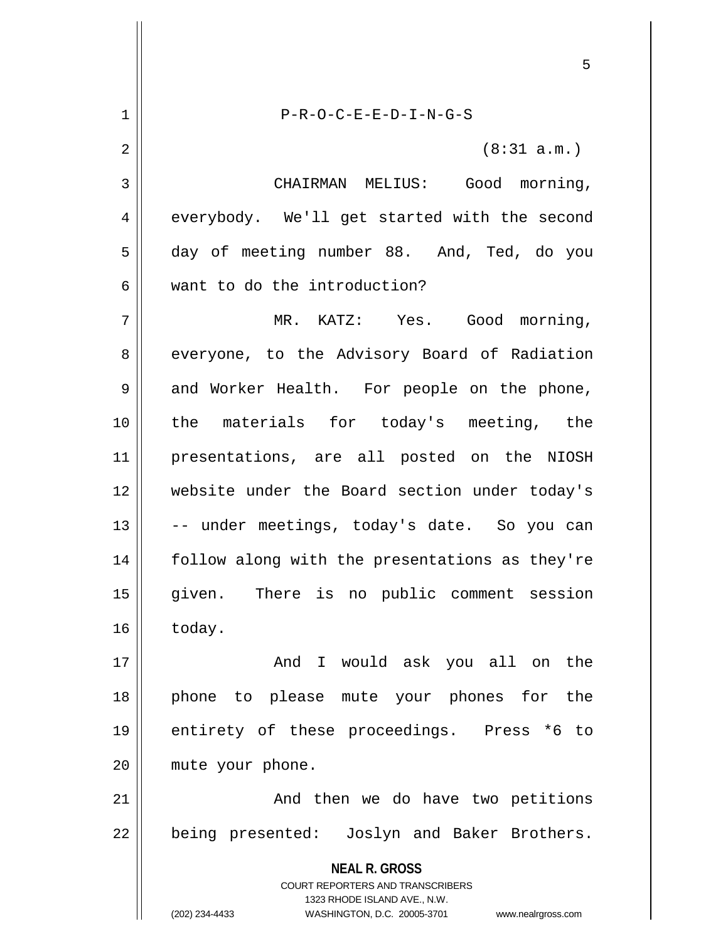**NEAL R. GROSS** COURT REPORTERS AND TRANSCRIBERS 1323 RHODE ISLAND AVE., N.W. (202) 234-4433 WASHINGTON, D.C. 20005-3701 www.nealrgross.com 1 P-R-O-C-E-E-D-I-N-G-S  $2 \parallel$  (8:31 a.m.) 3 | CHAIRMAN MELIUS: Good morning,  $4 \parallel$  everybody. We'll get started with the second 5 day of meeting number 88. And, Ted, do you 6 want to do the introduction? 7 MR. KATZ: Yes. Good morning, 8 everyone, to the Advisory Board of Radiation 9 || and Worker Health. For people on the phone, 10 the materials for today's meeting, the 11 presentations, are all posted on the NIOSH 12 website under the Board section under today's 13 || -- under meetings, today's date. So you can 14 || follow along with the presentations as they're 15 given. There is no public comment session  $16 \parallel$  today. 17 And I would ask you all on the 18 phone to please mute your phones for the 19 entirety of these proceedings. Press \*6 to 20 | mute your phone. 21 And then we do have two petitions 22 || being presented: Joslyn and Baker Brothers.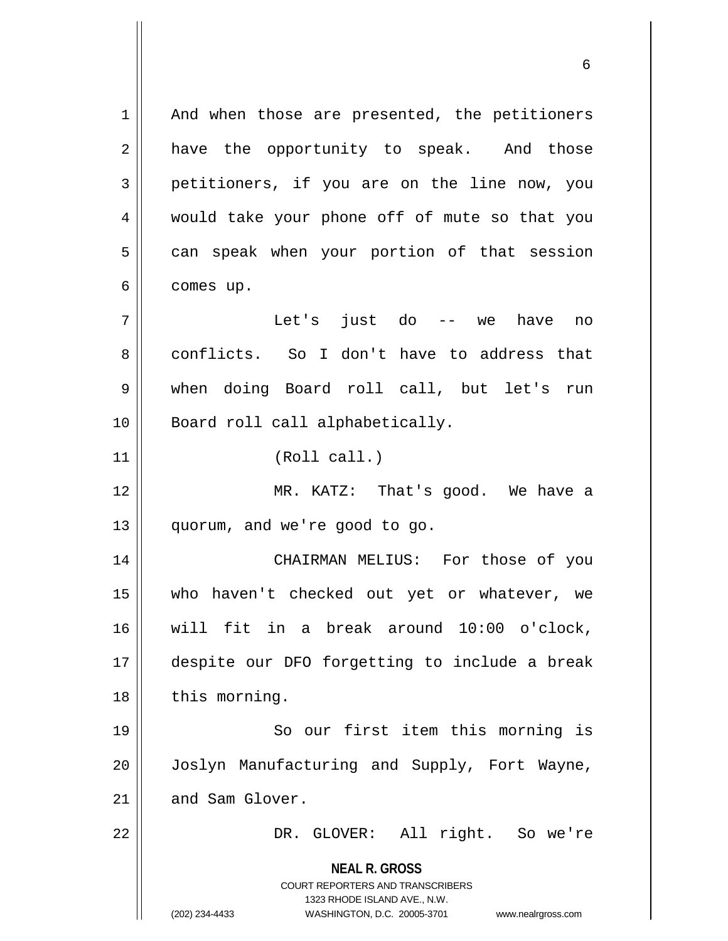**NEAL R. GROSS** COURT REPORTERS AND TRANSCRIBERS 1323 RHODE ISLAND AVE., N.W. (202) 234-4433 WASHINGTON, D.C. 20005-3701 www.nealrgross.com  $1 \parallel$  And when those are presented, the petitioners  $2 \parallel$  have the opportunity to speak. And those  $3 \parallel$  petitioners, if you are on the line now, you 4 would take your phone off of mute so that you 5 | can speak when your portion of that session  $6 \parallel$  comes up. 7 Let's just do -- we have no 8 conflicts. So I don't have to address that 9 when doing Board roll call, but let's run 10 || Board roll call alphabetically. 11 || (Roll call.) 12 MR. KATZ: That's good. We have a 13 || quorum, and we're good to go. 14 CHAIRMAN MELIUS: For those of you 15 who haven't checked out yet or whatever, we 16 will fit in a break around 10:00 o'clock, 17 despite our DFO forgetting to include a break 18 | this morning. 19 || So our first item this morning is 20 Joslyn Manufacturing and Supply, Fort Wayne,  $21$   $\parallel$  and Sam Glover. 22 DR. GLOVER: All right. So we're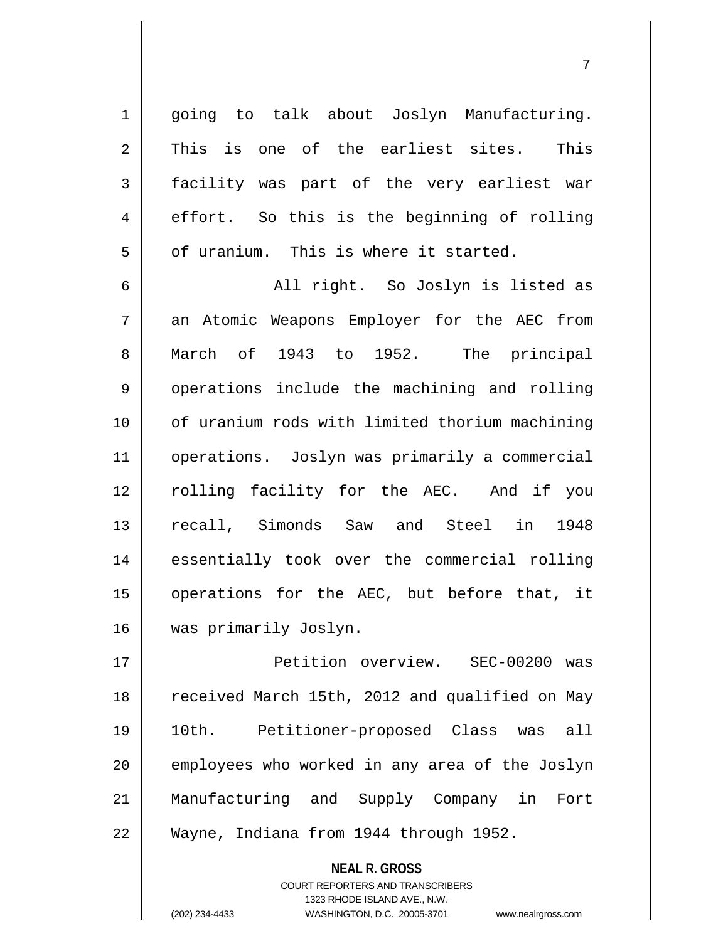1 || going to talk about Joslyn Manufacturing.  $2 \parallel$  This is one of the earliest sites. This 3 facility was part of the very earliest war 4 effort. So this is the beginning of rolling  $5$   $\parallel$  of uranium. This is where it started.

6 All right. So Joslyn is listed as 7 an Atomic Weapons Employer for the AEC from 8 March of 1943 to 1952. The principal 9 | operations include the machining and rolling 10 of uranium rods with limited thorium machining 11 operations. Joslyn was primarily a commercial 12 || rolling facility for the AEC. And if you 13 || recall, Simonds Saw and Steel in 1948 14 essentially took over the commercial rolling 15 operations for the AEC, but before that, it 16 | was primarily Joslyn.

 Petition overview. SEC-00200 was 18 || received March 15th, 2012 and qualified on May 10th. Petitioner-proposed Class was all || employees who worked in any area of the Joslyn Manufacturing and Supply Company in Fort Wayne, Indiana from 1944 through 1952.

> **NEAL R. GROSS** COURT REPORTERS AND TRANSCRIBERS 1323 RHODE ISLAND AVE., N.W. (202) 234-4433 WASHINGTON, D.C. 20005-3701 www.nealrgross.com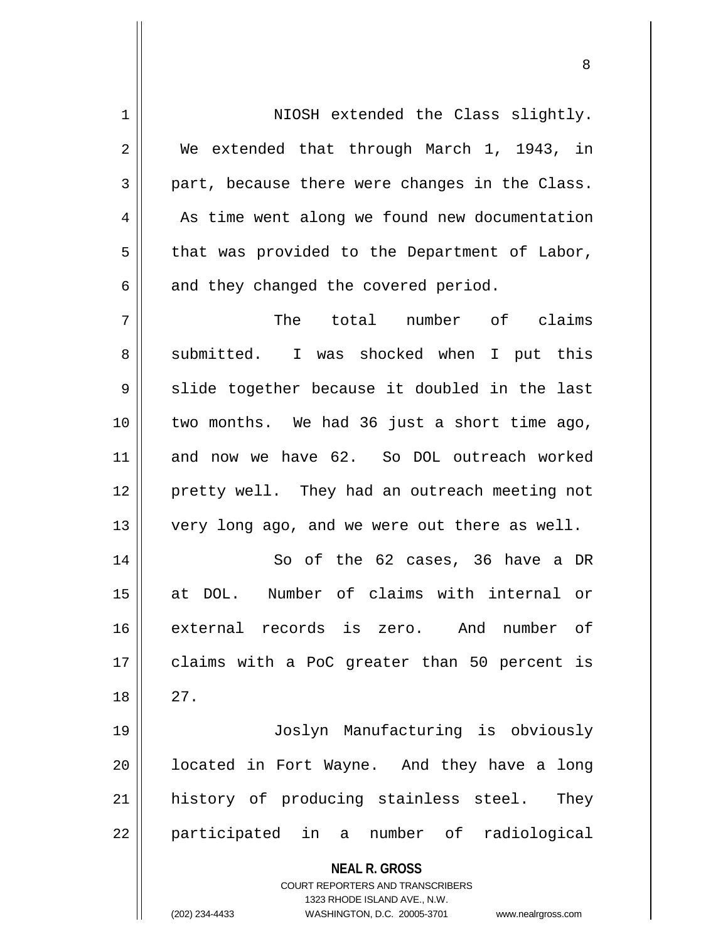**NEAL R. GROSS** COURT REPORTERS AND TRANSCRIBERS 1323 RHODE ISLAND AVE., N.W. (202) 234-4433 WASHINGTON, D.C. 20005-3701 www.nealrgross.com 1 NIOSH extended the Class slightly. 2 We extended that through March 1, 1943, in  $3 \parallel$  part, because there were changes in the Class. 4 | As time went along we found new documentation  $5 \parallel$  that was provided to the Department of Labor,  $6 \parallel$  and they changed the covered period. 7 The total number of claims 8 Submitted. I was shocked when I put this  $9 \parallel$  slide together because it doubled in the last 10 two months. We had 36 just a short time ago, 11 and now we have 62. So DOL outreach worked 12 || pretty well. They had an outreach meeting not 13 || very long ago, and we were out there as well. 14 || So of the 62 cases, 36 have a DR 15 at DOL. Number of claims with internal or 16 external records is zero. And number of 17 || claims with a PoC greater than 50 percent is  $18 \parallel 27$ . 19 Joslyn Manufacturing is obviously  $20$  || located in Fort Wayne. And they have a long 21 || history of producing stainless steel. They 22 || participated in a number of radiological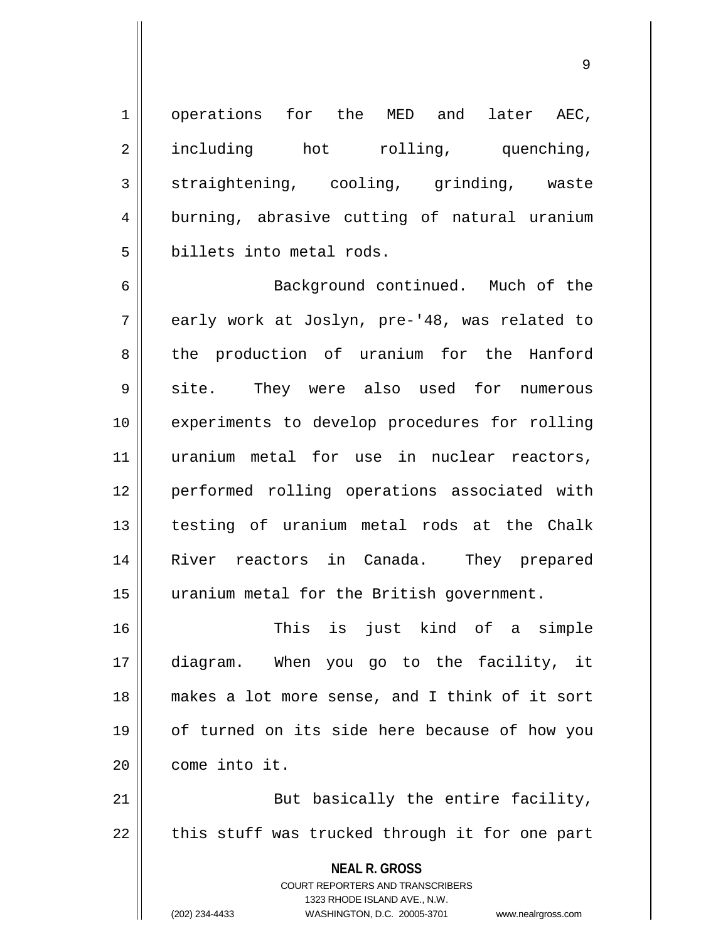1 || operations for the MED and later AEC, 2 including hot rolling, quenching,  $3 \parallel$  straightening, cooling, grinding, waste 4 burning, abrasive cutting of natural uranium 5 billets into metal rods.

6 || Background continued. Much of the 7 early work at Joslyn, pre-'48, was related to 8 || the production of uranium for the Hanford 9 || site. They were also used for numerous 10 || experiments to develop procedures for rolling 11 uranium metal for use in nuclear reactors, 12 performed rolling operations associated with 13 testing of uranium metal rods at the Chalk 14 River reactors in Canada. They prepared 15 | uranium metal for the British government.

 This is just kind of a simple diagram. When you go to the facility, it makes a lot more sense, and I think of it sort 19 || of turned on its side here because of how you come into it.

21 || But basically the entire facility,  $22$   $\parallel$  this stuff was trucked through it for one part

> **NEAL R. GROSS** COURT REPORTERS AND TRANSCRIBERS 1323 RHODE ISLAND AVE., N.W.

(202) 234-4433 WASHINGTON, D.C. 20005-3701 www.nealrgross.com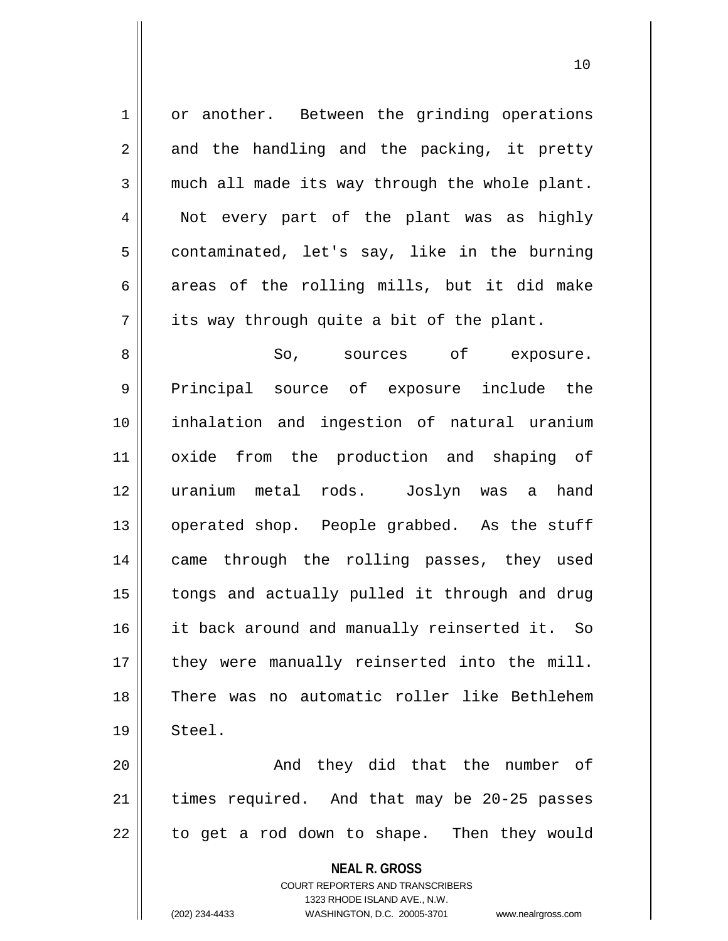1 | or another. Between the grinding operations  $2 \parallel$  and the handling and the packing, it pretty  $3 \parallel$  much all made its way through the whole plant. 4 || Not every part of the plant was as highly  $5 \parallel$  contaminated, let's say, like in the burning  $6$  || areas of the rolling mills, but it did make  $7 \parallel$  its way through quite a bit of the plant. 8 So, sources of exposure.

9 Principal source of exposure include the 10 inhalation and ingestion of natural uranium 11 oxide from the production and shaping of 12 uranium metal rods. Joslyn was a hand 13 || operated shop. People grabbed. As the stuff 14 || came through the rolling passes, they used 15 || tongs and actually pulled it through and drug 16 it back around and manually reinserted it. So 17 || they were manually reinserted into the mill. 18 There was no automatic roller like Bethlehem 19 Steel.

20 And they did that the number of  $21$  | times required. And that may be 20-25 passes 22 || to get a rod down to shape. Then they would

**NEAL R. GROSS**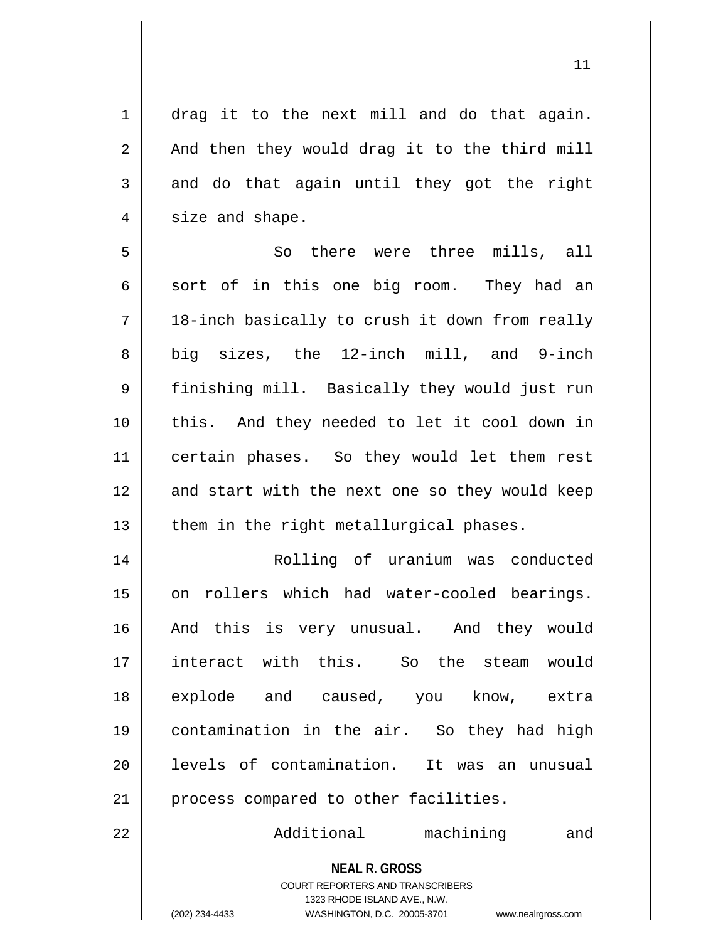1 || drag it to the next mill and do that again.  $2 \parallel$  And then they would drag it to the third mill  $3 \parallel$  and do that again until they got the right  $4 \parallel$  size and shape.

5 So there were three mills, all  $6 \parallel$  sort of in this one big room. They had an  $7 || 18$ -inch basically to crush it down from really 8 || big sizes, the 12-inch mill, and 9-inch 9 || finishing mill. Basically they would just run 10 || this. And they needed to let it cool down in 11 || certain phases. So they would let them rest 12 and start with the next one so they would keep  $13$  | them in the right metallurgical phases.

14 Rolling of uranium was conducted 15 || on rollers which had water-cooled bearings. 16 || And this is very unusual. And they would 17 interact with this. So the steam would 18 explode and caused, you know, extra 19 contamination in the air. So they had high 20 || levels of contamination. It was an unusual 21 | process compared to other facilities.

22 Additional machining and

**NEAL R. GROSS** COURT REPORTERS AND TRANSCRIBERS 1323 RHODE ISLAND AVE., N.W.

(202) 234-4433 WASHINGTON, D.C. 20005-3701 www.nealrgross.com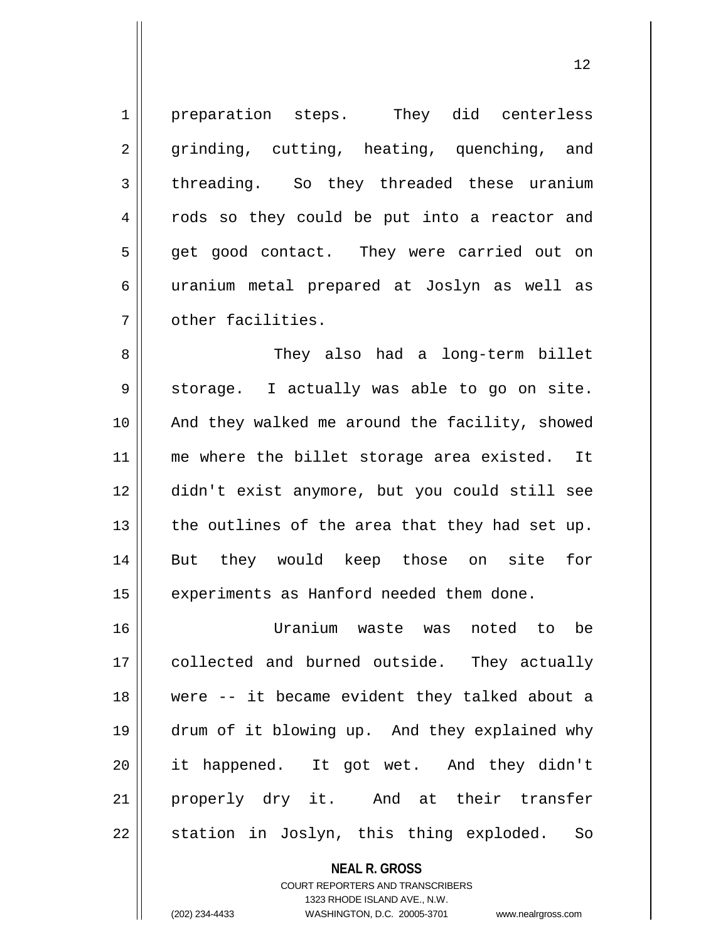1 | preparation steps. They did centerless 2 grinding, cutting, heating, quenching, and 3 threading. So they threaded these uranium 4 || rods so they could be put into a reactor and 5 || get good contact. They were carried out on 6 uranium metal prepared at Joslyn as well as 7 d other facilities.

 They also had a long-term billet 9 || storage. I actually was able to go on site. And they walked me around the facility, showed 11 || me where the billet storage area existed. It didn't exist anymore, but you could still see  $\parallel$  the outlines of the area that they had set up. But they would keep those on site for 15 | experiments as Hanford needed them done.

 Uranium waste was noted to be 17 || collected and burned outside. They actually were -- it became evident they talked about a drum of it blowing up. And they explained why it happened. It got wet. And they didn't 21 || properly dry it. And at their transfer || station in Joslyn, this thing exploded. So

> **NEAL R. GROSS** COURT REPORTERS AND TRANSCRIBERS 1323 RHODE ISLAND AVE., N.W. (202) 234-4433 WASHINGTON, D.C. 20005-3701 www.nealrgross.com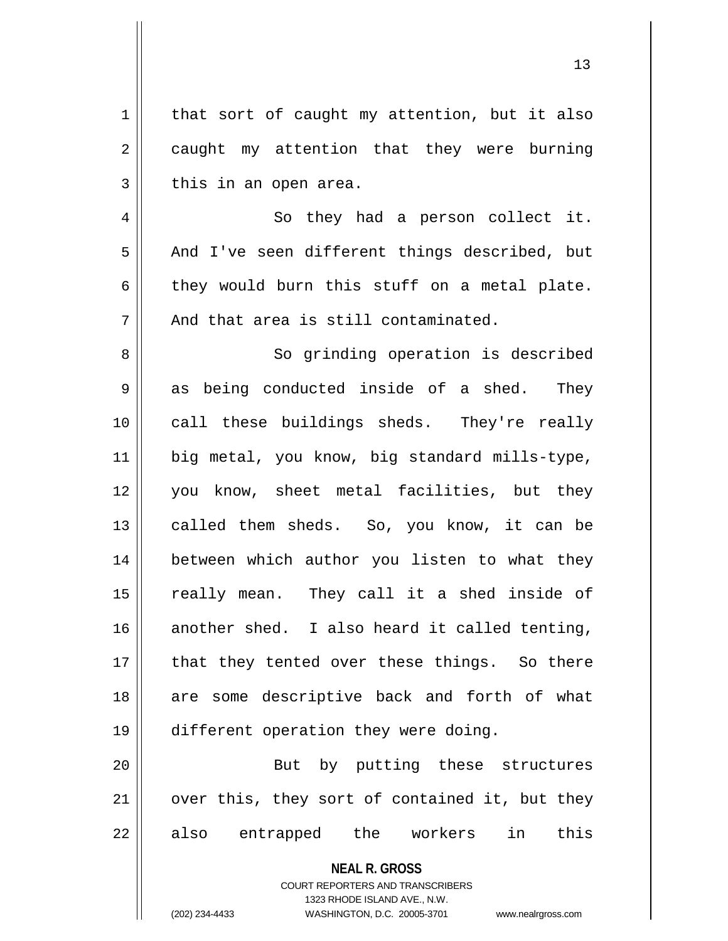| 1   that sort of caught my attention, but it also        |
|----------------------------------------------------------|
| $2 \parallel$ caught my attention that they were burning |
| $3 \parallel$ this in an open area.                      |

4 || So they had a person collect it. 5 || And I've seen different things described, but  $6 \parallel$  they would burn this stuff on a metal plate.  $7 \parallel$  And that area is still contaminated.

8 || So grinding operation is described  $9 \parallel$  as being conducted inside of a shed. They 10 || call these buildings sheds. They're really 11 | big metal, you know, big standard mills-type, 12 you know, sheet metal facilities, but they 13 || called them sheds. So, you know, it can be 14 || between which author you listen to what they 15 || really mean. They call it a shed inside of  $16$  another shed. I also heard it called tenting,  $17$  || that they tented over these things. So there 18 || are some descriptive back and forth of what 19 different operation they were doing.

20 || But by putting these structures  $21$  | over this, they sort of contained it, but they  $22 \parallel$  also entrapped the workers in this

### **NEAL R. GROSS**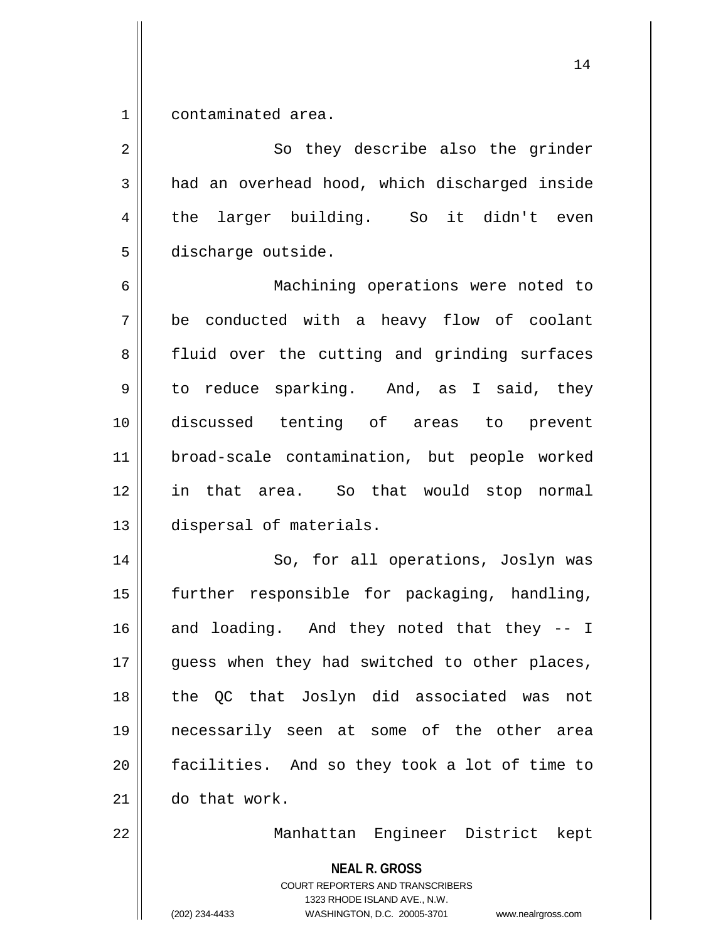1 contaminated area.

2 || So they describe also the grinder  $3 \parallel$  had an overhead hood, which discharged inside 4 the larger building. So it didn't even 5 discharge outside.

 Machining operations were noted to  $7 \parallel$  be conducted with a heavy flow of coolant 8 || fluid over the cutting and grinding surfaces  $9 \parallel$  to reduce sparking. And, as I said, they discussed tenting of areas to prevent broad-scale contamination, but people worked in that area. So that would stop normal dispersal of materials.

14 || So, for all operations, Joslyn was further responsible for packaging, handling, and loading. And they noted that they  $-1$ 17 || guess when they had switched to other places, the QC that Joslyn did associated was not necessarily seen at some of the other area facilities. And so they took a lot of time to do that work.

22 Manhattan Engineer District kept

**NEAL R. GROSS**

COURT REPORTERS AND TRANSCRIBERS 1323 RHODE ISLAND AVE., N.W. (202) 234-4433 WASHINGTON, D.C. 20005-3701 www.nealrgross.com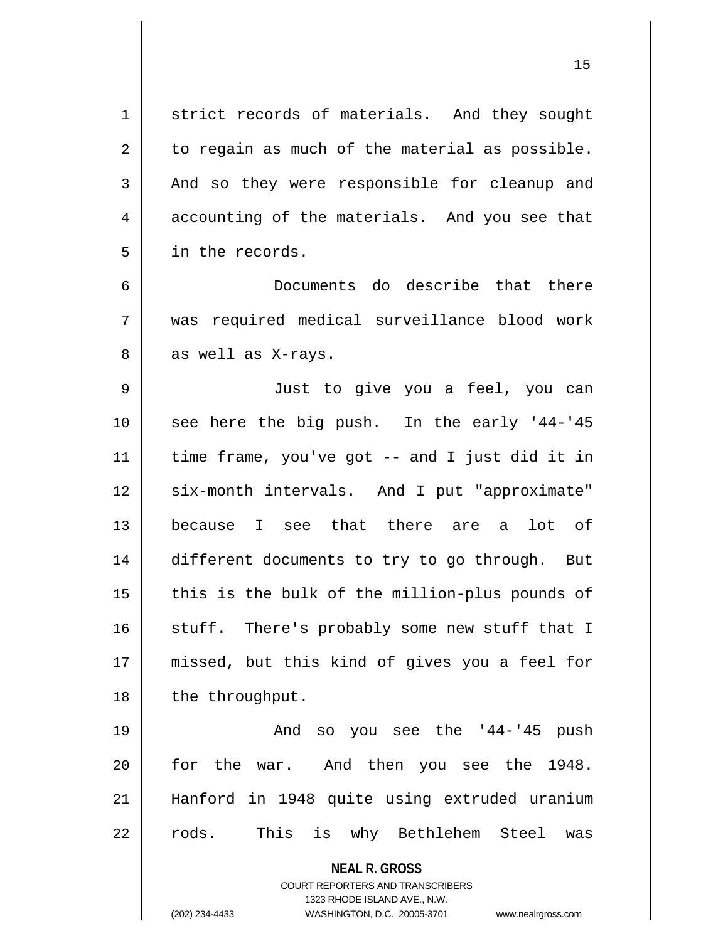**NEAL R. GROSS** COURT REPORTERS AND TRANSCRIBERS 1323 RHODE ISLAND AVE., N.W. (202) 234-4433 WASHINGTON, D.C. 20005-3701 www.nealrgross.com 1 strict records of materials. And they sought  $2 \parallel$  to regain as much of the material as possible.  $3 \parallel$  And so they were responsible for cleanup and  $4 \parallel$  accounting of the materials. And you see that 5 in the records. 6 Documents do describe that there 7 was required medical surveillance blood work  $8 \parallel$  as well as X-rays. 9 Just to give you a feel, you can 10 || see here the big push. In the early '44-'45 11 time frame, you've got -- and I just did it in 12 || six-month intervals. And I put "approximate" 13 because I see that there are a lot of 14 different documents to try to go through. But  $15$  || this is the bulk of the million-plus pounds of 16 || stuff. There's probably some new stuff that I 17 missed, but this kind of gives you a feel for 18 || the throughput. 19 And so you see the '44-'45 push 20 for the war. And then you see the 1948. 21 Hanford in 1948 quite using extruded uranium 22 || rods. This is why Bethlehem Steel was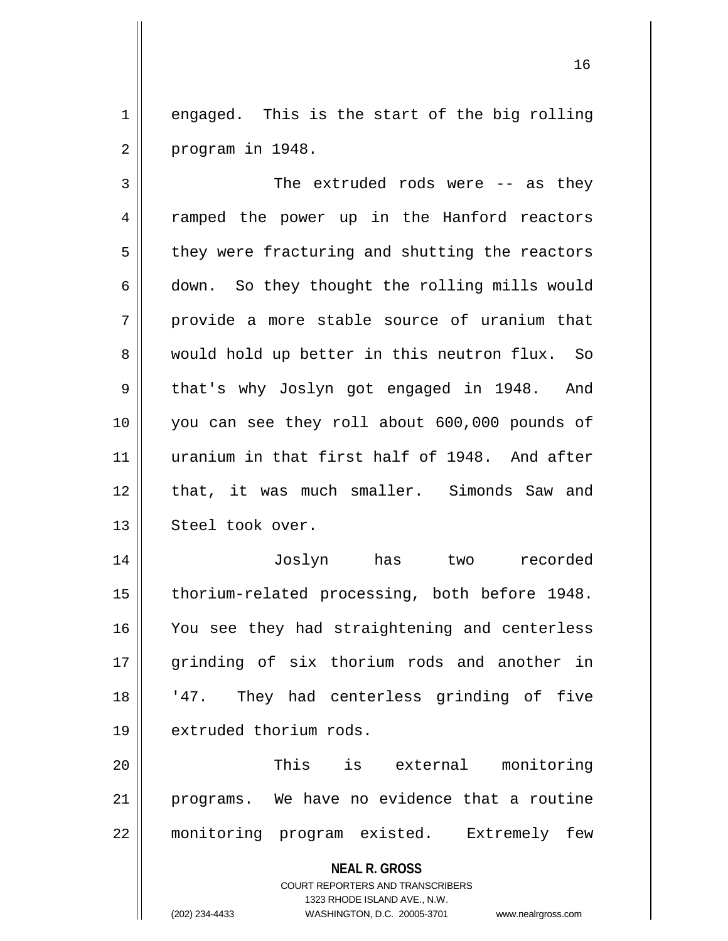$1 \parallel$  engaged. This is the start of the big rolling  $2 \parallel$  program in 1948.

3 || The extruded rods were -- as they 4 Tramped the power up in the Hanford reactors  $5$  | they were fracturing and shutting the reactors 6 down. So they thought the rolling mills would  $7 \parallel$  provide a more stable source of uranium that 8 would hold up better in this neutron flux. So 9 || that's why Joslyn got engaged in 1948. And 10 you can see they roll about 600,000 pounds of 11 uranium in that first half of 1948. And after 12 || that, it was much smaller. Simonds Saw and 13 || Steel took over. 14 Joslyn has two recorded

15 | thorium-related processing, both before 1948. 16 || You see they had straightening and centerless 17 || grinding of six thorium rods and another in 18 || '47. They had centerless grinding of five 19 | extruded thorium rods.

20 This is external monitoring 21 programs. We have no evidence that a routine 22 monitoring program existed. Extremely few

**NEAL R. GROSS**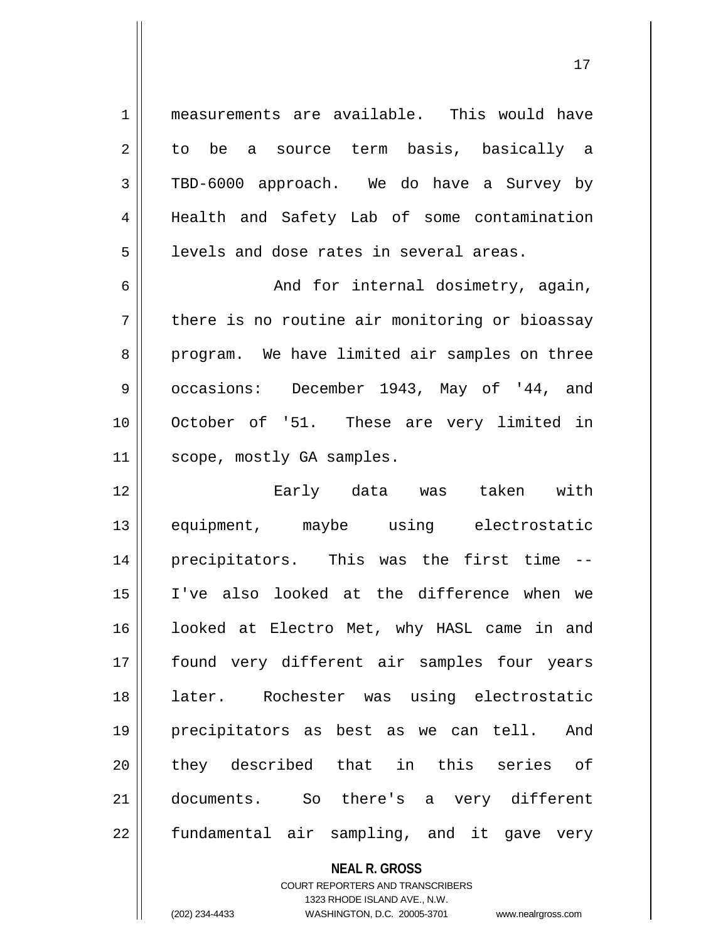1 measurements are available. This would have 2 to be a source term basis, basically a 3 TBD-6000 approach. We do have a Survey by 4 | Health and Safety Lab of some contamination  $5$  ||  $\,$  levels and dose rates in several areas.

6 And for internal dosimetry, again,  $7 \parallel$  there is no routine air monitoring or bioassay 8 program. We have limited air samples on three 9 || occasions: December 1943, May of '44, and 10 || October of '51. These are very limited in 11 | scope, mostly GA samples.

 Early data was taken with equipment, maybe using electrostatic precipitators. This was the first time -- I've also looked at the difference when we 16 || looked at Electro Met, why HASL came in and found very different air samples four years later. Rochester was using electrostatic precipitators as best as we can tell. And 20 || they described that in this series of documents. So there's a very different || fundamental air sampling, and it gave very

**NEAL R. GROSS**

COURT REPORTERS AND TRANSCRIBERS 1323 RHODE ISLAND AVE., N.W. (202) 234-4433 WASHINGTON, D.C. 20005-3701 www.nealrgross.com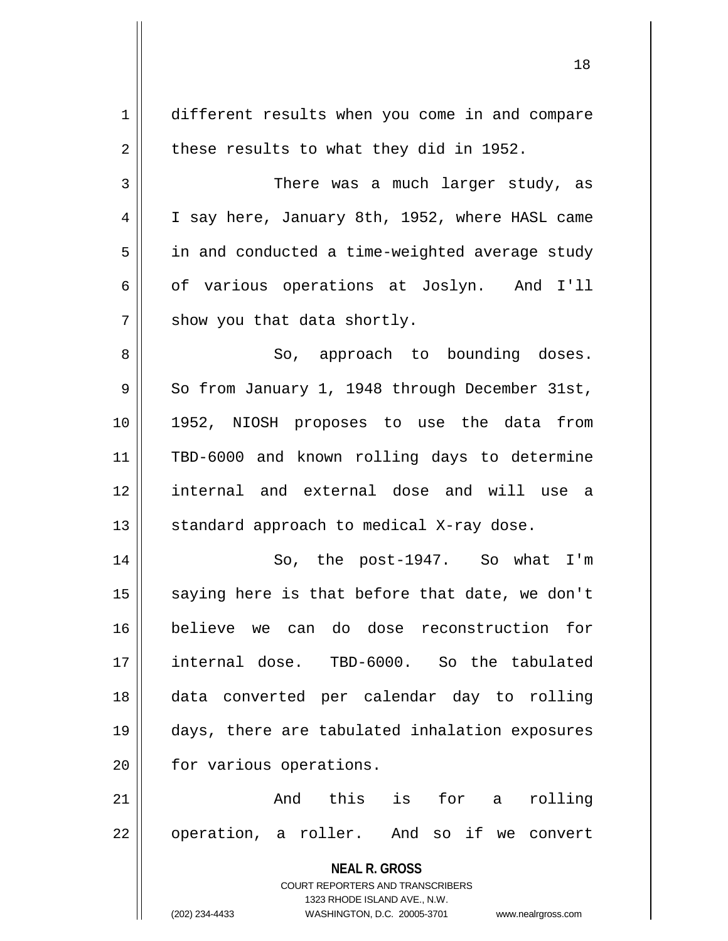**NEAL R. GROSS** COURT REPORTERS AND TRANSCRIBERS 1323 RHODE ISLAND AVE., N.W. (202) 234-4433 WASHINGTON, D.C. 20005-3701 www.nealrgross.com 1 different results when you come in and compare  $2 \parallel$  these results to what they did in 1952. 3 There was a much larger study, as 4 | I say here, January 8th, 1952, where HASL came 5 | in and conducted a time-weighted average study  $6 \parallel$  of various operations at Joslyn. And I'll  $7$  || show you that data shortly. 8 || So, approach to bounding doses.  $9 \parallel$  So from January 1, 1948 through December 31st, 10 1952, NIOSH proposes to use the data from 11 TBD-6000 and known rolling days to determine 12 internal and external dose and will use a 13  $\parallel$  standard approach to medical X-ray dose. 14 || So, the post-1947. So what I'm  $15$  saying here is that before that date, we don't 16 believe we can do dose reconstruction for 17 internal dose. TBD-6000. So the tabulated 18 data converted per calendar day to rolling 19 days, there are tabulated inhalation exposures 20 | for various operations. 21 And this is for a rolling 22 || operation, a roller. And so if we convert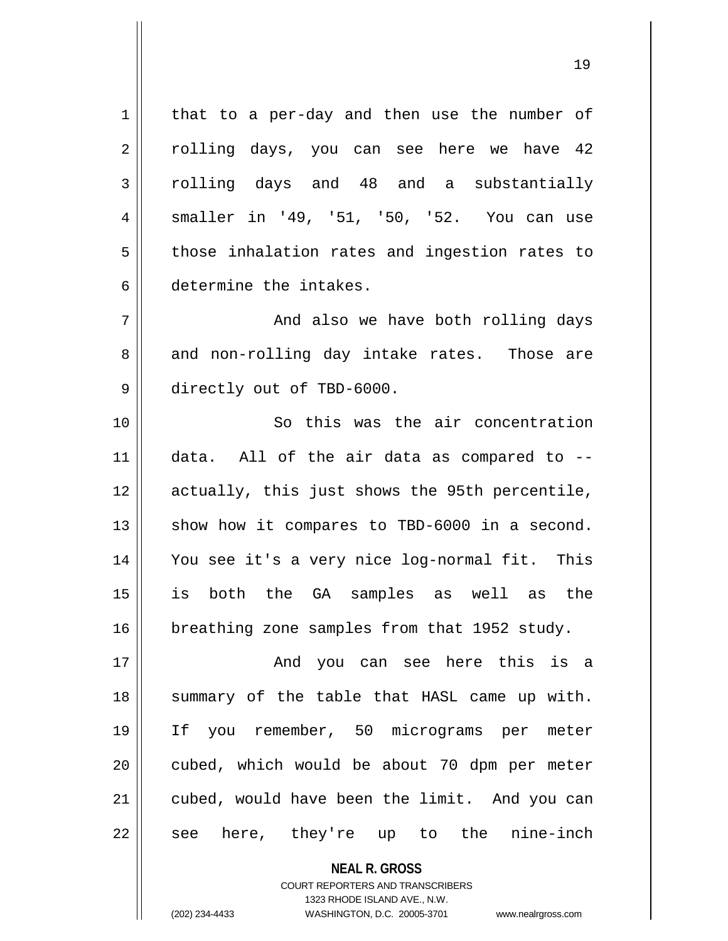**NEAL R. GROSS**  $1$  that to a per-day and then use the number of  $2 \parallel$  rolling days, you can see here we have 42 3 rolling days and 48 and a substantially 4 smaller in '49, '51, '50, '52. You can use  $5$  | those inhalation rates and ingestion rates to 6 determine the intakes. 7 And also we have both rolling days  $8 \parallel$  and non-rolling day intake rates. Those are 9 directly out of TBD-6000. 10 || So this was the air concentration  $11$  data. All of the air data as compared to  $-$ 12 actually, this just shows the 95th percentile,  $13$  show how it compares to TBD-6000 in a second. 14 You see it's a very nice log-normal fit. This 15 is both the GA samples as well as the 16 | breathing zone samples from that 1952 study. 17 And you can see here this is a 18 || summary of the table that HASL came up with. 19 If you remember, 50 micrograms per meter 20 || cubed, which would be about 70 dpm per meter 21 || cubed, would have been the limit. And you can  $22$  || see here, they're up to the nine-inch

> COURT REPORTERS AND TRANSCRIBERS 1323 RHODE ISLAND AVE., N.W.

(202) 234-4433 WASHINGTON, D.C. 20005-3701 www.nealrgross.com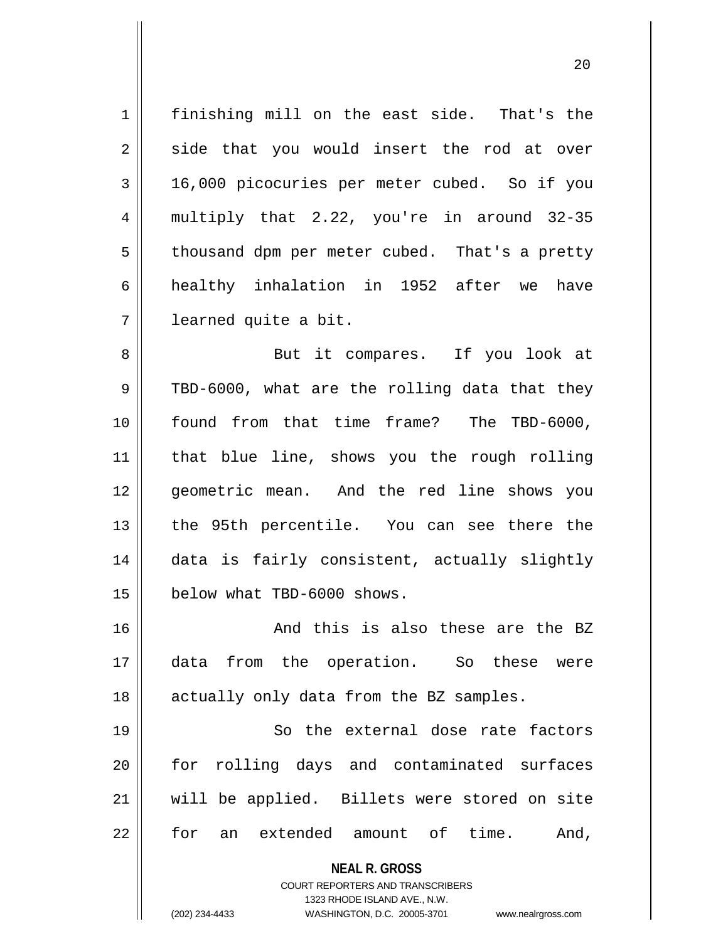1 | finishing mill on the east side. That's the  $2 \parallel$  side that you would insert the rod at over 3 16,000 picocuries per meter cubed. So if you 4 multiply that 2.22, you're in around 32-35  $5 \parallel$  thousand dpm per meter cubed. That's a pretty 6 || healthy inhalation in 1952 after we have 7 learned quite a bit.

8 || But it compares. If you look at  $9 \parallel$  TBD-6000, what are the rolling data that they 10 || found from that time frame? The TBD-6000, 11 that blue line, shows you the rough rolling 12 geometric mean. And the red line shows you 13 the 95th percentile. You can see there the 14 data is fairly consistent, actually slightly 15 | below what TBD-6000 shows.

16 || And this is also these are the BZ 17 data from the operation. So these were 18 || actually only data from the BZ samples.

19 || So the external dose rate factors 20 for rolling days and contaminated surfaces 21 will be applied. Billets were stored on site 22 || for an extended amount of time. And,

> **NEAL R. GROSS** COURT REPORTERS AND TRANSCRIBERS

> > 1323 RHODE ISLAND AVE., N.W.

(202) 234-4433 WASHINGTON, D.C. 20005-3701 www.nealrgross.com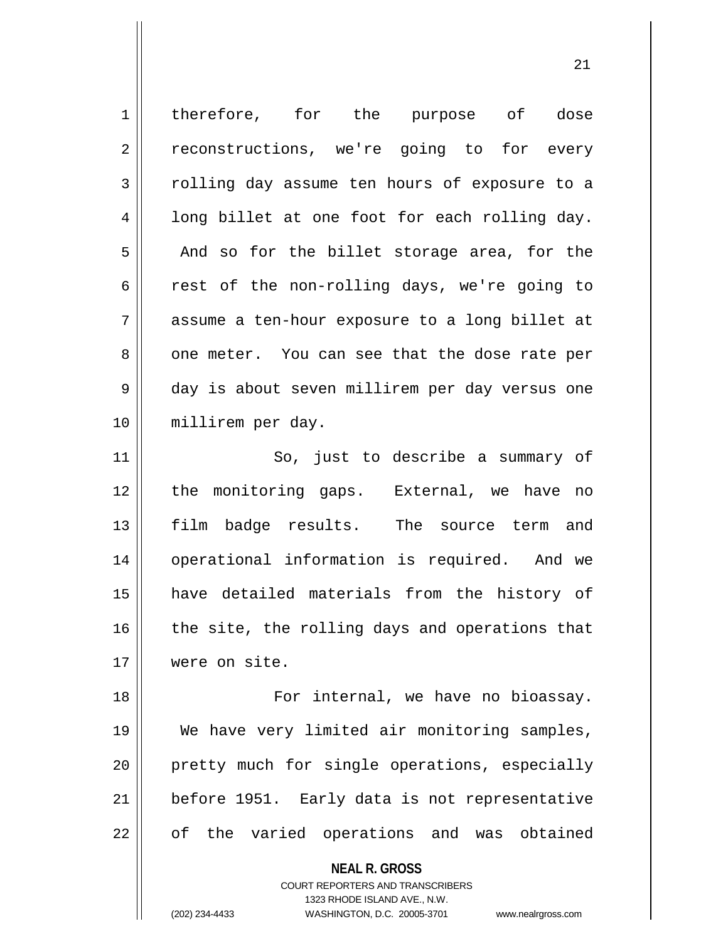| $\mathbf 1$ | therefore, for the purpose of dose             |
|-------------|------------------------------------------------|
| 2           | reconstructions, we're going to for every      |
| 3           | rolling day assume ten hours of exposure to a  |
| 4           | long billet at one foot for each rolling day.  |
| 5           | And so for the billet storage area, for the    |
| 6           | rest of the non-rolling days, we're going to   |
| 7           | assume a ten-hour exposure to a long billet at |
| 8           | one meter. You can see that the dose rate per  |
| 9           | day is about seven millirem per day versus one |
| 10          | millirem per day.                              |
| 11          | So, just to describe a summary of              |
| 12          | the monitoring gaps. External, we have no      |
| 13          | film badge results. The source term and        |
| 14          | operational information is required. And we    |
| 15          | have detailed materials from the history of    |
| 16          | the site, the rolling days and operations that |
| 17          | were on site.                                  |
| 18          | For internal, we have no bioassay.             |
| 19          | We have very limited air monitoring samples,   |
| 20          | pretty much for single operations, especially  |
| 21          | before 1951. Early data is not representative  |
| 22          | of the varied operations and was obtained      |
|             | <b>NEAL R. GROSS</b>                           |

COURT REPORTERS AND TRANSCRIBERS 1323 RHODE ISLAND AVE., N.W.

 $\mathsf{II}$ 

(202) 234-4433 WASHINGTON, D.C. 20005-3701 www.nealrgross.com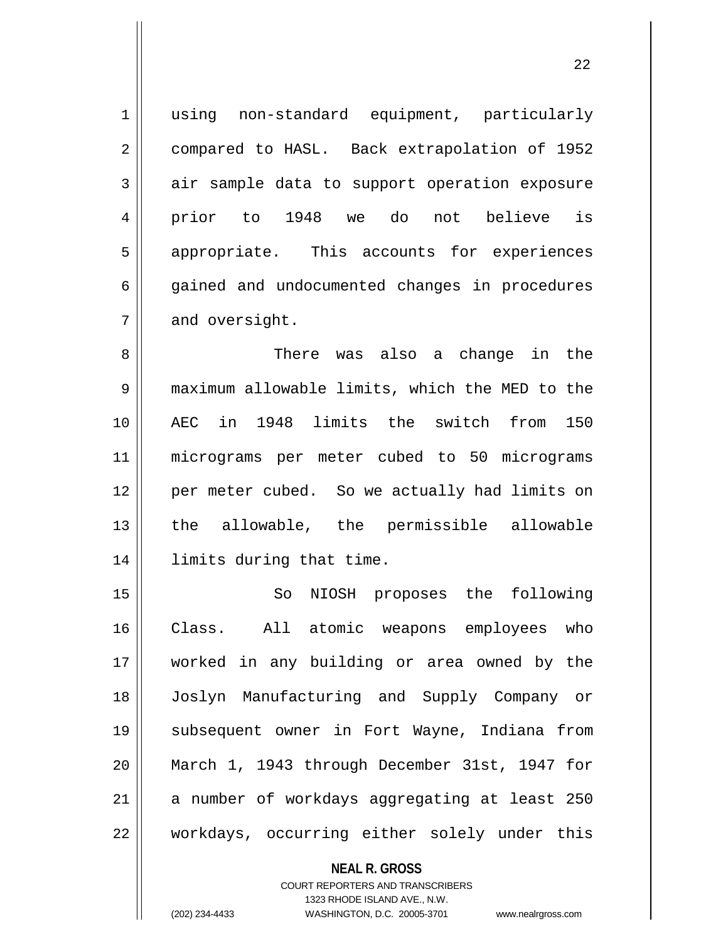1 || using non-standard equipment, particularly 2 | compared to HASL. Back extrapolation of 1952 3 air sample data to support operation exposure 4 prior to 1948 we do not believe is 5 || appropriate. This accounts for experiences 6 || gained and undocumented changes in procedures  $7 \parallel$  and oversight.

 There was also a change in the maximum allowable limits, which the MED to the AEC in 1948 limits the switch from 150 micrograms per meter cubed to 50 micrograms per meter cubed. So we actually had limits on the allowable, the permissible allowable limits during that time.

15 || So NIOSH proposes the following Class. All atomic weapons employees who worked in any building or area owned by the Joslyn Manufacturing and Supply Company or subsequent owner in Fort Wayne, Indiana from March 1, 1943 through December 31st, 1947 for a number of workdays aggregating at least 250 22 || workdays, occurring either solely under this

> **NEAL R. GROSS** COURT REPORTERS AND TRANSCRIBERS 1323 RHODE ISLAND AVE., N.W.

(202) 234-4433 WASHINGTON, D.C. 20005-3701 www.nealrgross.com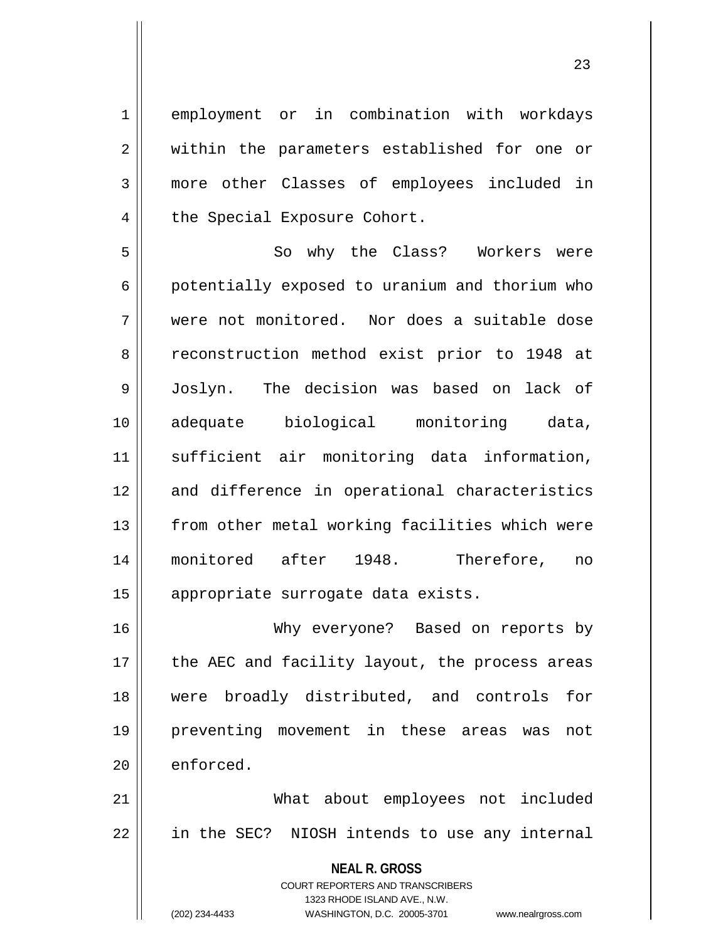1 employment or in combination with workdays 2 || within the parameters established for one or 3 more other Classes of employees included in 4 | the Special Exposure Cohort.

5 So why the Class? Workers were 6 | potentially exposed to uranium and thorium who 7 were not monitored. Nor does a suitable dose 8 || reconstruction method exist prior to 1948 at 9 Joslyn. The decision was based on lack of 10 adequate biological monitoring data, 11 sufficient air monitoring data information, 12 and difference in operational characteristics 13 || from other metal working facilities which were 14 monitored after 1948. Therefore, no 15 || appropriate surrogate data exists.

 Why everyone? Based on reports by || the AEC and facility layout, the process areas were broadly distributed, and controls for preventing movement in these areas was not  $\parallel$  enforced.

21 What about employees not included 22 || in the SEC? NIOSH intends to use any internal

> **NEAL R. GROSS** COURT REPORTERS AND TRANSCRIBERS 1323 RHODE ISLAND AVE., N.W. (202) 234-4433 WASHINGTON, D.C. 20005-3701 www.nealrgross.com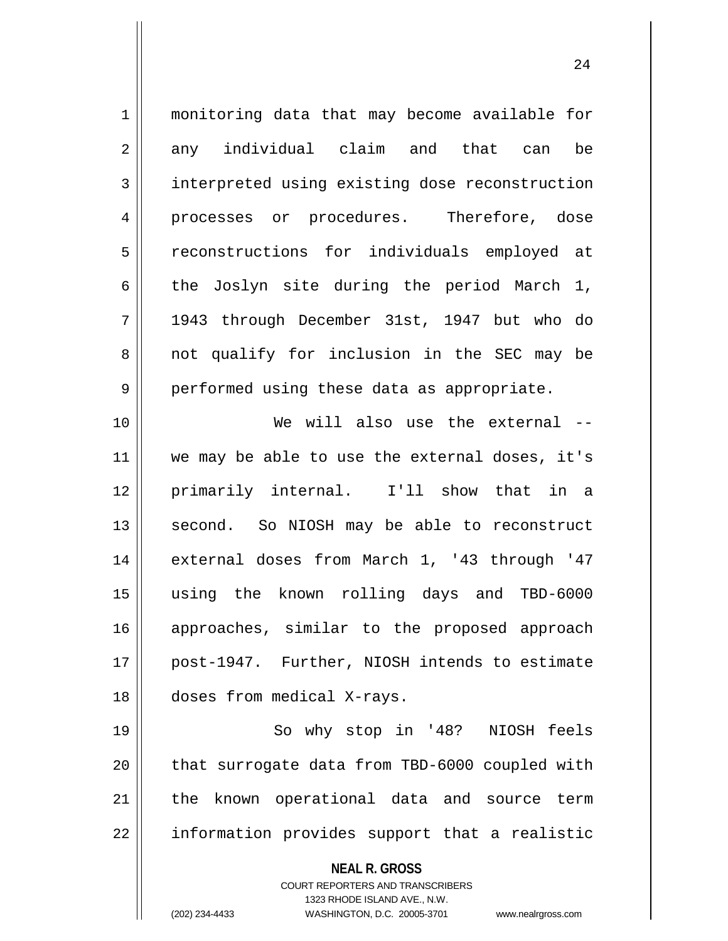| $\mathbf 1$    | monitoring data that may become available for                                                                                                                   |
|----------------|-----------------------------------------------------------------------------------------------------------------------------------------------------------------|
| $\overline{2}$ | any individual claim and that can<br>be                                                                                                                         |
| 3              | interpreted using existing dose reconstruction                                                                                                                  |
| 4              | processes or procedures. Therefore, dose                                                                                                                        |
| 5              | reconstructions for individuals employed at                                                                                                                     |
| 6              | the Joslyn site during the period March 1,                                                                                                                      |
| 7              | 1943 through December 31st, 1947 but who do                                                                                                                     |
| 8              | not qualify for inclusion in the SEC may be                                                                                                                     |
| 9              | performed using these data as appropriate.                                                                                                                      |
| 10             | We will also use the external --                                                                                                                                |
| 11             | we may be able to use the external doses, it's                                                                                                                  |
| 12             | primarily internal. I'll show that in a                                                                                                                         |
| 13             | second. So NIOSH may be able to reconstruct                                                                                                                     |
| 14             | external doses from March 1, '43 through '47                                                                                                                    |
| 15             | using the known rolling days and TBD-6000                                                                                                                       |
| 16             | approaches, similar to the proposed approach                                                                                                                    |
| 17             | post-1947. Further, NIOSH intends to estimate                                                                                                                   |
| 18             | doses from medical X-rays.                                                                                                                                      |
| 19             | So why stop in '48? NIOSH feels                                                                                                                                 |
| 20             | that surrogate data from TBD-6000 coupled with                                                                                                                  |
| 21             | the known operational data and source term                                                                                                                      |
| 22             | information provides support that a realistic                                                                                                                   |
|                | <b>NEAL R. GROSS</b><br>COURT REPORTERS AND TRANSCRIBERS<br>1323 RHODE ISLAND AVE., N.W.<br>(202) 234-4433<br>WASHINGTON, D.C. 20005-3701<br>www.nealrgross.com |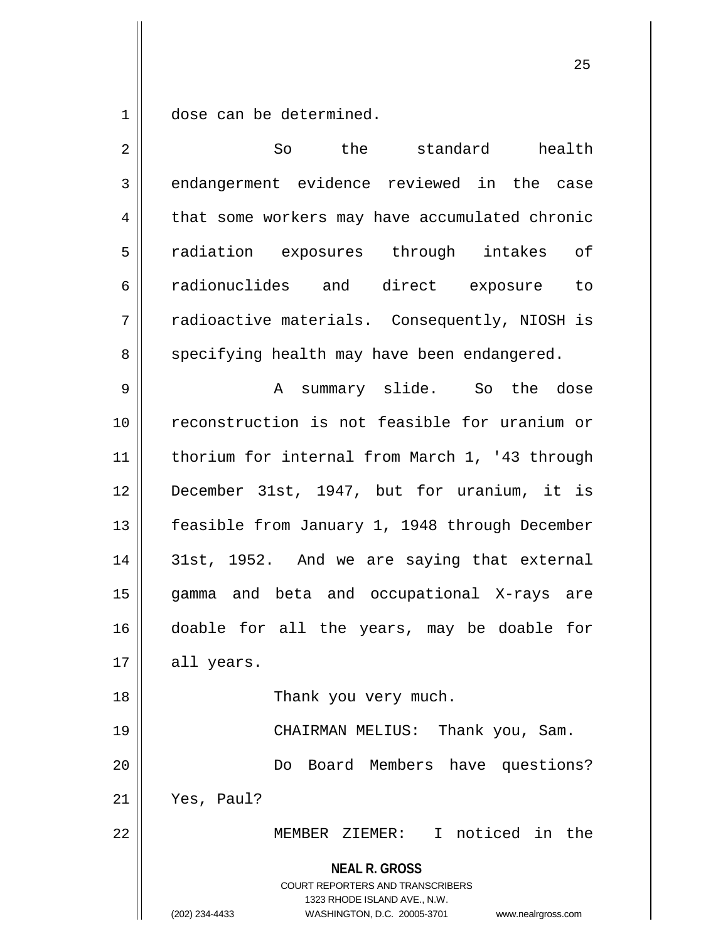$1 \parallel$  dose can be determined.

| $\overline{2}$ | So<br>the standard health                                                                                                                                              |
|----------------|------------------------------------------------------------------------------------------------------------------------------------------------------------------------|
| 3              | endangerment evidence reviewed in the case                                                                                                                             |
| 4              | that some workers may have accumulated chronic                                                                                                                         |
| 5              | radiation exposures through intakes of                                                                                                                                 |
| 6              | radionuclides and direct exposure to                                                                                                                                   |
| 7              | radioactive materials. Consequently, NIOSH is                                                                                                                          |
| 8              | specifying health may have been endangered.                                                                                                                            |
| 9              | summary slide. So the dose<br>A                                                                                                                                        |
| 10             | reconstruction is not feasible for uranium or                                                                                                                          |
| 11             | thorium for internal from March 1, '43 through                                                                                                                         |
| 12             | December 31st, 1947, but for uranium, it is                                                                                                                            |
| 13             | feasible from January 1, 1948 through December                                                                                                                         |
| 14             | 31st, 1952. And we are saying that external                                                                                                                            |
| 15             | gamma and beta and occupational X-rays are                                                                                                                             |
| 16             | doable for all the years, may be doable for                                                                                                                            |
| 17             | all years.                                                                                                                                                             |
| 18             | Thank you very much.                                                                                                                                                   |
| 19             | CHAIRMAN MELIUS:<br>Thank you, Sam.                                                                                                                                    |
| 20             | Do Board Members have questions?                                                                                                                                       |
| 21             | Yes, Paul?                                                                                                                                                             |
| 22             | MEMBER ZIEMER: I noticed in the                                                                                                                                        |
|                | <b>NEAL R. GROSS</b><br><b>COURT REPORTERS AND TRANSCRIBERS</b><br>1323 RHODE ISLAND AVE., N.W.<br>(202) 234-4433<br>WASHINGTON, D.C. 20005-3701<br>www.nealrgross.com |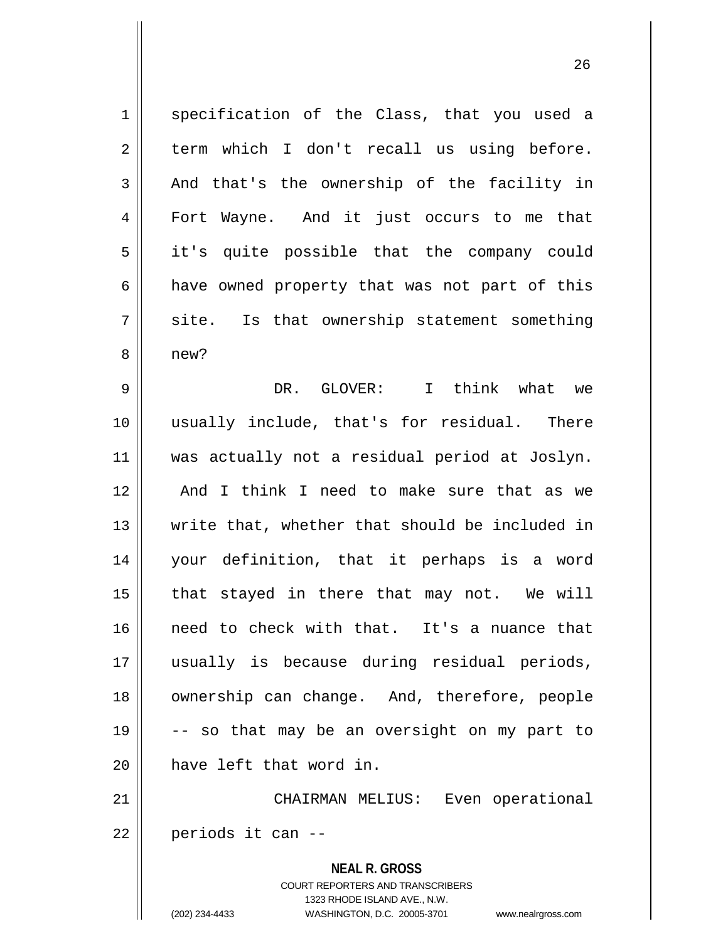1 || specification of the Class, that you used a  $2 \parallel$  term which I don't recall us using before. 3 and that's the ownership of the facility in 4 Fort Wayne. And it just occurs to me that 5 || it's quite possible that the company could  $6 \parallel$  have owned property that was not part of this  $7 \parallel$  site. Is that ownership statement something 8 || new? 9 DR. GLOVER: I think what we 10 usually include, that's for residual. There 11 was actually not a residual period at Joslyn. 12 || And I think I need to make sure that as we 13 write that, whether that should be included in 14 your definition, that it perhaps is a word  $15$  || that stayed in there that may not. We will 16 need to check with that. It's a nuance that 17 usually is because during residual periods, 18 || ownership can change. And, therefore, people 19  $\vert$  -- so that may be an oversight on my part to 20 **have left that word in.** 21 CHAIRMAN MELIUS: Even operational  $22 \parallel$  periods it can --

> **NEAL R. GROSS** COURT REPORTERS AND TRANSCRIBERS 1323 RHODE ISLAND AVE., N.W. (202) 234-4433 WASHINGTON, D.C. 20005-3701 www.nealrgross.com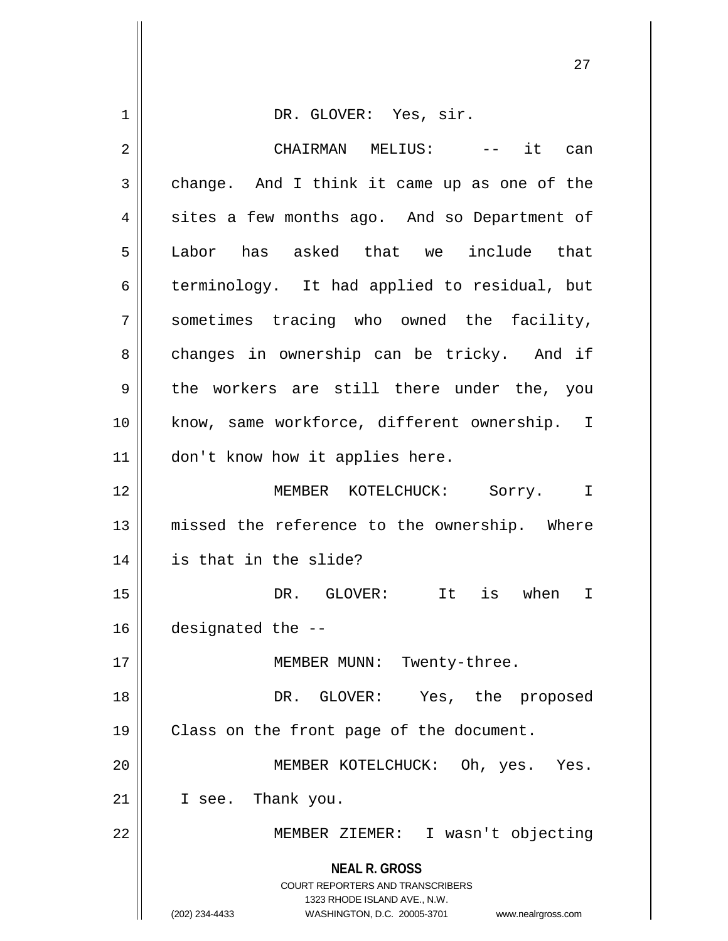| 1  | DR. GLOVER: Yes, sir.                                                                                                                                                  |
|----|------------------------------------------------------------------------------------------------------------------------------------------------------------------------|
| 2  | CHAIRMAN MELIUS:<br>-- it can                                                                                                                                          |
| 3  | change. And I think it came up as one of the                                                                                                                           |
| 4  | sites a few months ago. And so Department of                                                                                                                           |
| 5  | Labor has asked that we include that                                                                                                                                   |
| 6  | terminology. It had applied to residual, but                                                                                                                           |
| 7  | sometimes tracing who owned the facility,                                                                                                                              |
| 8  | changes in ownership can be tricky. And if                                                                                                                             |
| 9  | the workers are still there under the, you                                                                                                                             |
| 10 | know, same workforce, different ownership. I                                                                                                                           |
| 11 | don't know how it applies here.                                                                                                                                        |
| 12 | MEMBER KOTELCHUCK: Sorry. I                                                                                                                                            |
| 13 | missed the reference to the ownership. Where                                                                                                                           |
| 14 | is that in the slide?                                                                                                                                                  |
| 15 | It is when<br>DR. GLOVER:<br>$\mathbf I$                                                                                                                               |
| 16 | designated the --                                                                                                                                                      |
| 17 | MEMBER MUNN: Twenty-three.                                                                                                                                             |
| 18 | DR. GLOVER: Yes, the proposed                                                                                                                                          |
| 19 | Class on the front page of the document.                                                                                                                               |
| 20 | MEMBER KOTELCHUCK: Oh, yes. Yes.                                                                                                                                       |
| 21 | I see. Thank you.                                                                                                                                                      |
| 22 | MEMBER ZIEMER: I wasn't objecting                                                                                                                                      |
|    | <b>NEAL R. GROSS</b><br><b>COURT REPORTERS AND TRANSCRIBERS</b><br>1323 RHODE ISLAND AVE., N.W.<br>(202) 234-4433<br>WASHINGTON, D.C. 20005-3701<br>www.nealrgross.com |

 $\left| \right|$ 

 $\mathbf{\mathsf{H}}$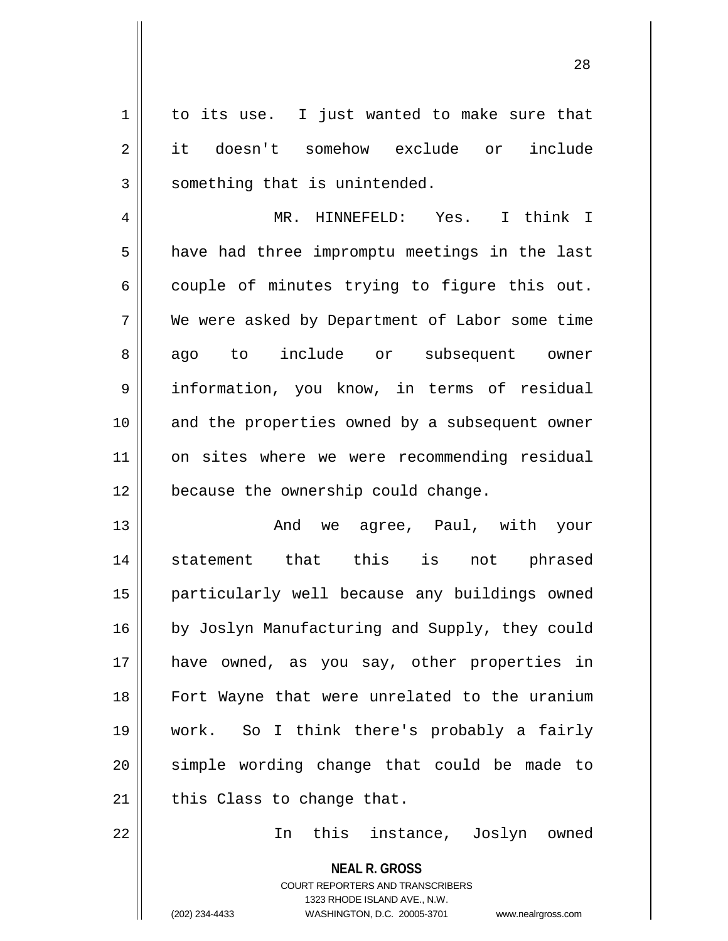$1 \parallel$  to its use. I just wanted to make sure that 2 it doesn't somehow exclude or include  $3$  something that is unintended.

4 MR. HINNEFELD: Yes. I think I  $5 \parallel$  have had three impromptu meetings in the last  $6 \parallel$  couple of minutes trying to figure this out. 7 We were asked by Department of Labor some time 8 ago to include or subsequent owner 9 information, you know, in terms of residual 10 || and the properties owned by a subsequent owner 11 || on sites where we were recommending residual 12 | because the ownership could change.

 And we agree, Paul, with your statement that this is not phrased particularly well because any buildings owned 16 | by Joslyn Manufacturing and Supply, they could have owned, as you say, other properties in Fort Wayne that were unrelated to the uranium work. So I think there's probably a fairly 20 || simple wording change that could be made to | this Class to change that.

22 In this instance, Joslyn owned

**NEAL R. GROSS** COURT REPORTERS AND TRANSCRIBERS 1323 RHODE ISLAND AVE., N.W. (202) 234-4433 WASHINGTON, D.C. 20005-3701 www.nealrgross.com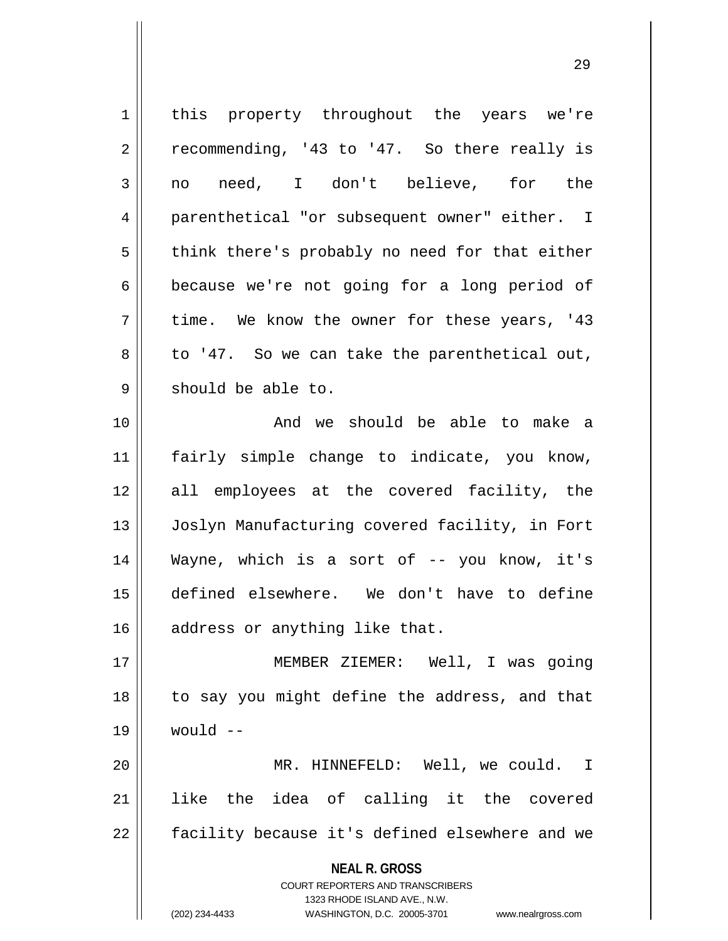| 1  | this property throughout the years we're                                                            |
|----|-----------------------------------------------------------------------------------------------------|
| 2  | recommending, '43 to '47. So there really is                                                        |
| 3  | need, I don't believe, for the<br>no                                                                |
| 4  | parenthetical "or subsequent owner" either. I                                                       |
| 5  | think there's probably no need for that either                                                      |
| 6  | because we're not going for a long period of                                                        |
| 7  | time. We know the owner for these years, '43                                                        |
| 8  | to '47. So we can take the parenthetical out,                                                       |
| 9  | should be able to.                                                                                  |
| 10 | And we should be able to make a                                                                     |
| 11 | fairly simple change to indicate, you know,                                                         |
| 12 | all employees at the covered facility, the                                                          |
| 13 | Joslyn Manufacturing covered facility, in Fort                                                      |
| 14 | Wayne, which is a sort of -- you know, it's                                                         |
| 15 | defined elsewhere. We don't have to define                                                          |
| 16 | address or anything like that.                                                                      |
| 17 | MEMBER ZIEMER: Well, I was going                                                                    |
| 18 | to say you might define the address, and that                                                       |
| 19 | would $--$                                                                                          |
| 20 | MR. HINNEFELD: Well, we could. I                                                                    |
| 21 | like the idea of calling it the covered                                                             |
| 22 | facility because it's defined elsewhere and we                                                      |
|    | <b>NEAL R. GROSS</b>                                                                                |
|    | <b>COURT REPORTERS AND TRANSCRIBERS</b>                                                             |
|    | 1323 RHODE ISLAND AVE., N.W.<br>(202) 234-4433<br>WASHINGTON, D.C. 20005-3701<br>www.nealrgross.com |
|    |                                                                                                     |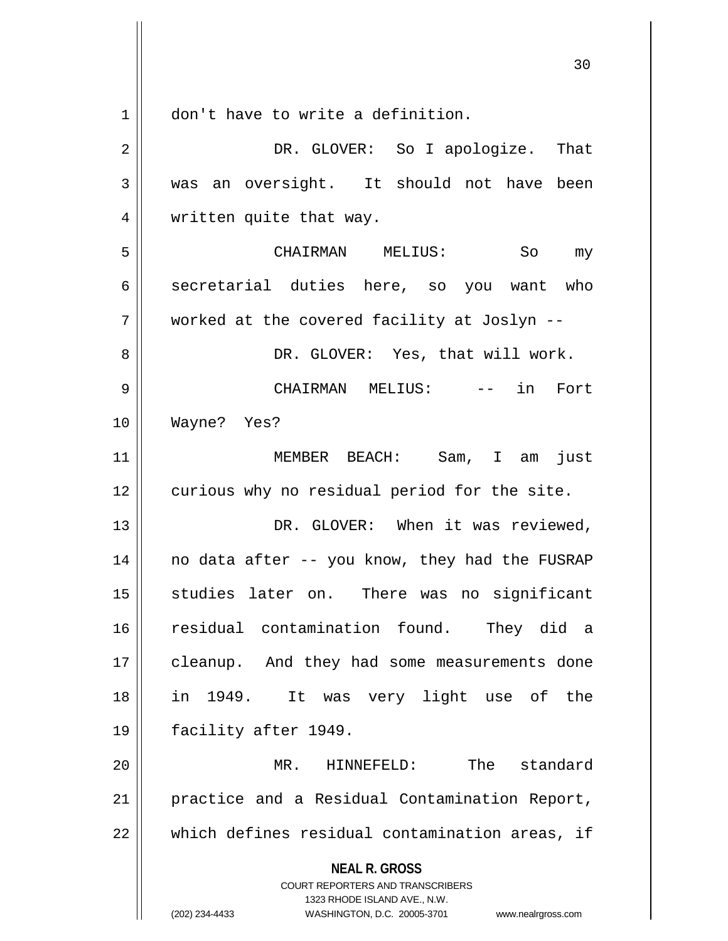**NEAL R. GROSS** COURT REPORTERS AND TRANSCRIBERS 1323 RHODE ISLAND AVE., N.W. 1 | don't have to write a definition. 2 DR. GLOVER: So I apologize. That 3 was an oversight. It should not have been 4 | written quite that way. 5 CHAIRMAN MELIUS: So my 6 secretarial duties here, so you want who 7 worked at the covered facility at Joslyn -- 8 DR. GLOVER: Yes, that will work. 9 CHAIRMAN MELIUS: -- in Fort 10 Wayne? Yes? 11 MEMBER BEACH: Sam, I am just 12 curious why no residual period for the site. 13 || DR. GLOVER: When it was reviewed,  $14$  no data after -- you know, they had the FUSRAP 15 || studies later on. There was no significant 16 residual contamination found. They did a 17 || cleanup. And they had some measurements done 18 in 1949. It was very light use of the 19 facility after 1949. 20 MR. HINNEFELD: The standard 21 || practice and a Residual Contamination Report,  $22$  || which defines residual contamination areas, if

(202) 234-4433 WASHINGTON, D.C. 20005-3701 www.nealrgross.com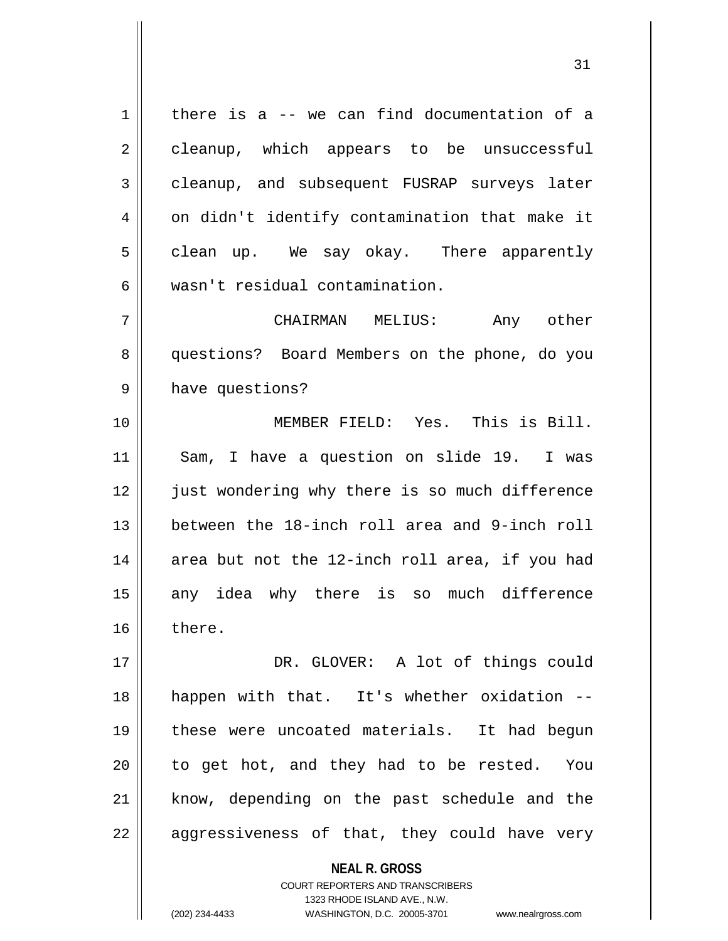$1 \parallel$  there is a -- we can find documentation of a 2 | cleanup, which appears to be unsuccessful 3 cleanup, and subsequent FUSRAP surveys later  $4 \parallel$  on didn't identify contamination that make it 5 | clean up. We say okay. There apparently 6 wasn't residual contamination.

7 CHAIRMAN MELIUS: Any other 8 questions? Board Members on the phone, do you 9 | have questions?

10 MEMBER FIELD: Yes. This is Bill. 11 || Sam, I have a question on slide 19. I was 12 || just wondering why there is so much difference 13 between the 18-inch roll area and 9-inch roll  $14$  area but not the 12-inch roll area, if you had 15 || any idea why there is so much difference 16 there.

 DR. GLOVER: A lot of things could happen with that. It's whether oxidation -- these were uncoated materials. It had begun || to get hot, and they had to be rested. You 21 || know, depending on the past schedule and the  $22 \parallel$  aggressiveness of that, they could have very

> **NEAL R. GROSS** COURT REPORTERS AND TRANSCRIBERS 1323 RHODE ISLAND AVE., N.W. (202) 234-4433 WASHINGTON, D.C. 20005-3701 www.nealrgross.com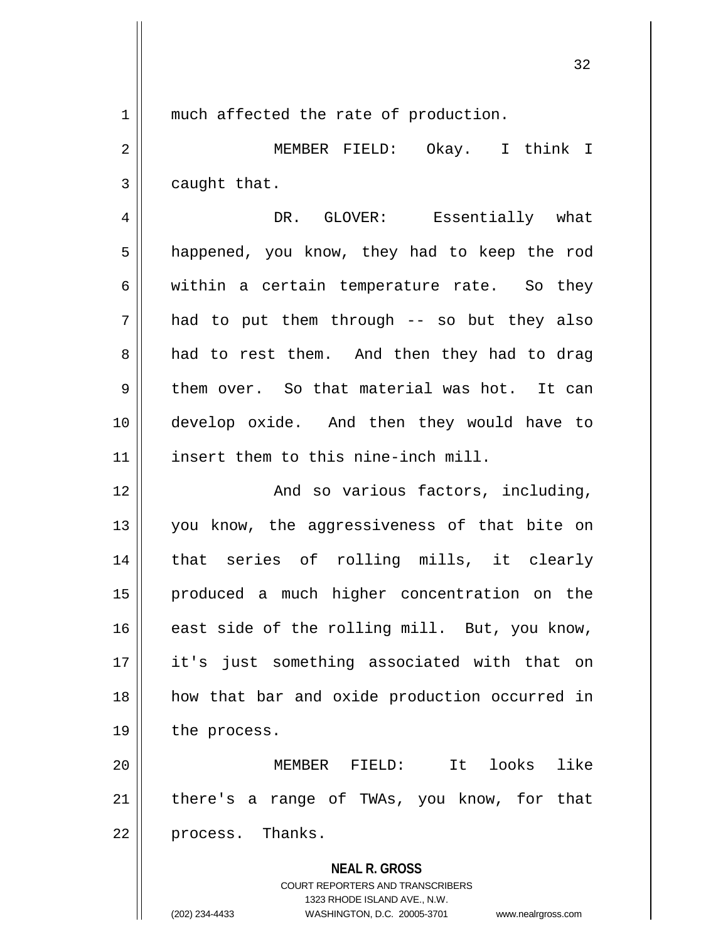1 || much affected the rate of production.

2 MEMBER FIELD: Okay. I think I  $3 \parallel$  caught that.

4 DR. GLOVER: Essentially what 5 | happened, you know, they had to keep the rod  $6 \parallel$  within a certain temperature rate. So they  $7 \parallel$  had to put them through -- so but they also 8 and to rest them. And then they had to drag  $9 \parallel$  them over. So that material was hot. It can 10 develop oxide. And then they would have to 11 insert them to this nine-inch mill.

12 || And so various factors, including, 13 || you know, the aggressiveness of that bite on 14 that series of rolling mills, it clearly 15 produced a much higher concentration on the 16 east side of the rolling mill. But, you know, 17 it's just something associated with that on 18 how that bar and oxide production occurred in 19 | the process.

20 MEMBER FIELD: It looks like  $21$  | there's a range of TWAs, you know, for that 22 || process. Thanks.

> **NEAL R. GROSS** COURT REPORTERS AND TRANSCRIBERS 1323 RHODE ISLAND AVE., N.W.

(202) 234-4433 WASHINGTON, D.C. 20005-3701 www.nealrgross.com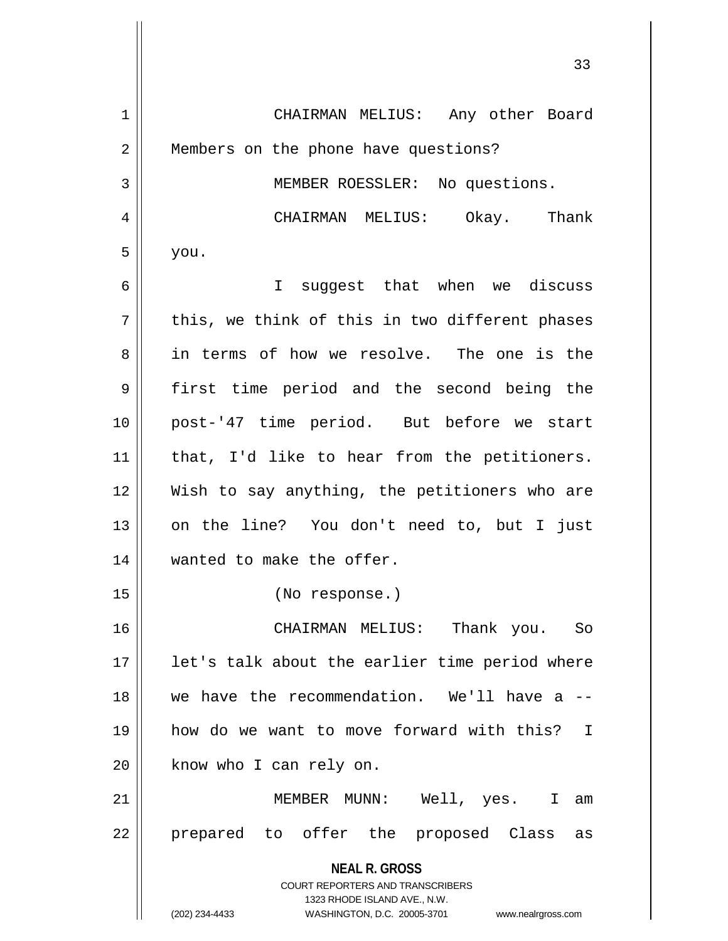| 1              | CHAIRMAN MELIUS: Any other Board                                        |
|----------------|-------------------------------------------------------------------------|
| $\overline{2}$ | Members on the phone have questions?                                    |
| 3              | MEMBER ROESSLER: No questions.                                          |
| 4              | CHAIRMAN MELIUS: Okay. Thank                                            |
| 5              | you.                                                                    |
| 6              | suggest that when we discuss<br>I.                                      |
| 7              | this, we think of this in two different phases                          |
| 8              | in terms of how we resolve. The one is the                              |
| 9              | first time period and the second being the                              |
| 10             | post-'47 time period. But before we start                               |
| 11             | that, I'd like to hear from the petitioners.                            |
| 12             | Wish to say anything, the petitioners who are                           |
| 13             | on the line? You don't need to, but I just                              |
| 14             | wanted to make the offer.                                               |
| 15             | (No response.)                                                          |
| 16             | CHAIRMAN MELIUS: Thank you. So                                          |
| 17             | let's talk about the earlier time period where                          |
| 18             | we have the recommendation. We'll have a --                             |
| 19             | how do we want to move forward with this? I                             |
| 20             | know who I can rely on.                                                 |
| 21             | MEMBER MUNN: Well, yes. I am                                            |
| 22             | prepared to offer the proposed Class<br>as                              |
|                | <b>NEAL R. GROSS</b>                                                    |
|                | <b>COURT REPORTERS AND TRANSCRIBERS</b><br>1323 RHODE ISLAND AVE., N.W. |
|                | (202) 234-4433<br>WASHINGTON, D.C. 20005-3701<br>www.nealrgross.com     |

 $\mathsf{l}$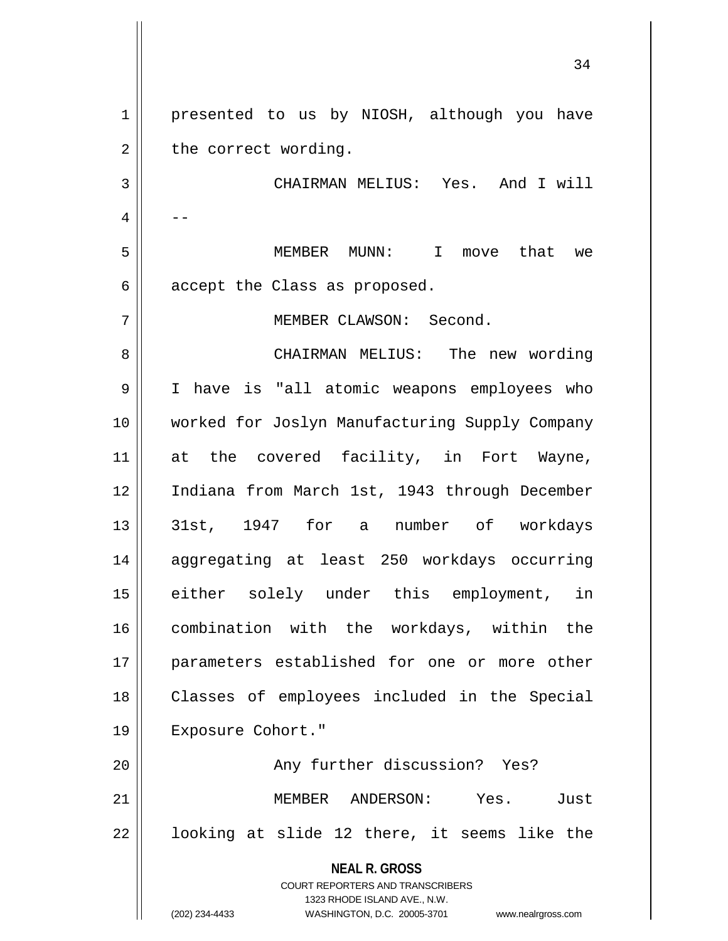**NEAL R. GROSS** COURT REPORTERS AND TRANSCRIBERS 1323 RHODE ISLAND AVE., N.W. 1 || presented to us by NIOSH, although you have  $2 \parallel$  the correct wording. 3 CHAIRMAN MELIUS: Yes. And I will  $4 \parallel - -$ 5 MEMBER MUNN: I move that we  $6 \parallel$  accept the Class as proposed. 7 MEMBER CLAWSON: Second. 8 CHAIRMAN MELIUS: The new wording 9 I have is "all atomic weapons employees who 10 worked for Joslyn Manufacturing Supply Company 11 at the covered facility, in Fort Wayne, 12 Indiana from March 1st, 1943 through December 13 31st, 1947 for a number of workdays 14 aggregating at least 250 workdays occurring 15 either solely under this employment, in 16 combination with the workdays, within the 17 || parameters established for one or more other 18 Classes of employees included in the Special 19 Exposure Cohort." 20 | Rhy further discussion? Yes? 21 MEMBER ANDERSON: Yes. Just  $22 \parallel$  looking at slide 12 there, it seems like the

(202) 234-4433 WASHINGTON, D.C. 20005-3701 www.nealrgross.com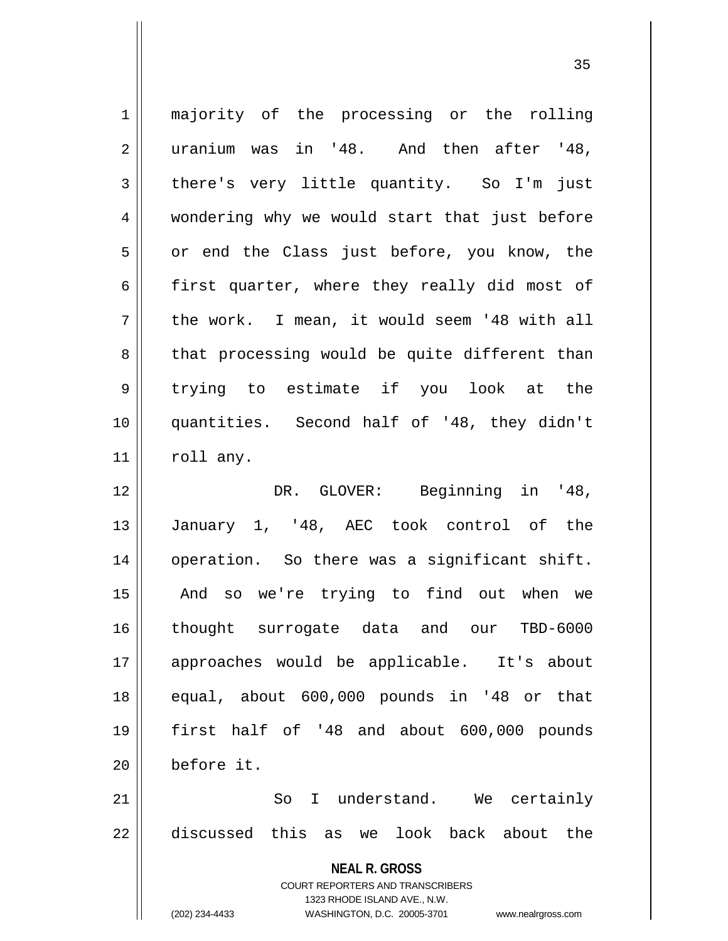| $\mathbf 1$    | majority of the processing or the rolling                           |
|----------------|---------------------------------------------------------------------|
| $\overline{2}$ | uranium was in '48. And then after '48,                             |
| 3              | there's very little quantity. So I'm just                           |
| 4              | wondering why we would start that just before                       |
| 5              | or end the Class just before, you know, the                         |
| 6              | first quarter, where they really did most of                        |
| 7              | the work. I mean, it would seem '48 with all                        |
| 8              | that processing would be quite different than                       |
| 9              | trying to estimate if you look at the                               |
| 10             | quantities. Second half of '48, they didn't                         |
| 11             | roll any.                                                           |
| 12             | DR. GLOVER: Beginning in '48,                                       |
| 13             | January 1, '48, AEC took control of the                             |
| 14             | operation. So there was a significant shift.                        |
| 15             | And so we're trying to find out when we                             |
| 16             | thought surrogate data and our TBD-6000                             |
| 17             | approaches would be applicable. It's about                          |
| 18             | equal, about 600,000 pounds in '48 or that                          |
| 19             | first half of '48 and about 600,000 pounds                          |
| 20             | before it.                                                          |
| 21             | So I understand. We certainly                                       |
| 22             | discussed this as we look back about the                            |
|                | <b>NEAL R. GROSS</b><br><b>COURT REPORTERS AND TRANSCRIBERS</b>     |
|                | 1323 RHODE ISLAND AVE., N.W.                                        |
|                | (202) 234-4433<br>WASHINGTON, D.C. 20005-3701<br>www.nealrgross.com |

 $\overline{1}$ 

 $\overline{\phantom{a}}$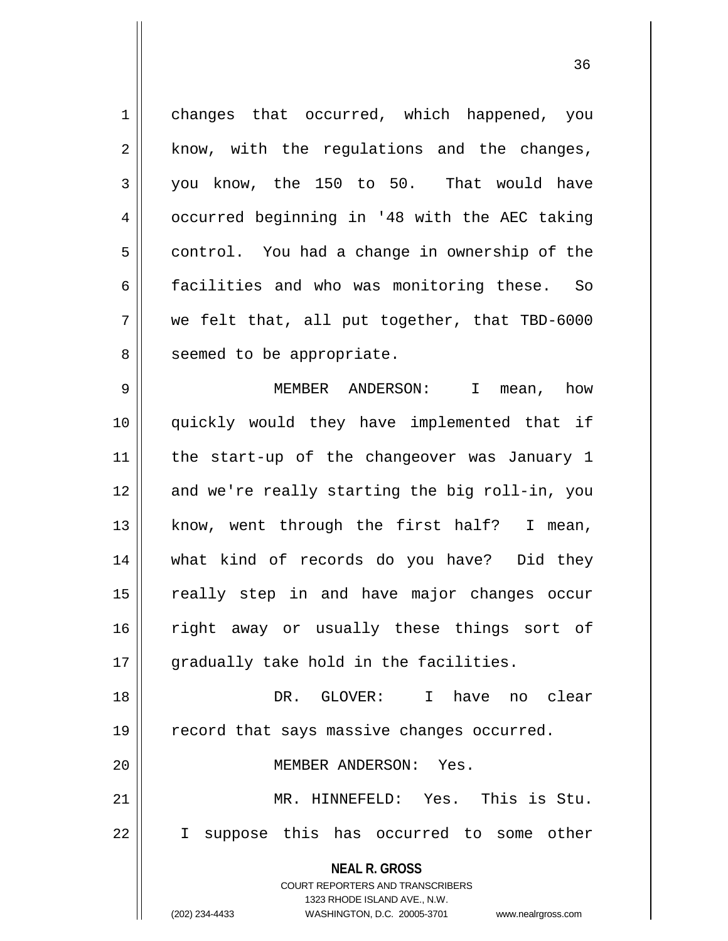1 changes that occurred, which happened, you  $2 \parallel$  know, with the regulations and the changes,  $3 \parallel$  you know, the 150 to 50. That would have 4 | occurred beginning in '48 with the AEC taking  $5 \parallel$  control. You had a change in ownership of the 6 | facilities and who was monitoring these. So  $7 \parallel$  we felt that, all put together, that TBD-6000 8 || seemed to be appropriate.

9 MEMBER ANDERSON: I mean, how 10 quickly would they have implemented that if 11 || the start-up of the changeover was January 1 12 and we're really starting the big roll-in, you 13 || know, went through the first half? I mean, 14 what kind of records do you have? Did they 15 || really step in and have major changes occur 16 || right away or usually these things sort of 17 || gradually take hold in the facilities.

18 DR. GLOVER: I have no clear 19 | record that says massive changes occurred.

20 MEMBER ANDERSON: Yes.

21 MR. HINNEFELD: Yes. This is Stu. 22 I suppose this has occurred to some other

**NEAL R. GROSS**

COURT REPORTERS AND TRANSCRIBERS 1323 RHODE ISLAND AVE., N.W.

(202) 234-4433 WASHINGTON, D.C. 20005-3701 www.nealrgross.com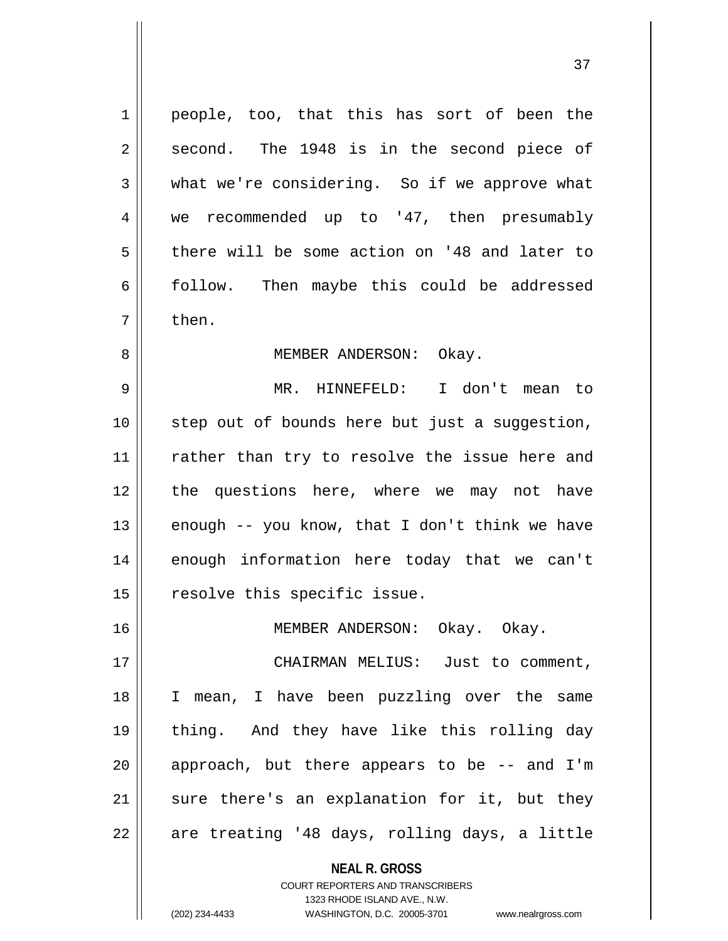$1 \parallel$  people, too, that this has sort of been the  $2 \parallel$  second. The 1948 is in the second piece of  $3 \parallel$  what we're considering. So if we approve what 4 we recommended up to '47, then presumably  $5 \parallel$  there will be some action on '48 and later to  $6 \parallel$  follow. Then maybe this could be addressed  $7 \parallel$  then.

## 8 || MEMBER ANDERSON: Okay.

9 MR. HINNEFELD: I don't mean to 10 step out of bounds here but just a suggestion, 11 || rather than try to resolve the issue here and 12 || the questions here, where we may not have 13  $\parallel$  enough -- you know, that I don't think we have 14 || enough information here today that we can't  $15$  | resolve this specific issue.

16 MEMBER ANDERSON: Okay. Okay.

 CHAIRMAN MELIUS: Just to comment, I mean, I have been puzzling over the same thing. And they have like this rolling day || approach, but there appears to be -- and I'm || sure there's an explanation for it, but they  $22 \parallel$  are treating '48 days, rolling days, a little

> **NEAL R. GROSS** COURT REPORTERS AND TRANSCRIBERS

> > 1323 RHODE ISLAND AVE., N.W.

(202) 234-4433 WASHINGTON, D.C. 20005-3701 www.nealrgross.com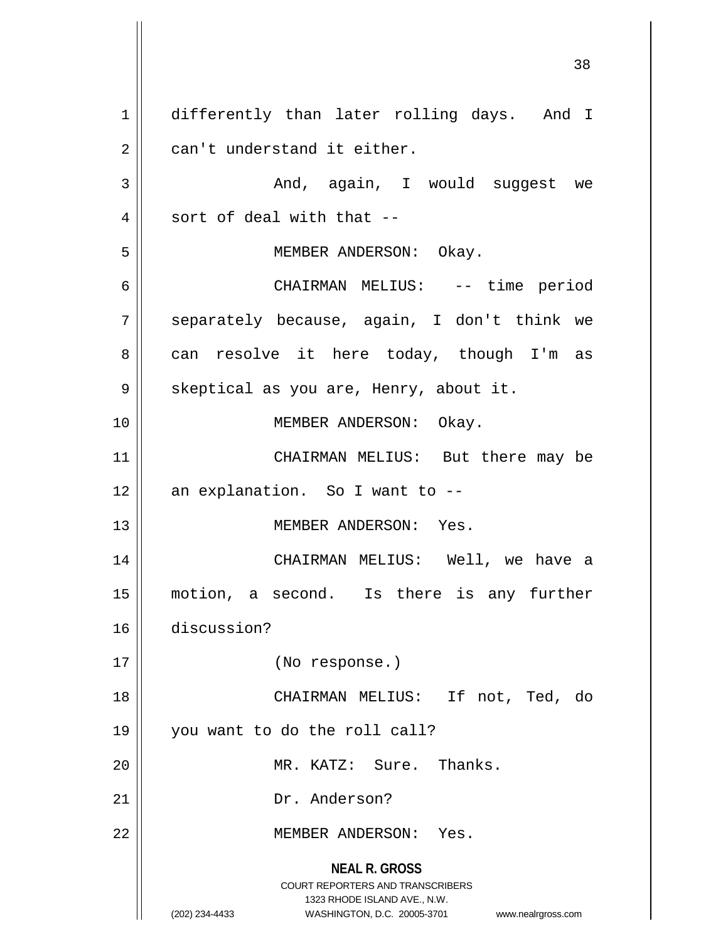**NEAL R. GROSS** COURT REPORTERS AND TRANSCRIBERS 1323 RHODE ISLAND AVE., N.W. (202) 234-4433 WASHINGTON, D.C. 20005-3701 www.nealrgross.com 1 differently than later rolling days. And I  $2 \parallel$  can't understand it either. 3 And, again, I would suggest we  $4 \parallel$  sort of deal with that --5 MEMBER ANDERSON: Okay. 6 CHAIRMAN MELIUS: -- time period 7 Separately because, again, I don't think we 8 can resolve it here today, though I'm as 9 | skeptical as you are, Henry, about it. 10 || MEMBER ANDERSON: Okay. 11 || CHAIRMAN MELIUS: But there may be  $12$  | an explanation. So I want to  $-$ -13 MEMBER ANDERSON: Yes. 14 CHAIRMAN MELIUS: Well, we have a 15 motion, a second. Is there is any further 16 discussion? 17 (No response.) 18 || CHAIRMAN MELIUS: If not, Ted, do 19 you want to do the roll call? 20 || MR. KATZ: Sure. Thanks. 21 || Dr. Anderson? 22 MEMBER ANDERSON: Yes.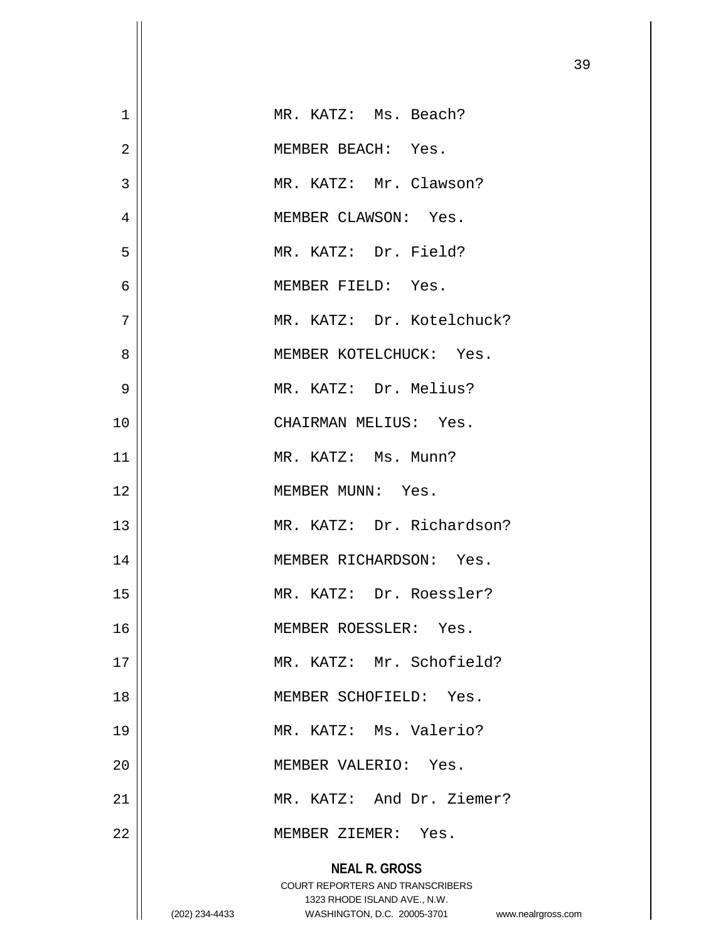| $\mathbf 1$    |                | MR. KATZ: Ms. Beach?                                                                                                                                 |
|----------------|----------------|------------------------------------------------------------------------------------------------------------------------------------------------------|
| $\overline{2}$ |                | MEMBER BEACH: Yes.                                                                                                                                   |
| 3              |                | MR. KATZ: Mr. Clawson?                                                                                                                               |
| 4              |                | MEMBER CLAWSON: Yes.                                                                                                                                 |
| 5              |                | MR. KATZ: Dr. Field?                                                                                                                                 |
| 6              |                | MEMBER FIELD: Yes.                                                                                                                                   |
| 7              |                | MR. KATZ: Dr. Kotelchuck?                                                                                                                            |
| 8              |                | MEMBER KOTELCHUCK: Yes.                                                                                                                              |
| 9              |                | MR. KATZ: Dr. Melius?                                                                                                                                |
| 10             |                | CHAIRMAN MELIUS: Yes.                                                                                                                                |
| 11             |                | MR. KATZ: Ms. Munn?                                                                                                                                  |
| 12             |                | MEMBER MUNN: Yes.                                                                                                                                    |
| 13             |                | MR. KATZ: Dr. Richardson?                                                                                                                            |
| 14             |                | MEMBER RICHARDSON: Yes.                                                                                                                              |
| 15             |                | MR. KATZ: Dr. Roessler?                                                                                                                              |
| 16             |                | MEMBER ROESSLER: Yes.                                                                                                                                |
| 17             |                | MR. KATZ: Mr. Schofield?                                                                                                                             |
| 18             |                | MEMBER SCHOFIELD: Yes.                                                                                                                               |
| 19             |                | MR. KATZ: Ms. Valerio?                                                                                                                               |
| 20             |                | MEMBER VALERIO: Yes.                                                                                                                                 |
| 21             |                | MR. KATZ: And Dr. Ziemer?                                                                                                                            |
| 22             |                | MEMBER ZIEMER: Yes.                                                                                                                                  |
|                | (202) 234-4433 | <b>NEAL R. GROSS</b><br><b>COURT REPORTERS AND TRANSCRIBERS</b><br>1323 RHODE ISLAND AVE., N.W.<br>WASHINGTON, D.C. 20005-3701<br>www.nealrgross.com |

 $\mathbf{1}$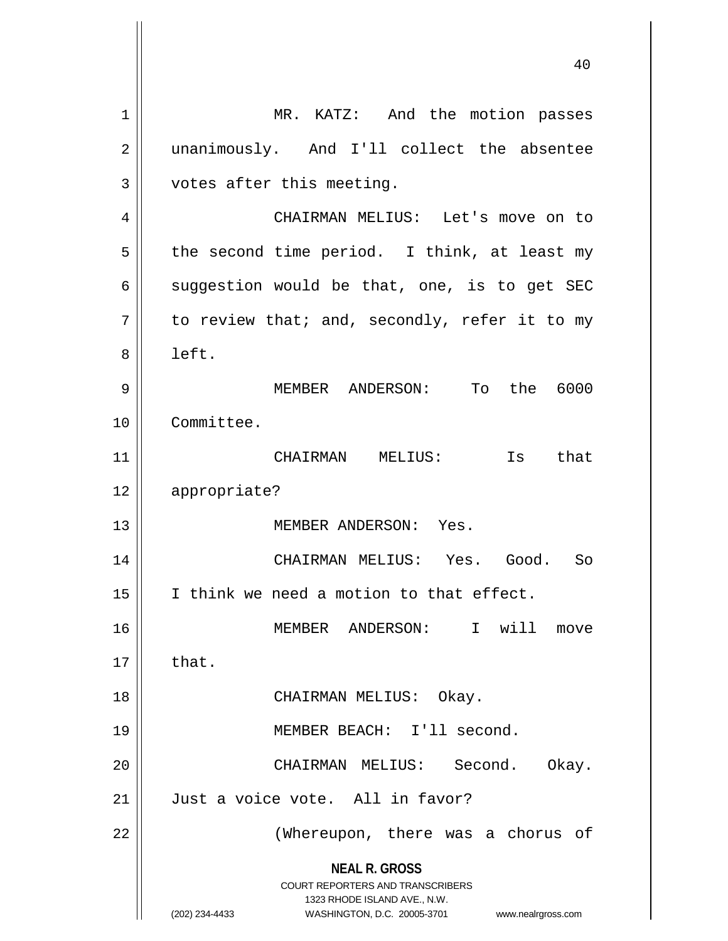**NEAL R. GROSS** COURT REPORTERS AND TRANSCRIBERS 1323 RHODE ISLAND AVE., N.W. (202) 234-4433 WASHINGTON, D.C. 20005-3701 www.nealrgross.com 1 | MR. KATZ: And the motion passes 2 || unanimously. And I'll collect the absentee  $3$  | votes after this meeting. 4 CHAIRMAN MELIUS: Let's move on to  $5 \parallel$  the second time period. I think, at least my 6 suggestion would be that, one, is to get SEC  $7 \parallel$  to review that; and, secondly, refer it to my 8 left. 9 MEMBER ANDERSON: To the 6000 10 Committee. 11 CHAIRMAN MELIUS: Is that 12 appropriate? 13 MEMBER ANDERSON: Yes. 14 CHAIRMAN MELIUS: Yes. Good. So 15 || I think we need a motion to that effect. 16 MEMBER ANDERSON: I will move  $17 \parallel$  that. 18 CHAIRMAN MELIUS: Okay. 19 MEMBER BEACH: I'll second. 20 CHAIRMAN MELIUS: Second. Okay. 21 Just a voice vote. All in favor? 22 || (Whereupon, there was a chorus of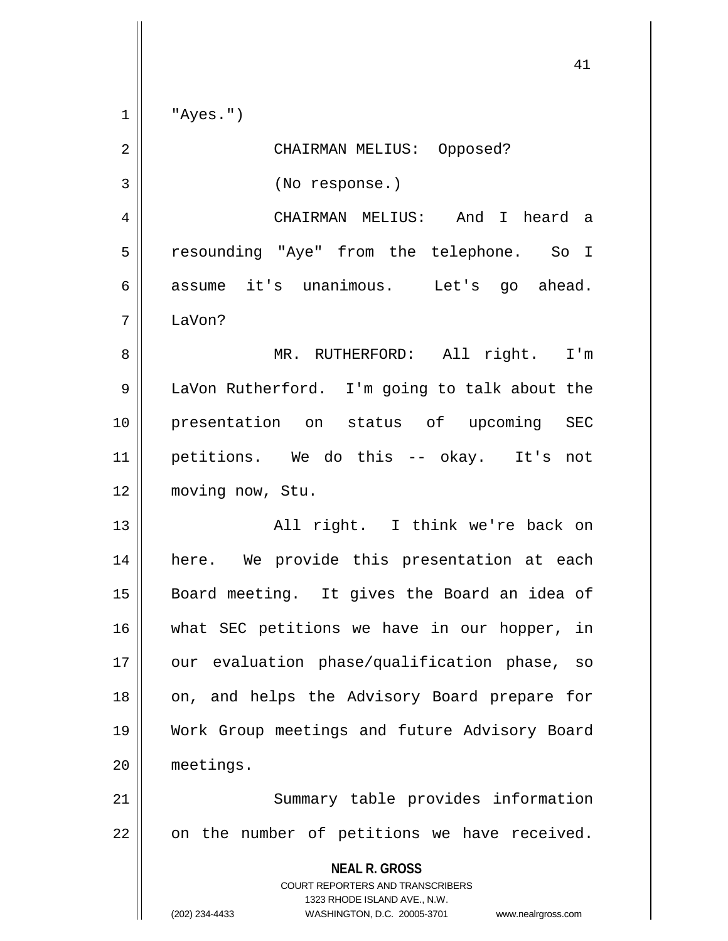**NEAL R. GROSS** COURT REPORTERS AND TRANSCRIBERS 1323 RHODE ISLAND AVE., N.W. (202) 234-4433 WASHINGTON, D.C. 20005-3701 www.nealrgross.com 41  $1 \parallel$  "Ayes.") 2 CHAIRMAN MELIUS: Opposed? 3 (No response.) 4 CHAIRMAN MELIUS: And I heard a 5 resounding "Aye" from the telephone. So I 6 assume it's unanimous. Let's go ahead. 7 LaVon? 8 MR. RUTHERFORD: All right. I'm 9 | LaVon Rutherford. I'm going to talk about the 10 presentation on status of upcoming SEC 11 petitions. We do this -- okay. It's not 12 moving now, Stu. 13 || All right. I think we're back on 14 || here. We provide this presentation at each 15 || Board meeting. It gives the Board an idea of 16 what SEC petitions we have in our hopper, in 17 || our evaluation phase/qualification phase, so 18 || on, and helps the Advisory Board prepare for 19 Work Group meetings and future Advisory Board 20 meetings. 21 || Summary table provides information  $22$  | on the number of petitions we have received.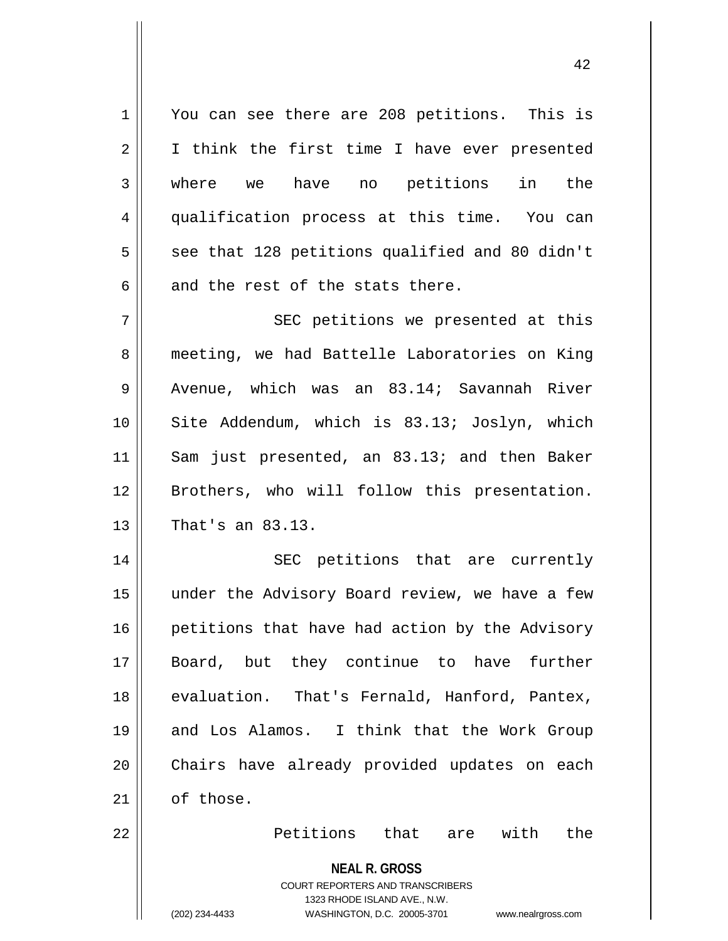1 || You can see there are 208 petitions. This is 2 I I think the first time I have ever presented 3 where we have no petitions in the 4 qualification process at this time. You can  $5 \parallel$  see that 128 petitions qualified and 80 didn't  $6 \parallel$  and the rest of the stats there.

7 || SEC petitions we presented at this 8 meeting, we had Battelle Laboratories on King  $9 \parallel$  Avenue, which was an 83.14; Savannah River 10 Site Addendum, which is 83.13; Joslyn, which 11 || Sam just presented, an 83.13; and then Baker 12 || Brothers, who will follow this presentation.  $13$  | That's an 83.13.

14 || SEC petitions that are currently 15 || under the Advisory Board review, we have a few 16 | petitions that have had action by the Advisory 17 Board, but they continue to have further 18 evaluation. That's Fernald, Hanford, Pantex, 19 || and Los Alamos. I think that the Work Group 20 || Chairs have already provided updates on each  $21$  of those.

22 Petitions that are with the

**NEAL R. GROSS**

COURT REPORTERS AND TRANSCRIBERS 1323 RHODE ISLAND AVE., N.W. (202) 234-4433 WASHINGTON, D.C. 20005-3701 www.nealrgross.com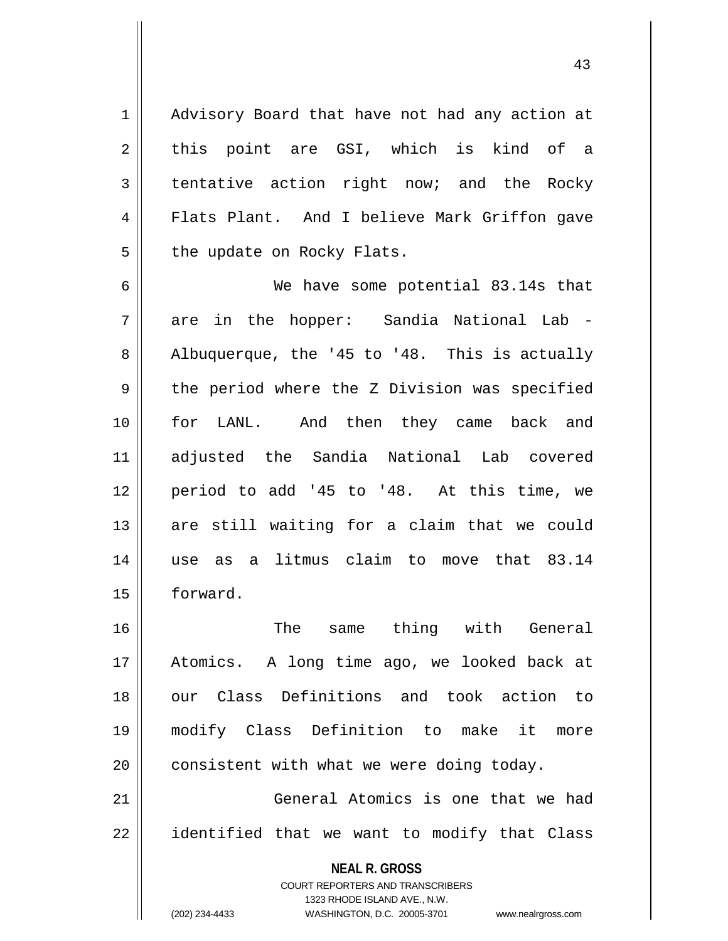1 || Advisory Board that have not had any action at  $2 \parallel$  this point are GSI, which is kind of a  $3 \parallel$  tentative action right now; and the Rocky 4 || Flats Plant. And I believe Mark Griffon gave  $5$  || the update on Rocky Flats.

 We have some potential 83.14s that are in the hopper: Sandia National Lab -  $8 \parallel$  Albuquerque, the '45 to '48. This is actually  $9 \parallel$  the period where the Z Division was specified for LANL. And then they came back and adjusted the Sandia National Lab covered period to add '45 to '48. At this time, we are still waiting for a claim that we could use as a litmus claim to move that 83.14 15 | forward.

 The same thing with General Atomics. A long time ago, we looked back at 18 || our Class Definitions and took action to modify Class Definition to make it more | consistent with what we were doing today.

21 General Atomics is one that we had  $22$  || identified that we want to modify that Class

**NEAL R. GROSS**

COURT REPORTERS AND TRANSCRIBERS 1323 RHODE ISLAND AVE., N.W. (202) 234-4433 WASHINGTON, D.C. 20005-3701 www.nealrgross.com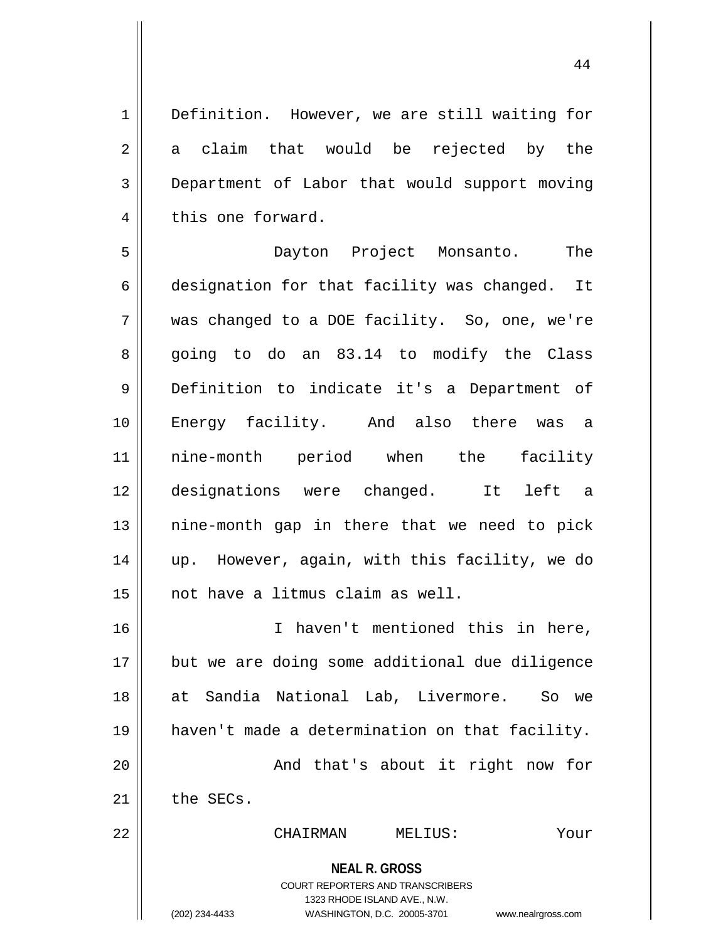1 | Definition. However, we are still waiting for  $2 \parallel$  a claim that would be rejected by the 3 Department of Labor that would support moving 4 this one forward.

 Dayton Project Monsanto. The 6 designation for that facility was changed. It was changed to a DOE facility. So, one, we're  $8 \parallel$  going to do an  $83.14$  to modify the Class Definition to indicate it's a Department of Energy facility. And also there was a nine-month period when the facility designations were changed. It left a || nine-month gap in there that we need to pick up. However, again, with this facility, we do not have a litmus claim as well.

 I haven't mentioned this in here, but we are doing some additional due diligence at Sandia National Lab, Livermore. So we haven't made a determination on that facility. 20 || And that's about it right now for the SECs.

22 CHAIRMAN MELIUS: Your

**NEAL R. GROSS** COURT REPORTERS AND TRANSCRIBERS

1323 RHODE ISLAND AVE., N.W.

(202) 234-4433 WASHINGTON, D.C. 20005-3701 www.nealrgross.com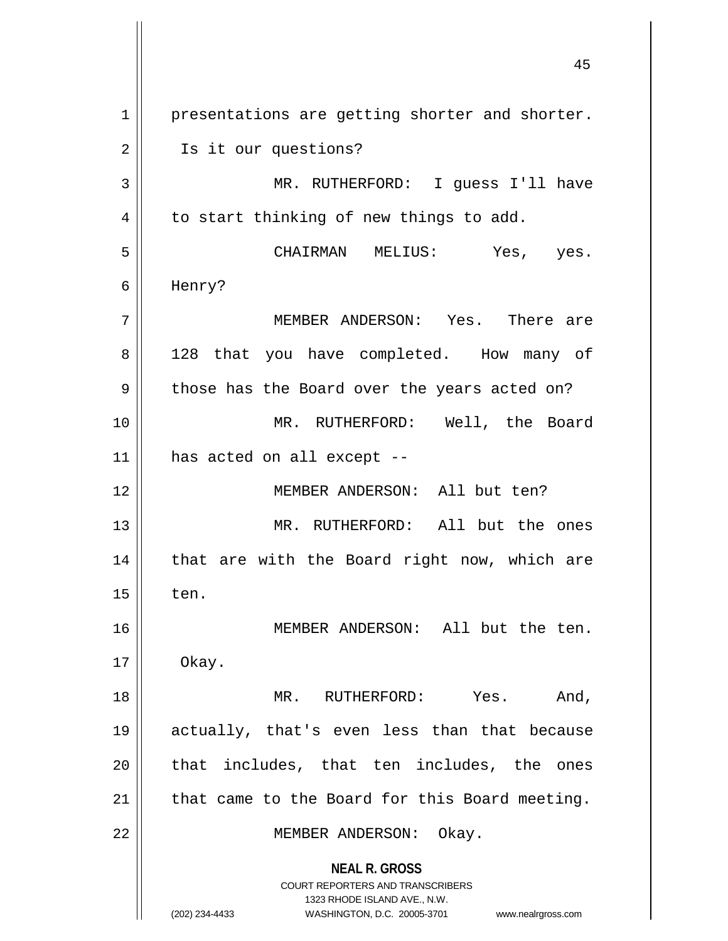**NEAL R. GROSS** COURT REPORTERS AND TRANSCRIBERS 1323 RHODE ISLAND AVE., N.W. (202) 234-4433 WASHINGTON, D.C. 20005-3701 www.nealrgross.com 1 || presentations are getting shorter and shorter. 2 | Is it our questions? 3 MR. RUTHERFORD: I guess I'll have  $4 \parallel$  to start thinking of new things to add. 5 CHAIRMAN MELIUS: Yes, yes. 6 Henry? 7 MEMBER ANDERSON: Yes. There are 8 || 128 that you have completed. How many of 9 || those has the Board over the years acted on? 10 || MR. RUTHERFORD: Well, the Board  $11$  | has acted on all except --12 MEMBER ANDERSON: All but ten? 13 MR. RUTHERFORD: All but the ones  $14$  | that are with the Board right now, which are  $15$   $\parallel$  ten. 16 || MEMBER ANDERSON: All but the ten.  $17 \parallel$  Okay. 18 MR. RUTHERFORD: Yes. And, 19 actually, that's even less than that because 20 || that includes, that ten includes, the ones  $21$  | that came to the Board for this Board meeting. 22 || MEMBER ANDERSON: Okay.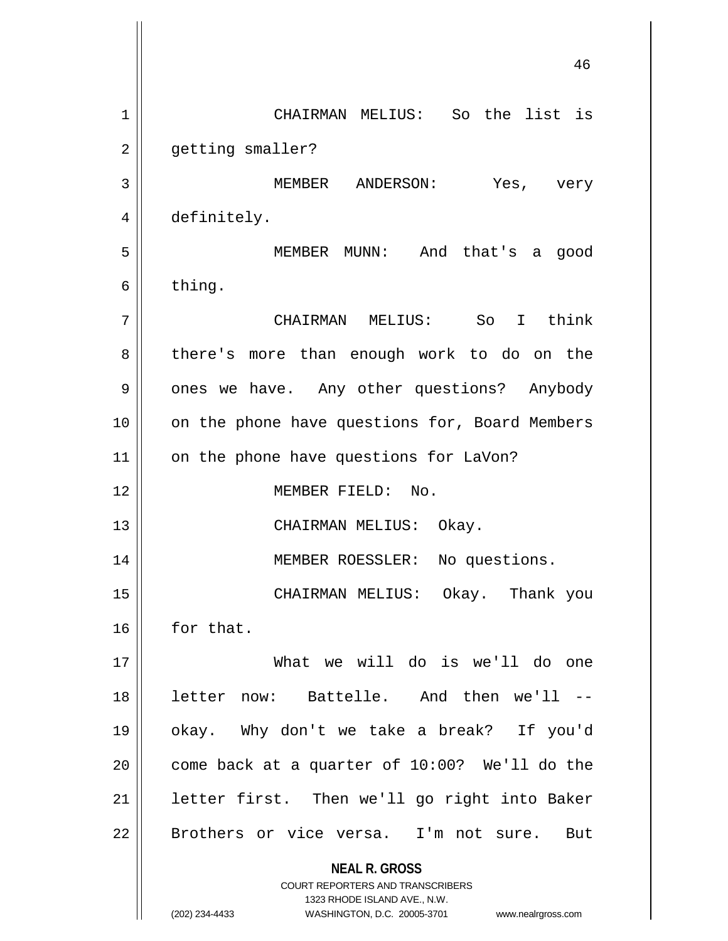**NEAL R. GROSS** COURT REPORTERS AND TRANSCRIBERS 1323 RHODE ISLAND AVE., N.W. (202) 234-4433 WASHINGTON, D.C. 20005-3701 www.nealrgross.com 46 1 CHAIRMAN MELIUS: So the list is 2 | getting smaller? 3 MEMBER ANDERSON: Yes, very 4 definitely. 5 MEMBER MUNN: And that's a good  $6 \parallel$  thing. 7 CHAIRMAN MELIUS: So I think 8 || there's more than enough work to do on the 9 | ones we have. Any other questions? Anybody 10 || on the phone have questions for, Board Members 11 || on the phone have questions for LaVon? 12 MEMBER FIELD: No. 13 || CHAIRMAN MELIUS: Okay. 14 || MEMBER ROESSLER: No questions. 15 CHAIRMAN MELIUS: Okay. Thank you 16 for that. 17 What we will do is we'll do one 18 letter now: Battelle. And then we'll -- 19 okay. Why don't we take a break? If you'd 20  $\parallel$  come back at a quarter of 10:00? We'll do the  $21$  | letter first. Then we'll go right into Baker 22 || Brothers or vice versa. I'm not sure. But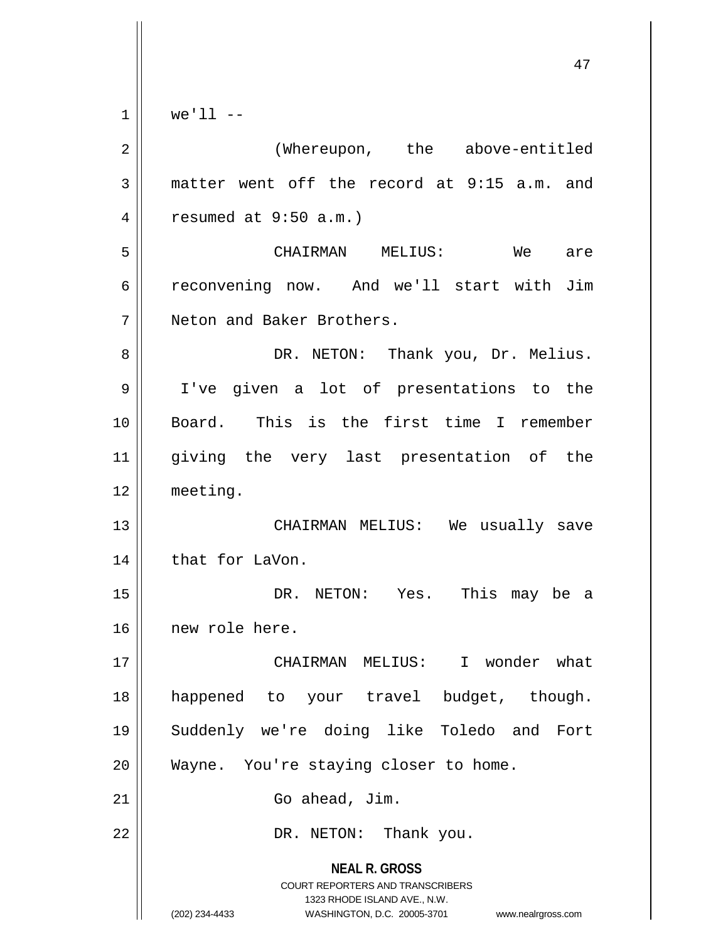$1 \parallel$  we'll --

| $\overline{a}$ | (Whereupon, the above-entitled                                                                                                                                  |
|----------------|-----------------------------------------------------------------------------------------------------------------------------------------------------------------|
| 3              | matter went off the record at 9:15 a.m. and                                                                                                                     |
| 4              | resumed at $9:50$ a.m.)                                                                                                                                         |
| 5              | CHAIRMAN MELIUS: We are                                                                                                                                         |
| 6              | reconvening now. And we'll start with Jim                                                                                                                       |
| 7              | Neton and Baker Brothers.                                                                                                                                       |
| 8              | DR. NETON: Thank you, Dr. Melius.                                                                                                                               |
| 9              | I've given a lot of presentations to the                                                                                                                        |
| 10             | Board. This is the first time I remember                                                                                                                        |
| 11             | giving the very last presentation of the                                                                                                                        |
| 12             | meeting.                                                                                                                                                        |
| 13             | CHAIRMAN MELIUS: We usually save                                                                                                                                |
| 14             | that for LaVon.                                                                                                                                                 |
| 15             | DR. NETON: Yes. This may be a                                                                                                                                   |
| 16             | new role here.                                                                                                                                                  |
| 17             | CHAIRMAN MELIUS: I wonder what                                                                                                                                  |
| 18             | happened to your travel budget, though.                                                                                                                         |
| 19             | Suddenly we're doing like Toledo and Fort                                                                                                                       |
| 20             | Wayne. You're staying closer to home.                                                                                                                           |
| 21             | Go ahead, Jim.                                                                                                                                                  |
| 22             | DR. NETON: Thank you.                                                                                                                                           |
|                | <b>NEAL R. GROSS</b><br>COURT REPORTERS AND TRANSCRIBERS<br>1323 RHODE ISLAND AVE., N.W.<br>(202) 234-4433<br>WASHINGTON, D.C. 20005-3701<br>www.nealrgross.com |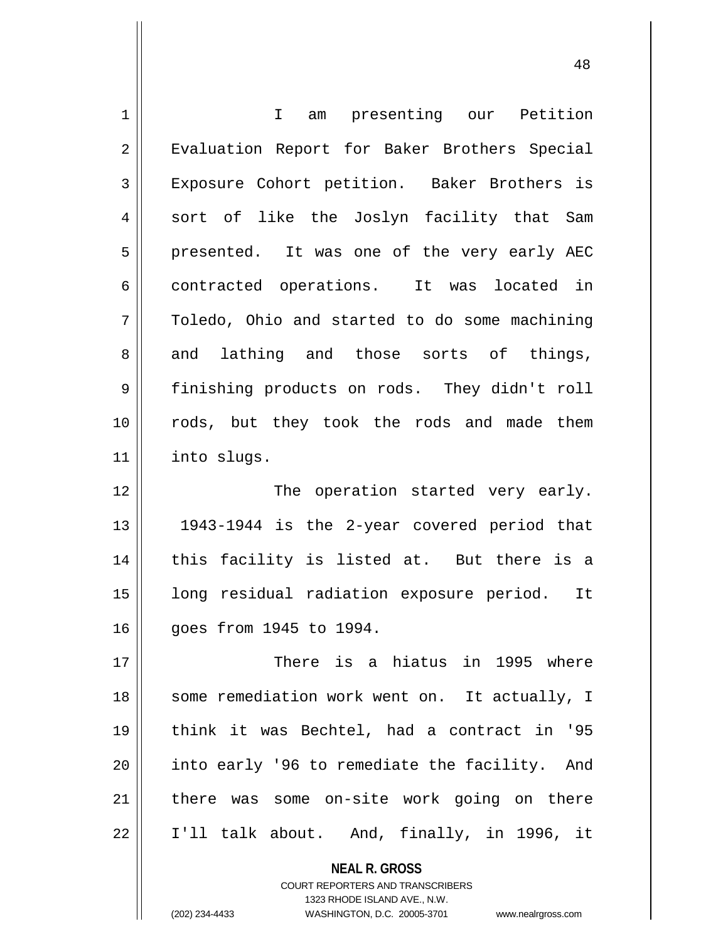| $\mathbf 1$    | am presenting our Petition<br>$\mathbf{I}$    |
|----------------|-----------------------------------------------|
| $\overline{2}$ | Evaluation Report for Baker Brothers Special  |
| 3              | Exposure Cohort petition. Baker Brothers is   |
| 4              | sort of like the Joslyn facility that Sam     |
| 5              | presented. It was one of the very early AEC   |
| 6              | contracted operations. It was located in      |
| 7              | Toledo, Ohio and started to do some machining |
| 8              | and lathing and those sorts of things,        |
| 9              | finishing products on rods. They didn't roll  |
| 10             | rods, but they took the rods and made them    |
| 11             | into slugs.                                   |
| 12             | The operation started very early.             |
| 13             | 1943-1944 is the 2-year covered period that   |
| 14             | this facility is listed at. But there is a    |
| 15             | long residual radiation exposure period. It   |
| 16             | goes from 1945 to 1994.                       |
| 17             | There is a hiatus in 1995 where               |
| 18             | some remediation work went on. It actually, I |
| 19             | think it was Bechtel, had a contract in '95   |
| 20             | into early '96 to remediate the facility. And |
| 21             | there was some on-site work going on there    |
| 22             | I'll talk about. And, finally, in 1996, it    |
|                | <b>NEAL R. GROSS</b>                          |

COURT REPORTERS AND TRANSCRIBERS 1323 RHODE ISLAND AVE., N.W.

 $\mathsf{II}$ 

(202) 234-4433 WASHINGTON, D.C. 20005-3701 www.nealrgross.com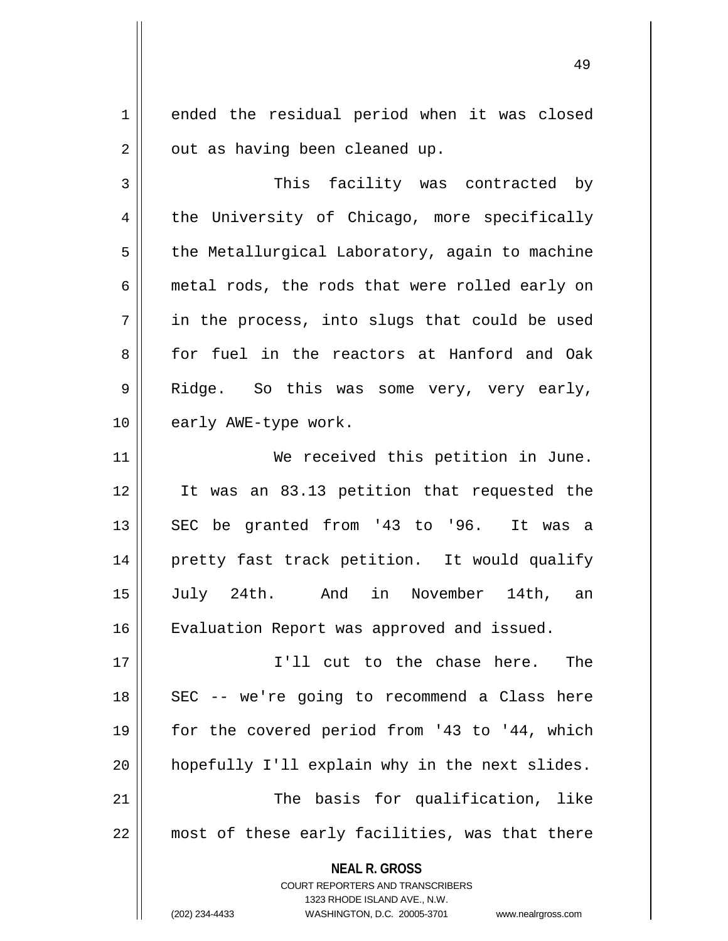1 ended the residual period when it was closed  $2 \parallel$  out as having been cleaned up.

3 This facility was contracted by 4 the University of Chicago, more specifically  $5 \parallel$  the Metallurgical Laboratory, again to machine 6 metal rods, the rods that were rolled early on  $7 \parallel$  in the process, into slugs that could be used 8 for fuel in the reactors at Hanford and Oak 9 Ridge. So this was some very, very early, 10 || early AWE-type work.

11 || We received this petition in June. 12 It was an 83.13 petition that requested the  $13$  SEC be granted from '43 to '96. It was a 14 || pretty fast track petition. It would qualify 15 July 24th. And in November 14th, an 16 | Evaluation Report was approved and issued.

17 I'll cut to the chase here. The 18 || SEC -- we're going to recommend a Class here 19 for the covered period from '43 to '44, which 20 hopefully I'll explain why in the next slides. 21 || The basis for qualification, like 22 || most of these early facilities, was that there

> **NEAL R. GROSS** COURT REPORTERS AND TRANSCRIBERS

1323 RHODE ISLAND AVE., N.W. (202) 234-4433 WASHINGTON, D.C. 20005-3701 www.nealrgross.com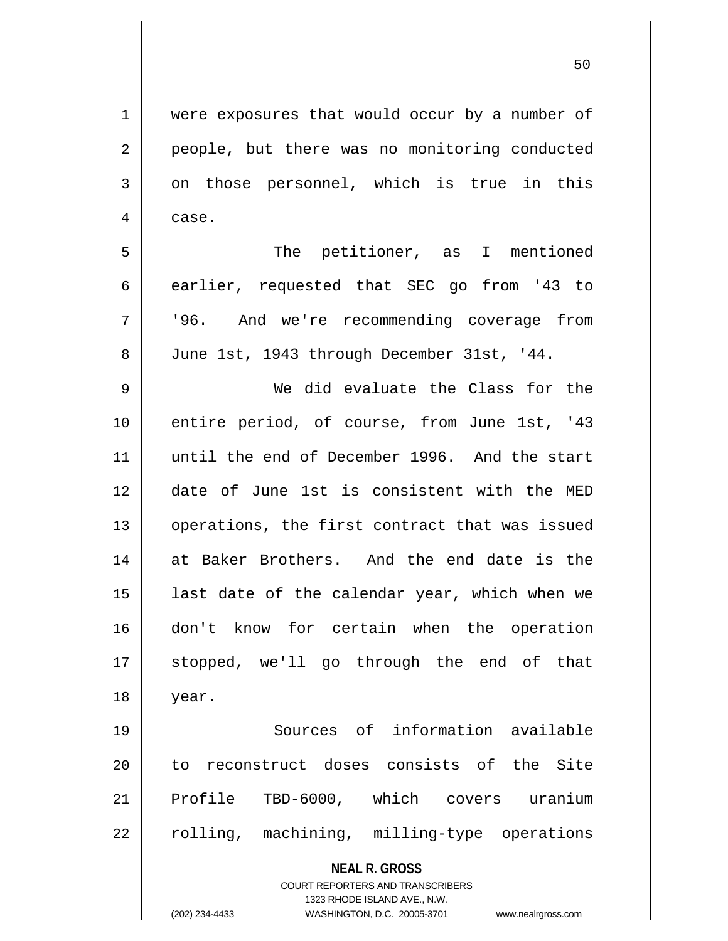50

**NEAL R. GROSS** COURT REPORTERS AND TRANSCRIBERS 1323 RHODE ISLAND AVE., N.W. 1 | were exposures that would occur by a number of 2 || people, but there was no monitoring conducted  $3 \parallel$  on those personnel, which is true in this 4 case. 5 || The petitioner, as I mentioned 6 earlier, requested that SEC go from '43 to 7 '96. And we're recommending coverage from 8 June 1st, 1943 through December 31st, '44. 9 We did evaluate the Class for the 10 || entire period, of course, from June 1st, '43 11 until the end of December 1996. And the start 12 date of June 1st is consistent with the MED 13 || operations, the first contract that was issued 14 at Baker Brothers. And the end date is the 15  $\parallel$  last date of the calendar year, which when we 16 don't know for certain when the operation 17 stopped, we'll go through the end of that 18 year. 19 Sources of information available 20 || to reconstruct doses consists of the Site 21 || Profile TBD-6000, which covers uranium 22 || rolling, machining, milling-type operations

(202) 234-4433 WASHINGTON, D.C. 20005-3701 www.nealrgross.com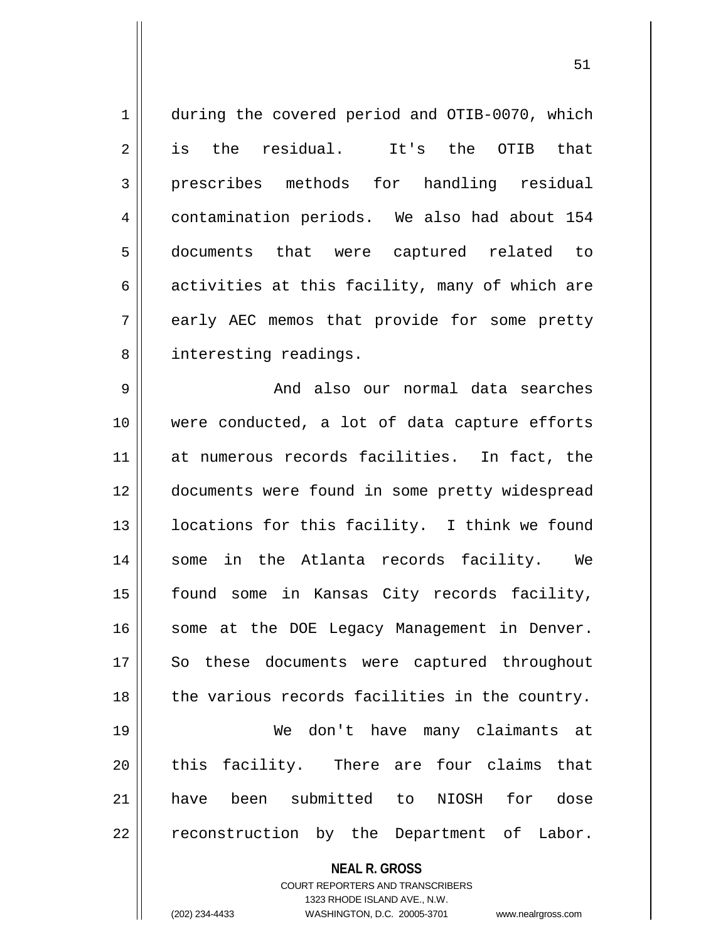| $\mathbf 1$ | during the covered period and OTIB-0070, which |
|-------------|------------------------------------------------|
| 2           | is the residual. It's the OTIB that            |
| 3           | prescribes methods for handling residual       |
| 4           | contamination periods. We also had about 154   |
| 5           | documents that were captured related to        |
| 6           | activities at this facility, many of which are |
| 7           | early AEC memos that provide for some pretty   |
| 8           | interesting readings.                          |
| 9           | And also our normal data searches              |
|             |                                                |

 were conducted, a lot of data capture efforts at numerous records facilities. In fact, the 12 | documents were found in some pretty widespread 13 || locations for this facility. I think we found 14 Some in the Atlanta records facility. We found some in Kansas City records facility, 16 || some at the DOE Legacy Management in Denver. 17 || So these documents were captured throughout | the various records facilities in the country. We don't have many claimants at 20 || this facility. There are four claims that have been submitted to NIOSH for dose

|| reconstruction by the Department of Labor.

**NEAL R. GROSS**

COURT REPORTERS AND TRANSCRIBERS 1323 RHODE ISLAND AVE., N.W. (202) 234-4433 WASHINGTON, D.C. 20005-3701 www.nealrgross.com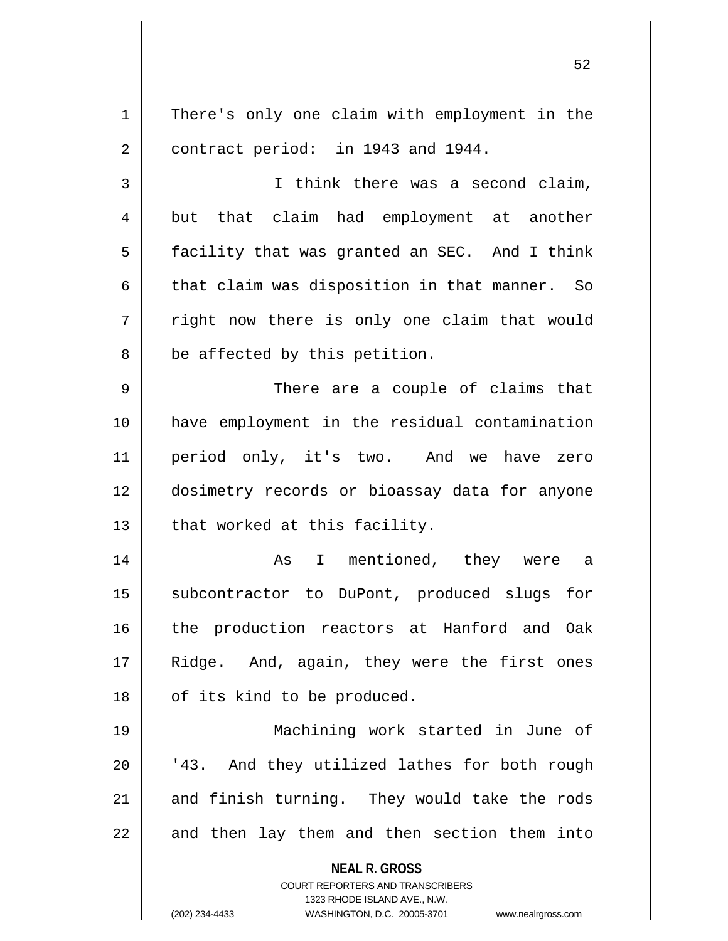**NEAL R. GROSS** COURT REPORTERS AND TRANSCRIBERS 1323 RHODE ISLAND AVE., N.W. (202) 234-4433 WASHINGTON, D.C. 20005-3701 www.nealrgross.com 1 | There's only one claim with employment in the  $2 \parallel$  contract period: in 1943 and 1944. 3 I think there was a second claim, 4 but that claim had employment at another 5 | facility that was granted an SEC. And I think 6  $\parallel$  that claim was disposition in that manner. So  $7 \parallel$  right now there is only one claim that would  $8 \parallel$  be affected by this petition. 9 There are a couple of claims that 10 have employment in the residual contamination 11 || period only, it's two. And we have zero 12 dosimetry records or bioassay data for anyone  $13$  | that worked at this facility. 14 As I mentioned, they were a 15 || subcontractor to DuPont, produced slugs for 16 the production reactors at Hanford and Oak 17 || Ridge. And, again, they were the first ones 18 || of its kind to be produced. 19 Machining work started in June of 20 || '43. And they utilized lathes for both rough 21 and finish turning. They would take the rods  $22$  || and then lay them and then section them into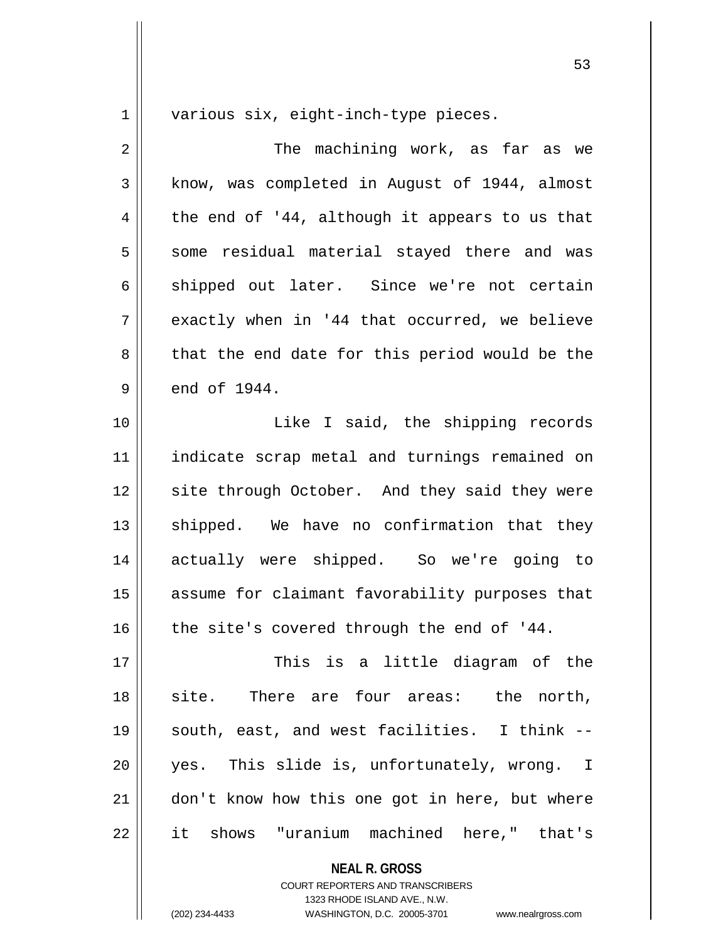1 || various six, eight-inch-type pieces.

2 The machining work, as far as we 3 | know, was completed in August of 1944, almost  $4 \parallel$  the end of '44, although it appears to us that 5 || some residual material stayed there and was 6 shipped out later. Since we're not certain  $7 \parallel$  exactly when in '44 that occurred, we believe 8 that the end date for this period would be the  $9 \parallel$  end of 1944. 10 || [asset] Like I said, the shipping records 11 indicate scrap metal and turnings remained on 12 || site through October. And they said they were 13 || shipped. We have no confirmation that they 14 actually were shipped. So we're going to 15 || assume for claimant favorability purposes that  $16$  | the site's covered through the end of '44. 17 This is a little diagram of the 18 || site. There are four areas: the north, 19 || south, east, and west facilities. I think --20 yes. This slide is, unfortunately, wrong. I 21 | don't know how this one got in here, but where 22 it shows "uranium machined here," that's

**NEAL R. GROSS**

COURT REPORTERS AND TRANSCRIBERS 1323 RHODE ISLAND AVE., N.W. (202) 234-4433 WASHINGTON, D.C. 20005-3701 www.nealrgross.com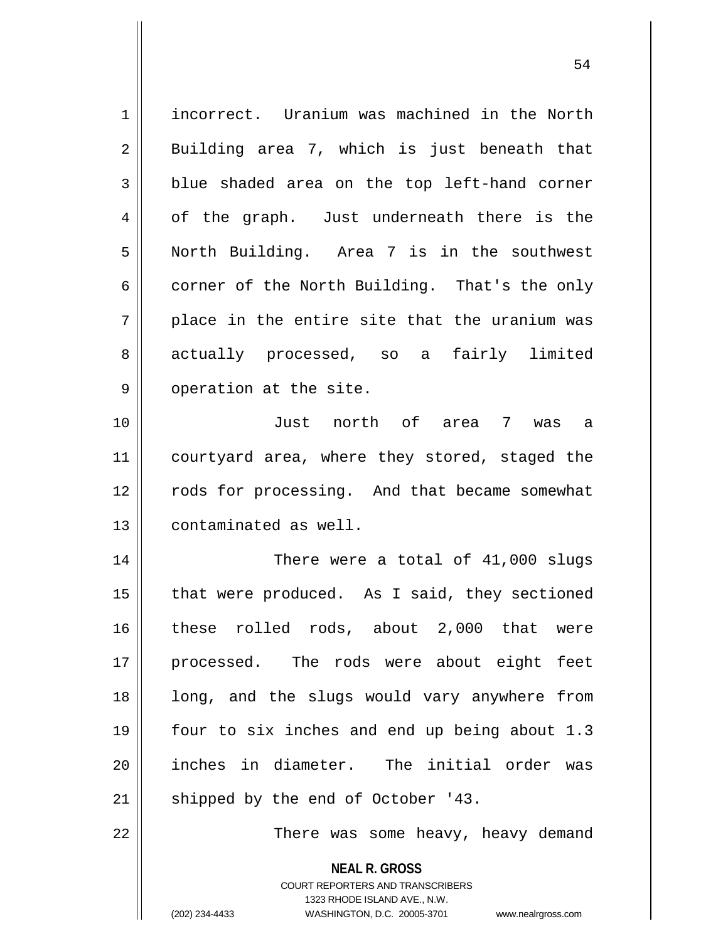1 incorrect. Uranium was machined in the North  $2 \parallel$  Building area 7, which is just beneath that  $3 \parallel$  blue shaded area on the top left-hand corner  $4 \parallel$  of the graph. Just underneath there is the 5 North Building. Area 7 is in the southwest  $6 \parallel$  corner of the North Building. That's the only  $7 \parallel$  place in the entire site that the uranium was 8 actually processed, so a fairly limited  $9 \parallel$  operation at the site. 10 Just north of area 7 was a 11 || courtyard area, where they stored, staged the 12 || rods for processing. And that became somewhat 13 || contaminated as well. 14 There were a total of 41,000 slugs  $15$  | that were produced. As I said, they sectioned 16 these rolled rods, about 2,000 that were 17 processed. The rods were about eight feet 18 || long, and the slugs would vary anywhere from 19 four to six inches and end up being about 1.3 20 || inches in diameter. The initial order was  $21$  | shipped by the end of October '43. 22 || There was some heavy, heavy demand

> COURT REPORTERS AND TRANSCRIBERS 1323 RHODE ISLAND AVE., N.W.

**NEAL R. GROSS**

(202) 234-4433 WASHINGTON, D.C. 20005-3701 www.nealrgross.com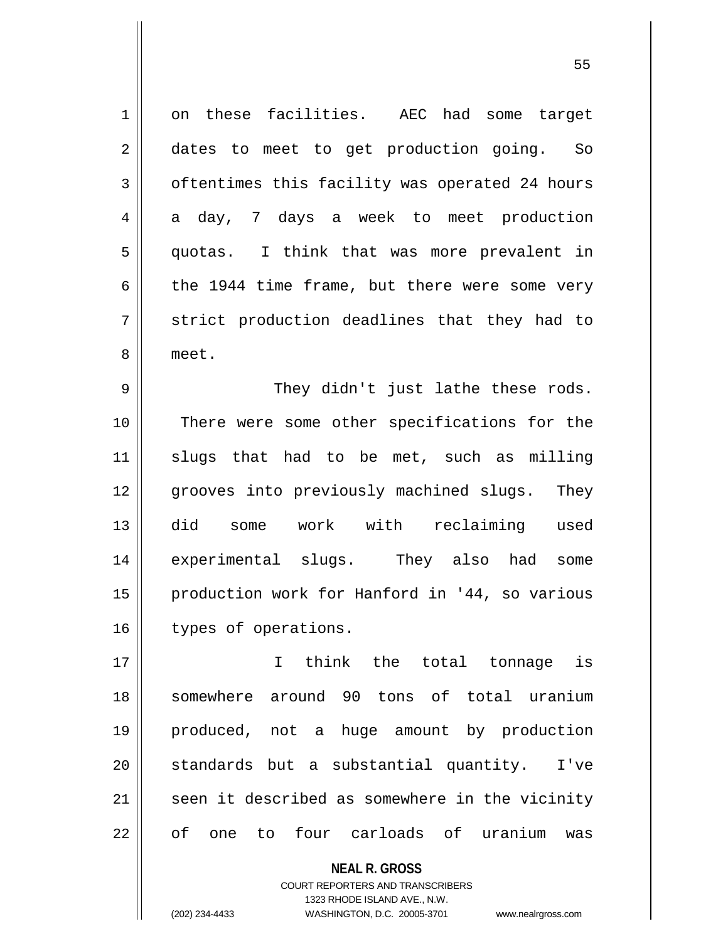1 on these facilities. AEC had some target 2 aates to meet to get production going. So 3 | oftentimes this facility was operated 24 hours  $4 \parallel$  a day, 7 days a week to meet production 5 quotas. I think that was more prevalent in 6  $\parallel$  the 1944 time frame, but there were some very  $7 \parallel$  strict production deadlines that they had to 8 meet. 9 They didn't just lathe these rods. 10 || There were some other specifications for the 11 || slugs that had to be met, such as milling 12 grooves into previously machined slugs. They 13 did some work with reclaiming used 14 experimental slugs. They also had some 15 || production work for Hanford in '44, so various 16 | types of operations. 17 I think the total tonnage is 18 somewhere around 90 tons of total uranium 19 produced, not a huge amount by production

 $21$  seen it described as somewhere in the vicinity

22 || of one to four carloads of uranium was

COURT REPORTERS AND TRANSCRIBERS 1323 RHODE ISLAND AVE., N.W. (202) 234-4433 WASHINGTON, D.C. 20005-3701 www.nealrgross.com

**NEAL R. GROSS**

20 || standards but a substantial quantity. I've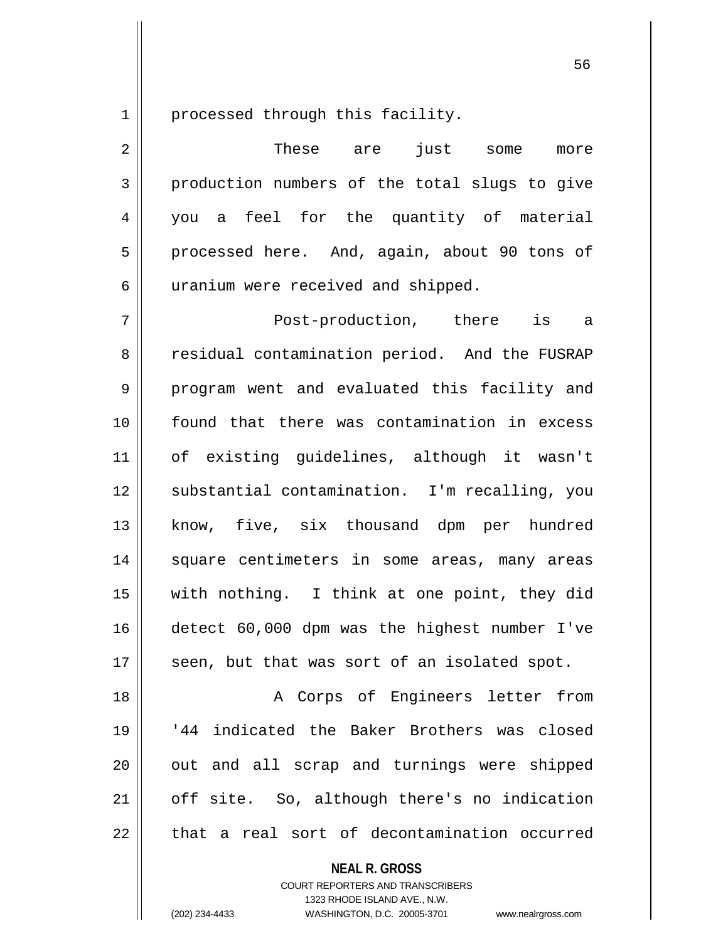1 || processed through this facility.

2 These are just some more  $3 \parallel$  production numbers of the total slugs to give 4 you a feel for the quantity of material 5 || processed here. And, again, about 90 tons of 6 | uranium were received and shipped. 7 Post-production, there is a 8 Tesidual contamination period. And the FUSRAP 9 || program went and evaluated this facility and 10 found that there was contamination in excess 11 of existing guidelines, although it wasn't 12 substantial contamination. I'm recalling, you 13 || know, five, six thousand dpm per hundred 14 || square centimeters in some areas, many areas 15 with nothing. I think at one point, they did 16 detect 60,000 dpm was the highest number I've 17 || seen, but that was sort of an isolated spot. 18 || The Corps of Engineers letter from

 '44 indicated the Baker Brothers was closed 20 || out and all scrap and turnings were shipped | off site. So, although there's no indication || that a real sort of decontamination occurred

> **NEAL R. GROSS** COURT REPORTERS AND TRANSCRIBERS 1323 RHODE ISLAND AVE., N.W.

(202) 234-4433 WASHINGTON, D.C. 20005-3701 www.nealrgross.com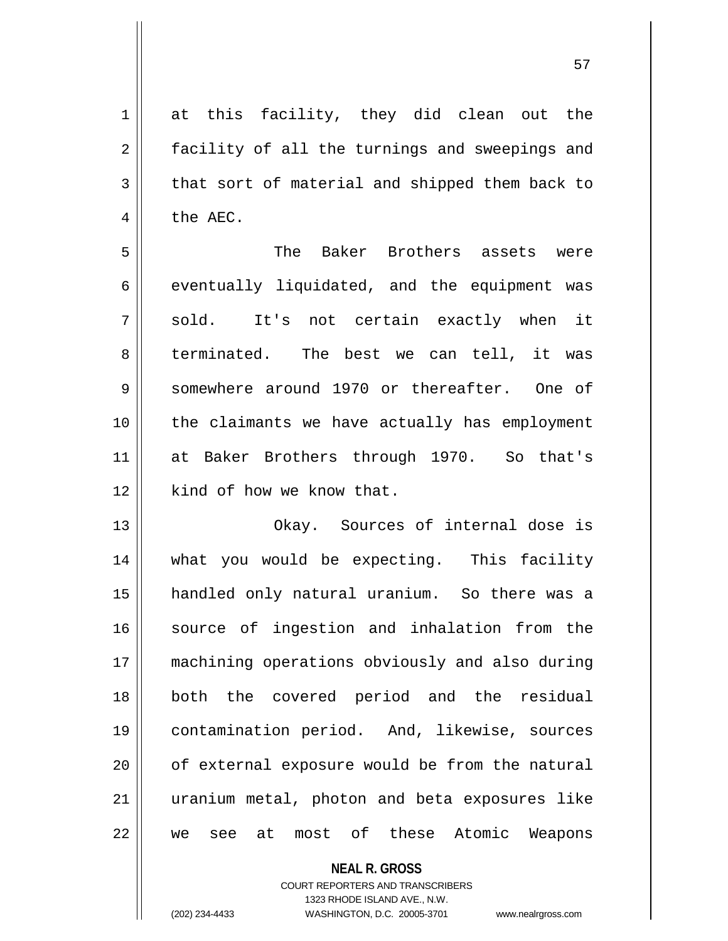| $\mathbf 1$ | at this facility, they did clean out the                    |
|-------------|-------------------------------------------------------------|
| 2           | facility of all the turnings and sweepings and              |
| 3           | that sort of material and shipped them back to              |
| 4           | the AEC.                                                    |
| 5           | Baker Brothers assets were<br>The                           |
| 6           | eventually liquidated, and the equipment was                |
| 7           | sold. It's not certain exactly when it                      |
| 8           | terminated. The best we can tell, it was                    |
| 9           | somewhere around 1970 or thereafter. One of                 |
| 10          | the claimants we have actually has employment               |
| 11          | at Baker Brothers through 1970. So that's                   |
| 12          | kind of how we know that.                                   |
| 13          | Okay. Sources of internal dose is                           |
| 14          | what you would be expecting. This facility                  |
| 15          | handled only natural uranium. So there was a                |
| 16          | source of ingestion and inhalation from the                 |
| 17          | machining operations obviously and also during              |
| 18          | both the covered period and the residual                    |
| 19          | contamination period. And, likewise, sources                |
| 20          | of external exposure would be from the natural              |
| 21          | uranium metal, photon and beta exposures like               |
| 22          | of<br>these<br>Atomic<br>Weapons<br>most<br>at<br>see<br>we |

COURT REPORTERS AND TRANSCRIBERS 1323 RHODE ISLAND AVE., N.W.

**NEAL R. GROSS**

(202) 234-4433 WASHINGTON, D.C. 20005-3701 www.nealrgross.com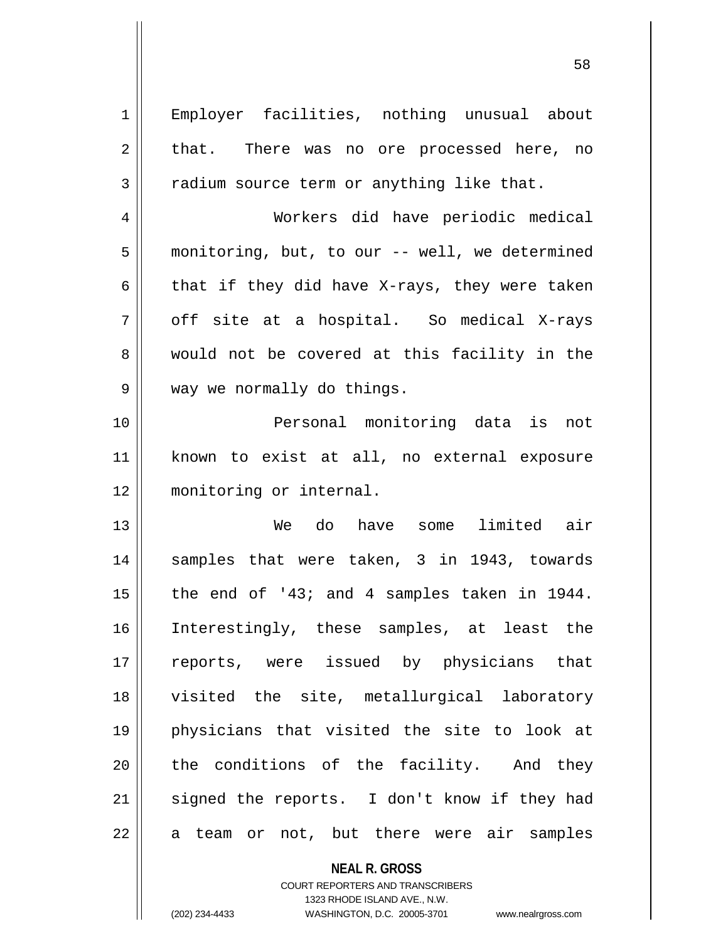1 Employer facilities, nothing unusual about  $2 \parallel$  that. There was no ore processed here, no  $3 \parallel$  radium source term or anything like that. 4 Workers did have periodic medical 5 monitoring, but, to our -- well, we determined 6  $\parallel$  that if they did have X-rays, they were taken  $7 \parallel$  off site at a hospital. So medical X-rays 8 would not be covered at this facility in the 9 || way we normally do things. 10 Personal monitoring data is not 11 known to exist at all, no external exposure

13 We do have some limited air 14 || samples that were taken, 3 in 1943, towards 15  $\parallel$  the end of '43; and 4 samples taken in 1944. 16 Interestingly, these samples, at least the 17 || reports, were issued by physicians that 18 visited the site, metallurgical laboratory 19 physicians that visited the site to look at 20 || the conditions of the facility. And they  $21$  signed the reports. I don't know if they had  $22 \parallel$  a team or not, but there were air samples

12 monitoring or internal.

**NEAL R. GROSS** COURT REPORTERS AND TRANSCRIBERS 1323 RHODE ISLAND AVE., N.W. (202) 234-4433 WASHINGTON, D.C. 20005-3701 www.nealrgross.com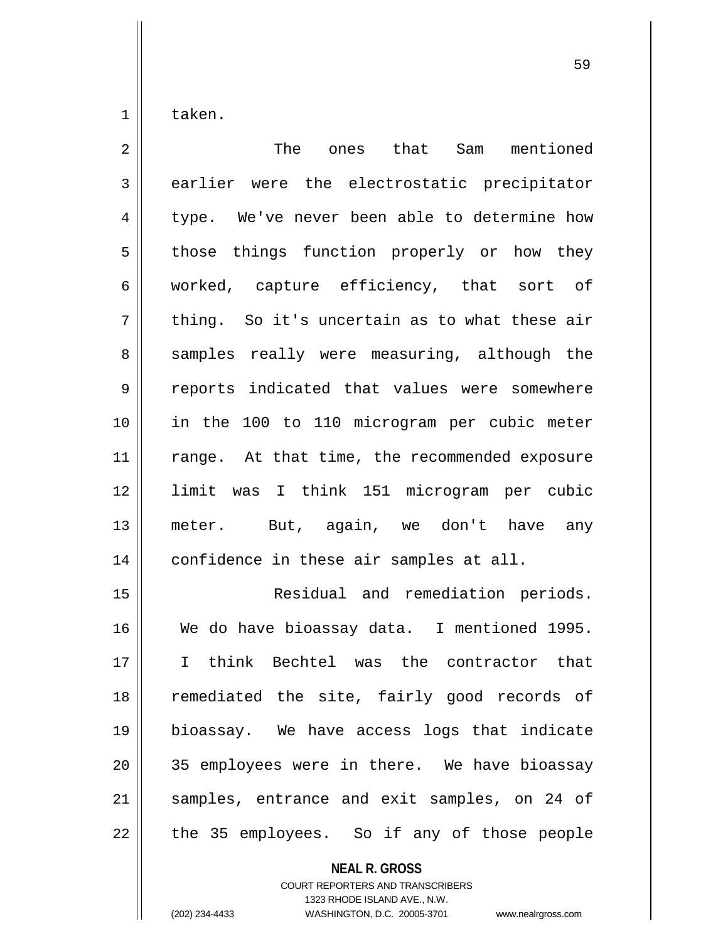taken.

| $\overline{2}$ | The ones that Sam mentioned                   |
|----------------|-----------------------------------------------|
| 3              | earlier were the electrostatic precipitator   |
| $\overline{4}$ | type. We've never been able to determine how  |
| 5              | those things function properly or how they    |
| 6              | worked, capture efficiency, that sort of      |
| 7              | thing. So it's uncertain as to what these air |
| 8              | samples really were measuring, although the   |
| 9              | reports indicated that values were somewhere  |
| 10             | in the 100 to 110 microgram per cubic meter   |
| 11             | range. At that time, the recommended exposure |
| 12             | limit was I think 151 microgram per cubic     |
| 13             | meter. But, again, we don't have any          |
| 14             | confidence in these air samples at all.       |
| 15             | Residual and remediation periods.             |
| 16             | We do have bioassay data. I mentioned 1995.   |
| 17             | I think Bechtel was the contractor that       |
| 18             | remediated the site, fairly good records of   |
| 19             | bioassay. We have access logs that indicate   |
| 20             | 35 employees were in there. We have bioassay  |
| 21             | samples, entrance and exit samples, on 24 of  |
| 22             | the 35 employees. So if any of those people   |

**NEAL R. GROSS**

COURT REPORTERS AND TRANSCRIBERS 1323 RHODE ISLAND AVE., N.W. (202) 234-4433 WASHINGTON, D.C. 20005-3701 www.nealrgross.com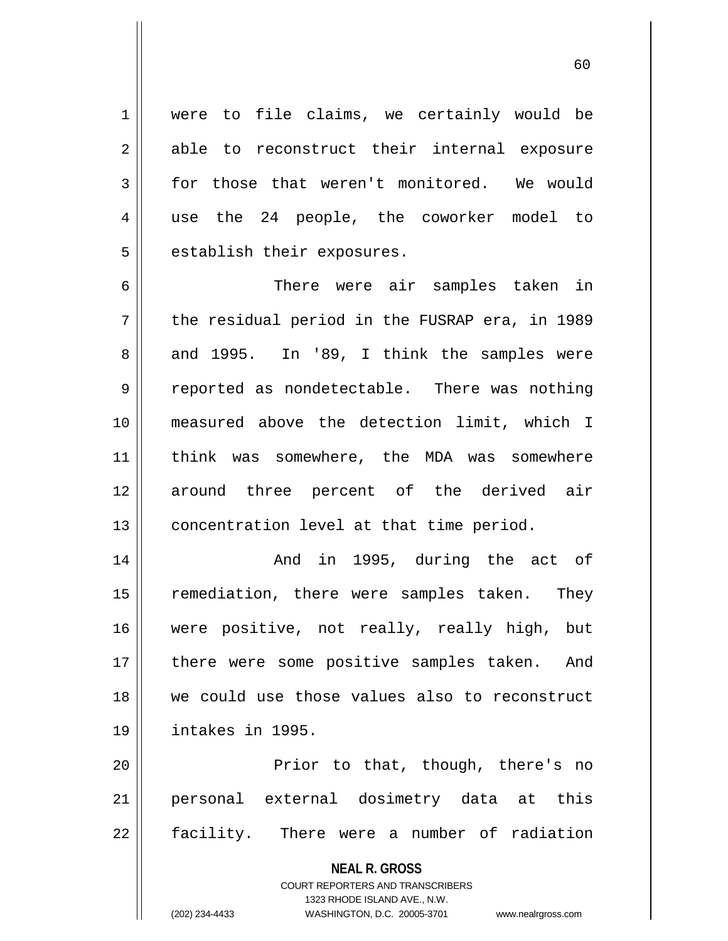1 || were to file claims, we certainly would be 2 able to reconstruct their internal exposure  $3 \parallel$  for those that weren't monitored. We would 4 use the 24 people, the coworker model to  $5$  || establish their exposures.

6 There were air samples taken in  $7 \parallel$  the residual period in the FUSRAP era, in 1989  $8 \parallel$  and 1995. In '89, I think the samples were 9 || reported as nondetectable. There was nothing 10 measured above the detection limit, which I 11 think was somewhere, the MDA was somewhere 12 around three percent of the derived air 13 || concentration level at that time period.

 And in 1995, during the act of 15 || remediation, there were samples taken. They were positive, not really, really high, but 17 || there were some positive samples taken. And we could use those values also to reconstruct intakes in 1995.

20 Prior to that, though, there's no 21 personal external dosimetry data at this 22 || facility. There were a number of radiation

> **NEAL R. GROSS** COURT REPORTERS AND TRANSCRIBERS 1323 RHODE ISLAND AVE., N.W. (202) 234-4433 WASHINGTON, D.C. 20005-3701 www.nealrgross.com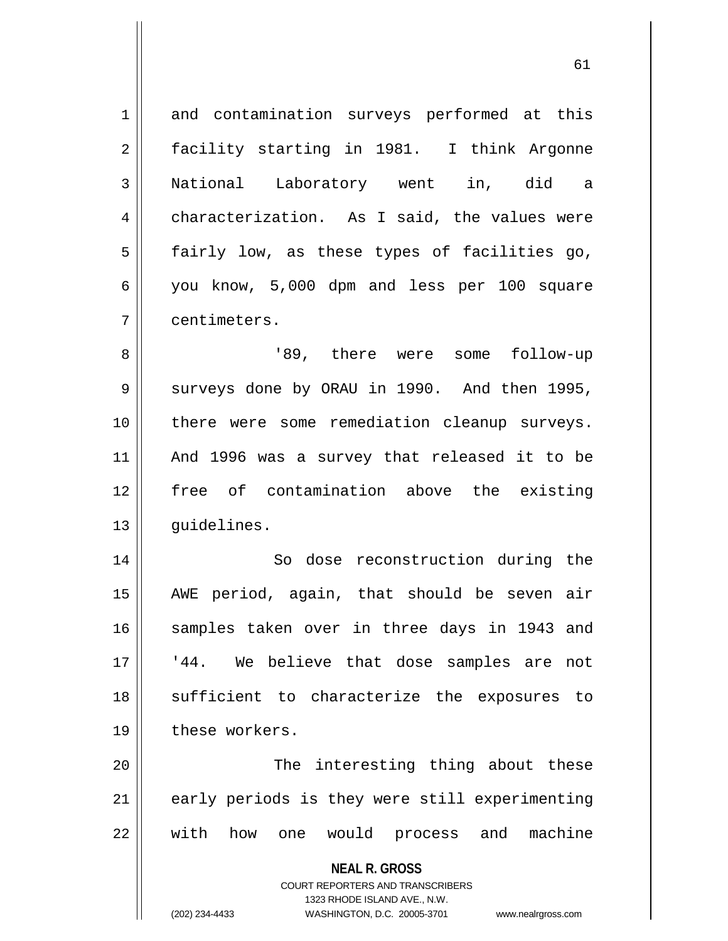**NEAL R. GROSS** COURT REPORTERS AND TRANSCRIBERS 1323 RHODE ISLAND AVE., N.W. 1 and contamination surveys performed at this 2 || facility starting in 1981. I think Argonne 3 National Laboratory went in, did a 4 | characterization. As I said, the values were  $5$  fairly low, as these types of facilities go, 6 you know, 5,000 dpm and less per 100 square 7 centimeters. 8 '89, there were some follow-up 9 || surveys done by ORAU in 1990. And then 1995, 10 there were some remediation cleanup surveys. 11 And 1996 was a survey that released it to be 12 free of contamination above the existing 13 | quidelines. 14 || So dose reconstruction during the 15 AWE period, again, that should be seven air 16 || samples taken over in three days in 1943 and 17 || '44. We believe that dose samples are not 18 || sufficient to characterize the exposures to 19 these workers. 20 The interesting thing about these  $21$  | early periods is they were still experimenting 22 with how one would process and machine

(202) 234-4433 WASHINGTON, D.C. 20005-3701 www.nealrgross.com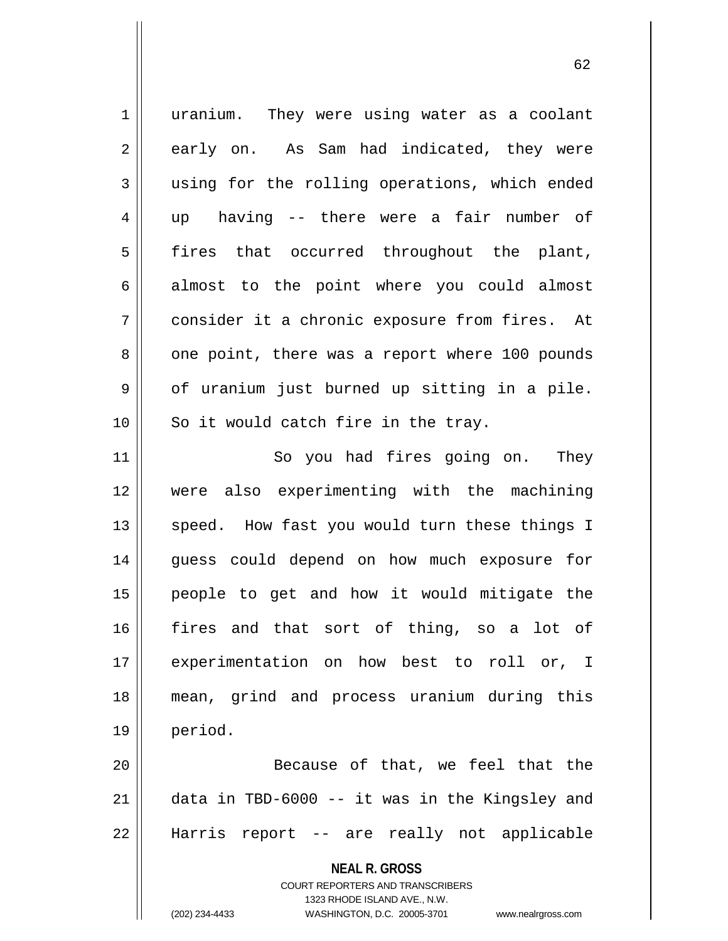**NEAL R. GROSS** COURT REPORTERS AND TRANSCRIBERS 1323 RHODE ISLAND AVE., N.W. (202) 234-4433 WASHINGTON, D.C. 20005-3701 www.nealrgross.com 1 || uranium. They were using water as a coolant 2 || early on. As Sam had indicated, they were 3 || using for the rolling operations, which ended 4 up having -- there were a fair number of 5 fires that occurred throughout the plant,  $6 \parallel$  almost to the point where you could almost 7 consider it a chronic exposure from fires. At 8 || one point, there was a report where 100 pounds  $9 \parallel$  of uranium just burned up sitting in a pile.  $10$  || So it would catch fire in the tray. 11 || So you had fires going on. They 12 were also experimenting with the machining 13 || speed. How fast you would turn these things I 14 guess could depend on how much exposure for 15 people to get and how it would mitigate the 16 fires and that sort of thing, so a lot of 17 experimentation on how best to roll or, I 18 mean, grind and process uranium during this 19 period. 20 || Because of that, we feel that the 21 data in TBD-6000 -- it was in the Kingsley and 22 Harris report -- are really not applicable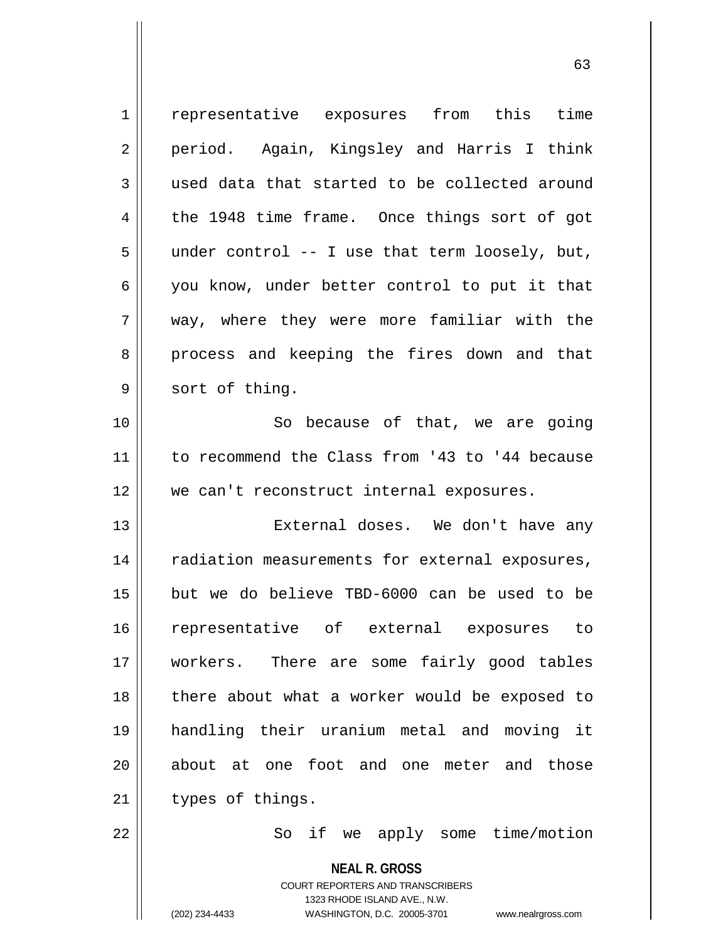| $\mathbf 1$ | representative exposures from this time                             |
|-------------|---------------------------------------------------------------------|
| 2           | period. Again, Kingsley and Harris I think                          |
| 3           | used data that started to be collected around                       |
| 4           | the 1948 time frame. Once things sort of got                        |
| 5           | under control $-$ - I use that term loosely, but,                   |
| 6           | you know, under better control to put it that                       |
| 7           | way, where they were more familiar with the                         |
| 8           | process and keeping the fires down and that                         |
| 9           | sort of thing.                                                      |
| 10          | So because of that, we are going                                    |
| 11          | to recommend the Class from '43 to '44 because                      |
| 12          | we can't reconstruct internal exposures.                            |
| 13          | External doses. We don't have any                                   |
| 14          | radiation measurements for external exposures,                      |
| 15          | but we do believe TBD-6000 can be used to be                        |
| 16          | representative of external exposures to                             |
| 17          | workers. There are some fairly good tables                          |
| 18          | there about what a worker would be exposed to                       |
| 19          | handling their uranium metal and<br>moving it                       |
| 20          | about at one foot and one meter and those                           |
| 21          | types of things.                                                    |
| 22          | So if we apply some time/motion                                     |
|             | <b>NEAL R. GROSS</b><br><b>COURT REPORTERS AND TRANSCRIBERS</b>     |
|             | 1323 RHODE ISLAND AVE., N.W.                                        |
|             | (202) 234-4433<br>WASHINGTON, D.C. 20005-3701<br>www.nealrgross.com |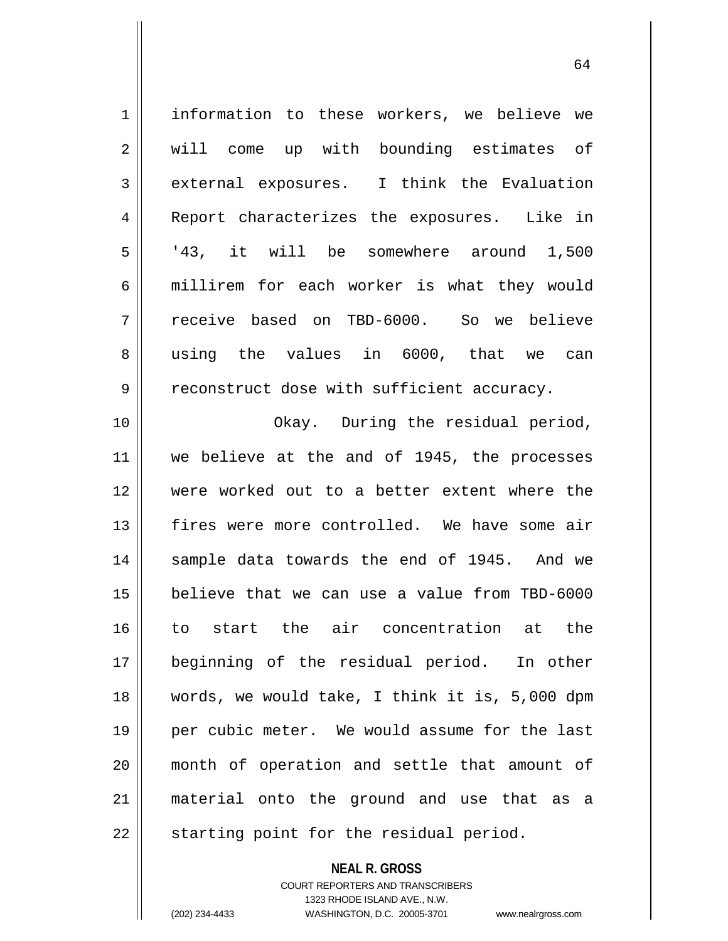| $\mathbf 1$    | information to these workers, we believe we    |
|----------------|------------------------------------------------|
| 2              | will come up with bounding estimates of        |
| 3              | external exposures. I think the Evaluation     |
| $\overline{4}$ | Report characterizes the exposures. Like in    |
| 5              | '43, it will be somewhere around 1,500         |
| 6              | millirem for each worker is what they would    |
| 7              | receive based on TBD-6000. So we believe       |
| 8              | using the values in 6000, that we can          |
| 9              | reconstruct dose with sufficient accuracy.     |
| 10             | Okay. During the residual period,              |
| 11             | we believe at the and of 1945, the processes   |
| 12             | were worked out to a better extent where the   |
| 13             | fires were more controlled. We have some air   |
| 14             | sample data towards the end of 1945. And we    |
| 15             | believe that we can use a value from TBD-6000  |
| 16             | to start the air concentration at the          |
| 17             | beginning of the residual period. In other     |
| 18             | words, we would take, I think it is, 5,000 dpm |
| 19             | per cubic meter. We would assume for the last  |
| 20             | month of operation and settle that amount of   |
| 21             | material onto the ground and use that as a     |
| 22             | starting point for the residual period.        |

COURT REPORTERS AND TRANSCRIBERS 1323 RHODE ISLAND AVE., N.W.

**NEAL R. GROSS**

(202) 234-4433 WASHINGTON, D.C. 20005-3701 www.nealrgross.com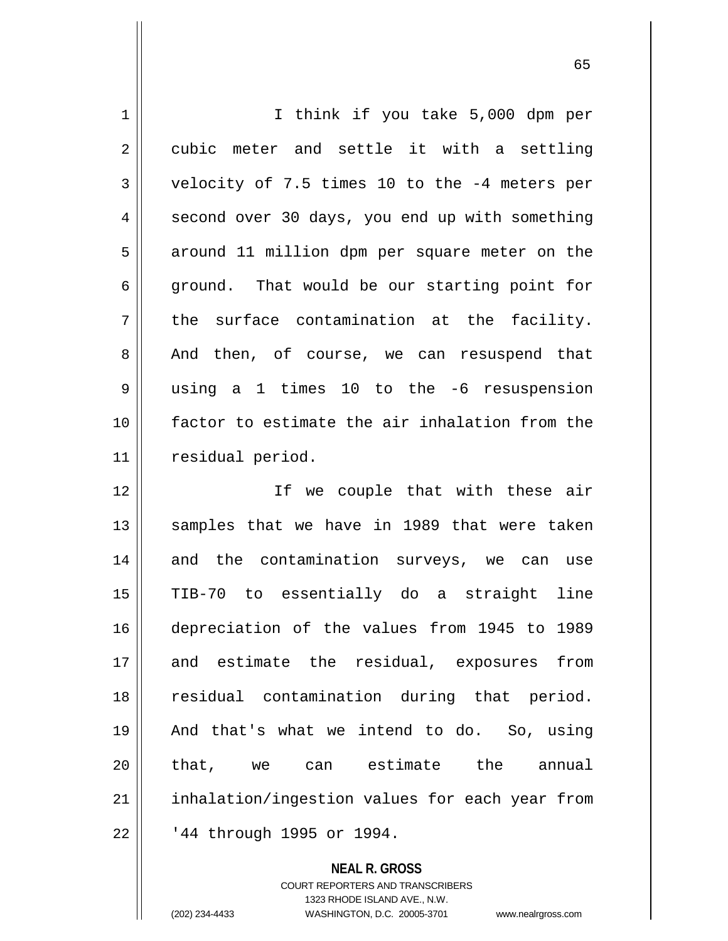1 || I think if you take 5,000 dpm per  $2 \parallel$  cubic meter and settle it with a settling  $3 \parallel$  velocity of 7.5 times 10 to the -4 meters per 4 || second over 30 days, you end up with something 5 || around 11 million dpm per square meter on the  $6 \parallel$  ground. That would be our starting point for  $7 \parallel$  the surface contamination at the facility. 8 || And then, of course, we can resuspend that 9 using a 1 times 10 to the -6 resuspension 10 factor to estimate the air inhalation from the 11 residual period. 12 || Tf we couple that with these air 13 || samples that we have in 1989 that were taken 14 and the contamination surveys, we can use 15 TIB-70 to essentially do a straight line 16 depreciation of the values from 1945 to 1989 17 and estimate the residual, exposures from

18 || residual contamination during that period. 19 And that's what we intend to do. So, using 20 that, we can estimate the annual 21 || inhalation/ingestion values for each year from 22 | 144 through 1995 or 1994.

> **NEAL R. GROSS** COURT REPORTERS AND TRANSCRIBERS 1323 RHODE ISLAND AVE., N.W. (202) 234-4433 WASHINGTON, D.C. 20005-3701 www.nealrgross.com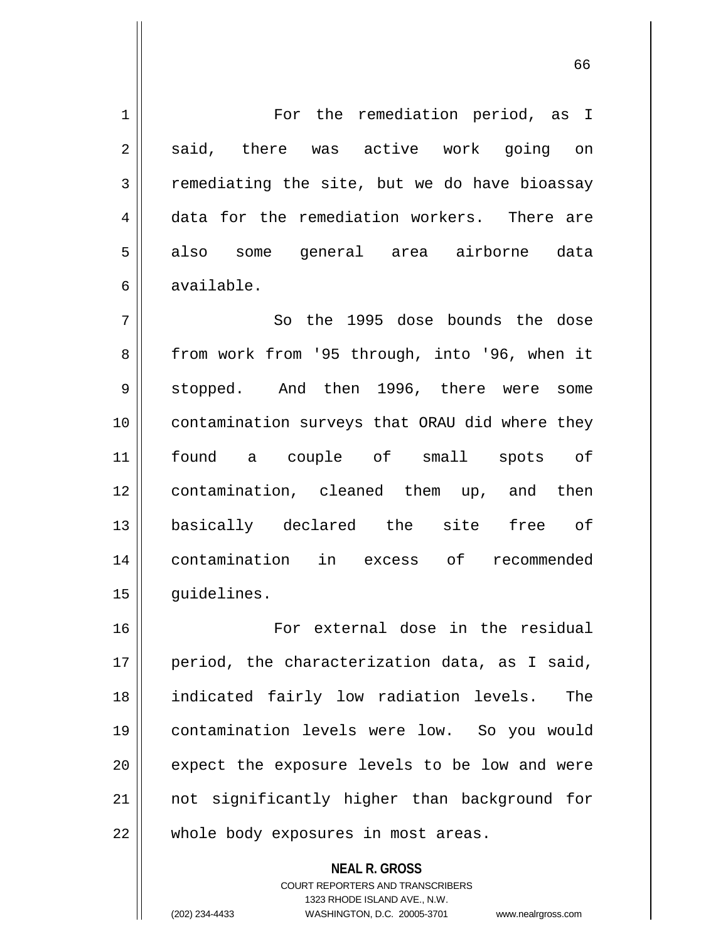1 | For the remediation period, as I 2 || said, there was active work going on  $3 \parallel$  remediating the site, but we do have bioassay 4 data for the remediation workers. There are 5 also some general area airborne data 6 available. 7 So the 1995 dose bounds the dose 8 || from work from '95 through, into '96, when it 9 Stopped. And then 1996, there were some 10 contamination surveys that ORAU did where they 11 found a couple of small spots of 12 contamination, cleaned them up, and then 13 basically declared the site free of 14 contamination in excess of recommended 15 | quidelines. 16 For external dose in the residual  $17$  || period, the characterization data, as I said, 18 indicated fairly low radiation levels. The 19 contamination levels were low. So you would  $20$  || expect the exposure levels to be low and were 21 not significantly higher than background for 22 | whole body exposures in most areas.

> **NEAL R. GROSS** COURT REPORTERS AND TRANSCRIBERS 1323 RHODE ISLAND AVE., N.W.

(202) 234-4433 WASHINGTON, D.C. 20005-3701 www.nealrgross.com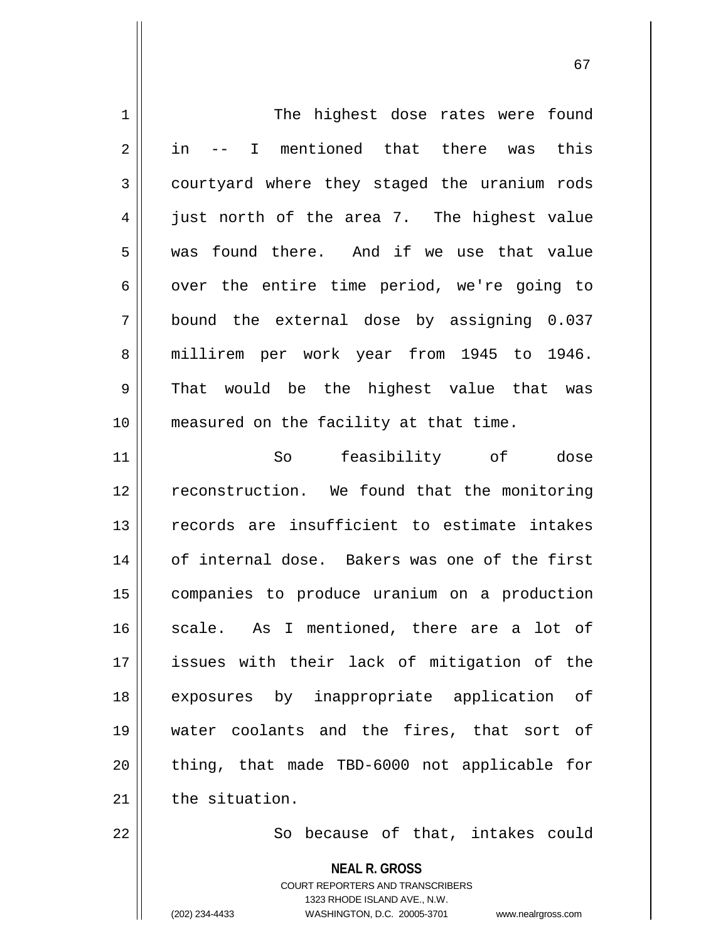| 1  | The highest dose rates were found                                                                                                                                      |
|----|------------------------------------------------------------------------------------------------------------------------------------------------------------------------|
| 2  | I mentioned that there was<br>in<br>this                                                                                                                               |
| 3  | courtyard where they staged the uranium rods                                                                                                                           |
| 4  | just north of the area 7. The highest value                                                                                                                            |
| 5  | was found there. And if we use that value                                                                                                                              |
| 6  | over the entire time period, we're going to                                                                                                                            |
| 7  | bound the external dose by assigning 0.037                                                                                                                             |
| 8  | millirem per work year from 1945 to 1946.                                                                                                                              |
| 9  | That would be the highest value that was                                                                                                                               |
| 10 | measured on the facility at that time.                                                                                                                                 |
| 11 | feasibility of<br>So<br>dose                                                                                                                                           |
| 12 | reconstruction. We found that the monitoring                                                                                                                           |
| 13 | records are insufficient to estimate intakes                                                                                                                           |
| 14 | of internal dose. Bakers was one of the first                                                                                                                          |
| 15 | companies to produce uranium on a production                                                                                                                           |
| 16 | As I mentioned, there are a lot of<br>scale.                                                                                                                           |
| 17 | issues with their lack of mitigation of the                                                                                                                            |
| 18 | exposures by inappropriate application<br>оf                                                                                                                           |
| 19 | water coolants and the fires, that sort of                                                                                                                             |
| 20 | thing, that made TBD-6000 not applicable for                                                                                                                           |
| 21 | the situation.                                                                                                                                                         |
| 22 | So because of that, intakes could                                                                                                                                      |
|    | <b>NEAL R. GROSS</b><br><b>COURT REPORTERS AND TRANSCRIBERS</b><br>1323 RHODE ISLAND AVE., N.W.<br>(202) 234-4433<br>WASHINGTON, D.C. 20005-3701<br>www.nealrgross.com |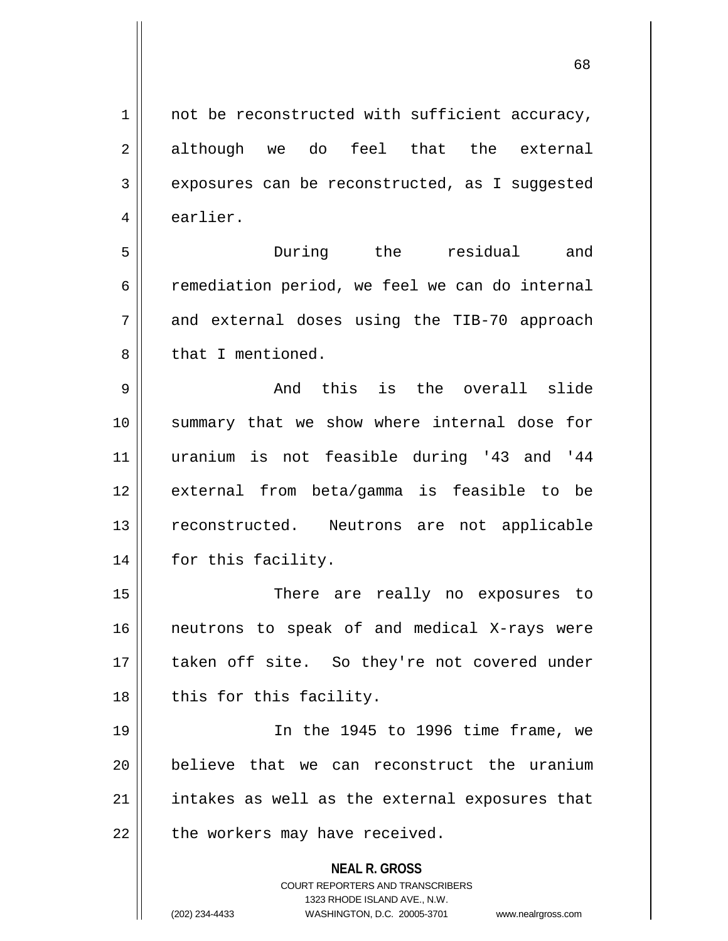$1 \parallel$  not be reconstructed with sufficient accuracy, 2 although we do feel that the external 3 | exposures can be reconstructed, as I suggested 4 | earlier.

5 During the residual and  $6 \parallel$  remediation period, we feel we can do internal  $7 \parallel$  and external doses using the TIB-70 approach 8 l that I mentioned.

9 and this is the overall slide 10 || summary that we show where internal dose for 11 uranium is not feasible during '43 and '44 12 external from beta/gamma is feasible to be 13 || reconstructed. Neutrons are not applicable 14 || for this facility.

 There are really no exposures to neutrons to speak of and medical X-rays were 17 || taken off site. So they're not covered under | this for this facility.

 In the 1945 to 1996 time frame, we believe that we can reconstruct the uranium intakes as well as the external exposures that | the workers may have received.

**NEAL R. GROSS**

COURT REPORTERS AND TRANSCRIBERS 1323 RHODE ISLAND AVE., N.W. (202) 234-4433 WASHINGTON, D.C. 20005-3701 www.nealrgross.com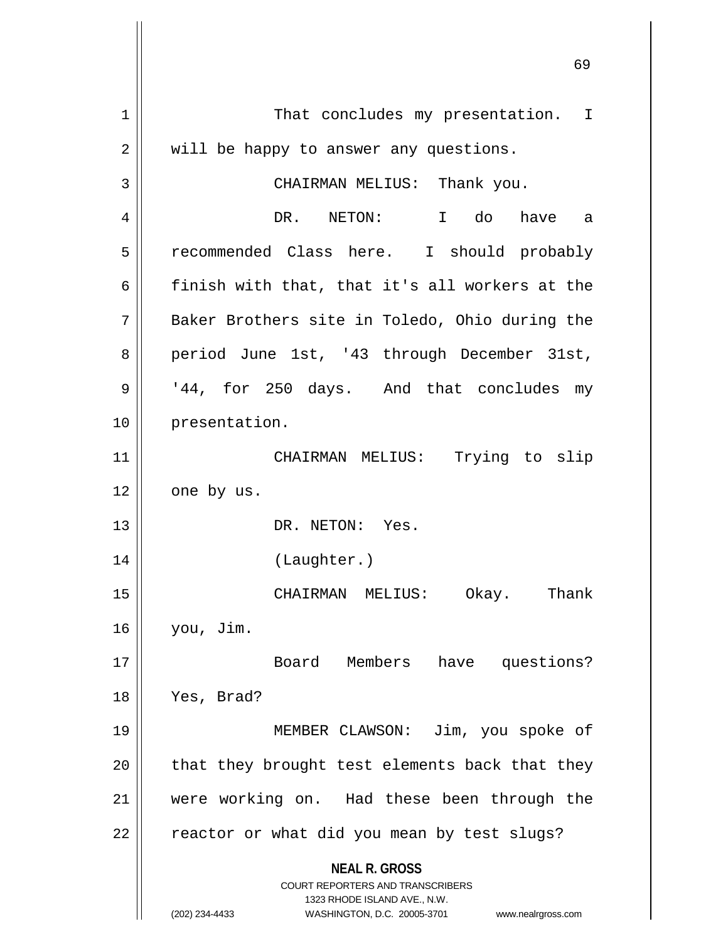|                | 69                                                                                                  |
|----------------|-----------------------------------------------------------------------------------------------------|
| 1              | That concludes my presentation. I                                                                   |
| $\overline{2}$ | will be happy to answer any questions.                                                              |
| 3              | CHAIRMAN MELIUS: Thank you.                                                                         |
| 4              | I do<br>DR. NETON:<br>have a                                                                        |
| 5              | recommended Class here. I should probably                                                           |
| 6              | finish with that, that it's all workers at the                                                      |
| 7              | Baker Brothers site in Toledo, Ohio during the                                                      |
| 8              | period June 1st, '43 through December 31st,                                                         |
| 9              | '44, for 250 days. And that concludes my                                                            |
| 10             | presentation.                                                                                       |
| 11             | Trying to<br>CHAIRMAN MELIUS:<br>slip                                                               |
| 12             | one by us.                                                                                          |
| 13             | DR. NETON: Yes.                                                                                     |
| 14             | (Laughter.)                                                                                         |
| $15$           | CHAIRMAN MELIUS: Okay.<br>Thank                                                                     |
| 16             | you, Jim.                                                                                           |
| 17             | Board Members have questions?                                                                       |
| 18             | Yes, Brad?                                                                                          |
| 19             | MEMBER CLAWSON: Jim, you spoke of                                                                   |
| 20             | that they brought test elements back that they                                                      |
| 21             | were working on. Had these been through the                                                         |
| 22             | reactor or what did you mean by test slugs?                                                         |
|                | <b>NEAL R. GROSS</b><br><b>COURT REPORTERS AND TRANSCRIBERS</b>                                     |
|                | 1323 RHODE ISLAND AVE., N.W.<br>(202) 234-4433<br>WASHINGTON, D.C. 20005-3701<br>www.nealrgross.com |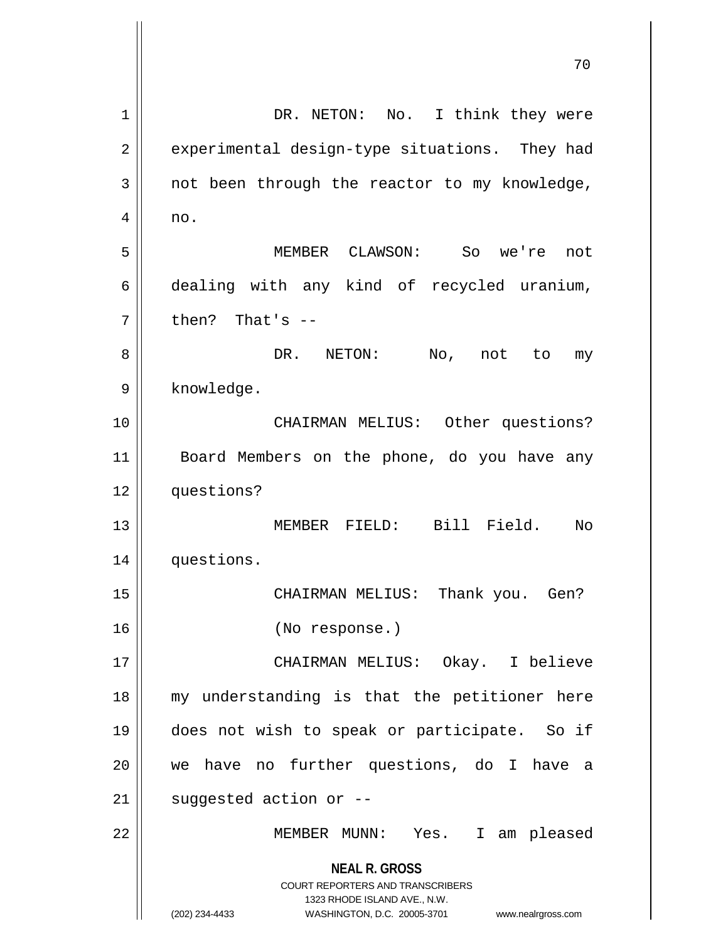| 1  | DR. NETON: No. I think they were                                                                                                                                       |
|----|------------------------------------------------------------------------------------------------------------------------------------------------------------------------|
| 2  | experimental design-type situations. They had                                                                                                                          |
| 3  | not been through the reactor to my knowledge,                                                                                                                          |
| 4  | no.                                                                                                                                                                    |
| 5  | MEMBER CLAWSON: So we're not                                                                                                                                           |
| 6  | dealing with any kind of recycled uranium,                                                                                                                             |
| 7  | then? That's $-$                                                                                                                                                       |
| 8  | DR. NETON:<br>No, not to<br>my                                                                                                                                         |
| 9  | knowledge.                                                                                                                                                             |
| 10 | CHAIRMAN MELIUS: Other questions?                                                                                                                                      |
| 11 | Board Members on the phone, do you have any                                                                                                                            |
| 12 | questions?                                                                                                                                                             |
| 13 | MEMBER FIELD: Bill Field.<br>No                                                                                                                                        |
| 14 | questions.                                                                                                                                                             |
| 15 | CHAIRMAN MELIUS:<br>Thank you. Gen?                                                                                                                                    |
| 16 | (No response.)                                                                                                                                                         |
| 17 | CHAIRMAN MELIUS: Okay. I believe                                                                                                                                       |
| 18 | my understanding is that the petitioner here                                                                                                                           |
| 19 | does not wish to speak or participate. So if                                                                                                                           |
| 20 | we have no further questions, do I have<br>- a                                                                                                                         |
| 21 | suggested action or --                                                                                                                                                 |
| 22 | MEMBER MUNN: Yes. I am pleased                                                                                                                                         |
|    | <b>NEAL R. GROSS</b><br><b>COURT REPORTERS AND TRANSCRIBERS</b><br>1323 RHODE ISLAND AVE., N.W.<br>(202) 234-4433<br>WASHINGTON, D.C. 20005-3701<br>www.nealrgross.com |

 $\overline{\phantom{a}}$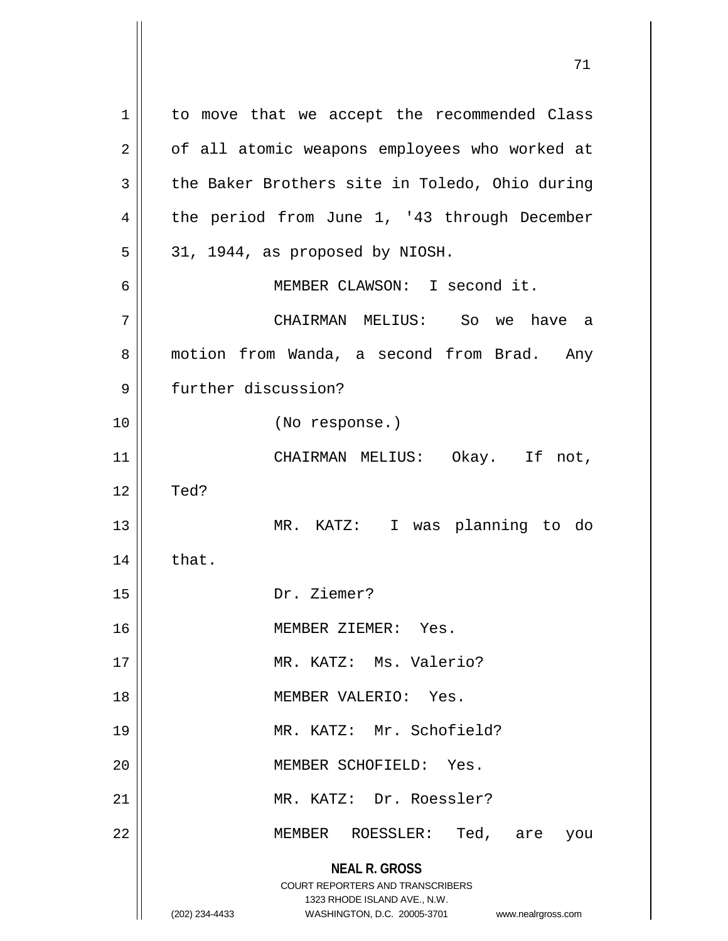**NEAL R. GROSS** COURT REPORTERS AND TRANSCRIBERS 1323 RHODE ISLAND AVE., N.W. (202) 234-4433 WASHINGTON, D.C. 20005-3701 www.nealrgross.com 1 | to move that we accept the recommended Class 2 | of all atomic weapons employees who worked at  $3 \parallel$  the Baker Brothers site in Toledo, Ohio during 4 | the period from June 1, '43 through December  $5 \parallel 31$ , 1944, as proposed by NIOSH. 6 MEMBER CLAWSON: I second it. 7 CHAIRMAN MELIUS: So we have a 8 | motion from Wanda, a second from Brad. Any 9 further discussion? 10 (No response.) 11 || CHAIRMAN MELIUS: Okay. If not,  $12 \parallel$  Ted? 13 MR. KATZ: I was planning to do  $14$   $\parallel$  that. 15 Dr. Ziemer? 16 | **MEMBER ZIEMER:** Yes. 17 || MR. KATZ: Ms. Valerio? 18 MEMBER VALERIO: Yes. 19 || MR. KATZ: Mr. Schofield? 20 || MEMBER SCHOFIELD: Yes. 21 MR. KATZ: Dr. Roessler? 22 MEMBER ROESSLER: Ted, are you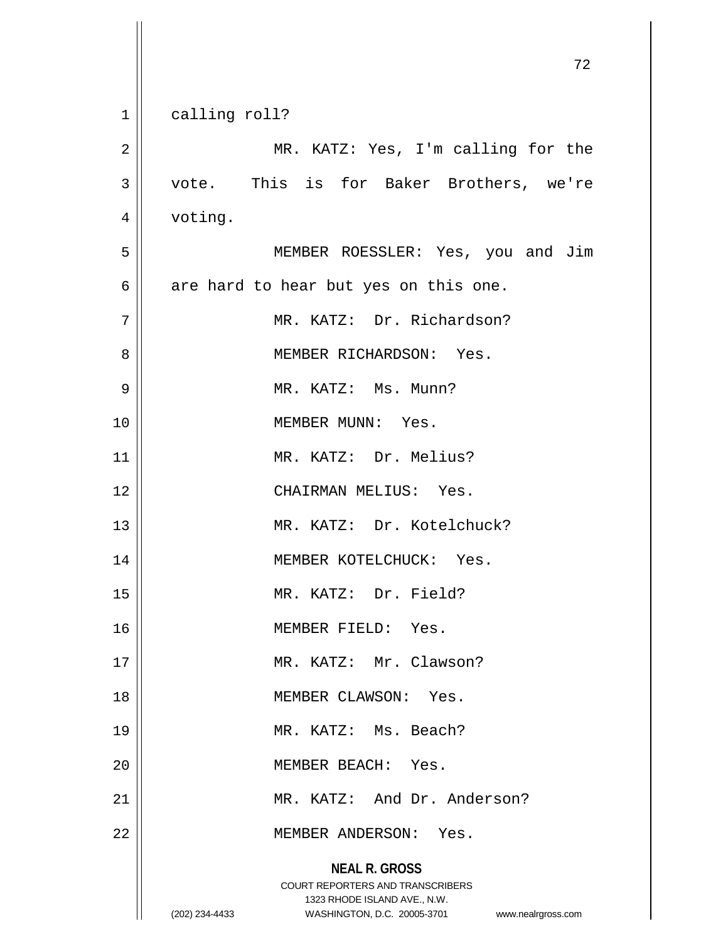|                | 72                                                                                                                                                                     |
|----------------|------------------------------------------------------------------------------------------------------------------------------------------------------------------------|
| $\mathbf 1$    | calling roll?                                                                                                                                                          |
|                |                                                                                                                                                                        |
| $\overline{2}$ | MR. KATZ: Yes, I'm calling for the                                                                                                                                     |
| 3              | vote. This is for Baker Brothers, we're                                                                                                                                |
| 4              | voting.                                                                                                                                                                |
| 5              | MEMBER ROESSLER: Yes, you and Jim                                                                                                                                      |
| 6              | are hard to hear but yes on this one.                                                                                                                                  |
| 7              | MR. KATZ: Dr. Richardson?                                                                                                                                              |
| 8              | MEMBER RICHARDSON: Yes.                                                                                                                                                |
| 9              | MR. KATZ: Ms. Munn?                                                                                                                                                    |
| 10             | MEMBER MUNN: Yes.                                                                                                                                                      |
| 11             | MR. KATZ: Dr. Melius?                                                                                                                                                  |
| 12             | CHAIRMAN MELIUS: Yes.                                                                                                                                                  |
| 13             | MR. KATZ: Dr. Kotelchuck?                                                                                                                                              |
| 14             | MEMBER KOTELCHUCK: Yes.                                                                                                                                                |
| 15             | MR. KATZ: Dr. Field?                                                                                                                                                   |
| 16             | MEMBER FIELD: Yes.                                                                                                                                                     |
| 17             | MR. KATZ: Mr. Clawson?                                                                                                                                                 |
| 18             | MEMBER CLAWSON: Yes.                                                                                                                                                   |
| 19             | MR. KATZ: Ms. Beach?                                                                                                                                                   |
| 20             | MEMBER BEACH: Yes.                                                                                                                                                     |
| 21             | MR. KATZ: And Dr. Anderson?                                                                                                                                            |
| 22             | MEMBER ANDERSON: Yes.                                                                                                                                                  |
|                | <b>NEAL R. GROSS</b><br><b>COURT REPORTERS AND TRANSCRIBERS</b><br>1323 RHODE ISLAND AVE., N.W.<br>(202) 234-4433<br>WASHINGTON, D.C. 20005-3701<br>www.nealrgross.com |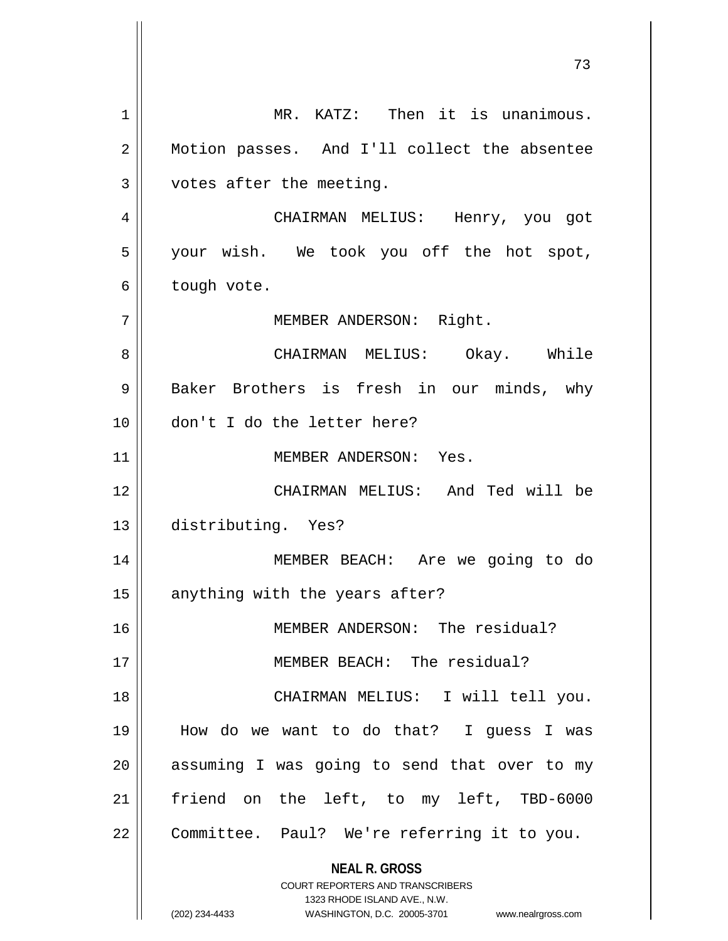**NEAL R. GROSS** COURT REPORTERS AND TRANSCRIBERS 1323 RHODE ISLAND AVE., N.W. (202) 234-4433 WASHINGTON, D.C. 20005-3701 www.nealrgross.com 1 MR. KATZ: Then it is unanimous. 2 Motion passes. And I'll collect the absentee  $3$  | votes after the meeting. 4 CHAIRMAN MELIUS: Henry, you got 5 || your wish. We took you off the hot spot,  $6 \parallel$  tough vote. 7 || MEMBER ANDERSON: Right. 8 CHAIRMAN MELIUS: Okay. While 9 || Baker Brothers is fresh in our minds, why 10 don't I do the letter here? 11 || MEMBER ANDERSON: Yes. 12 CHAIRMAN MELIUS: And Ted will be 13 distributing. Yes? 14 MEMBER BEACH: Are we going to do  $15$  anything with the years after? 16 MEMBER ANDERSON: The residual? 17 MEMBER BEACH: The residual? 18 || CHAIRMAN MELIUS: I will tell you. 19 How do we want to do that? I guess I was  $20$  || assuming I was going to send that over to my 21 || friend on the left, to my left, TBD-6000 22 | Committee. Paul? We're referring it to you.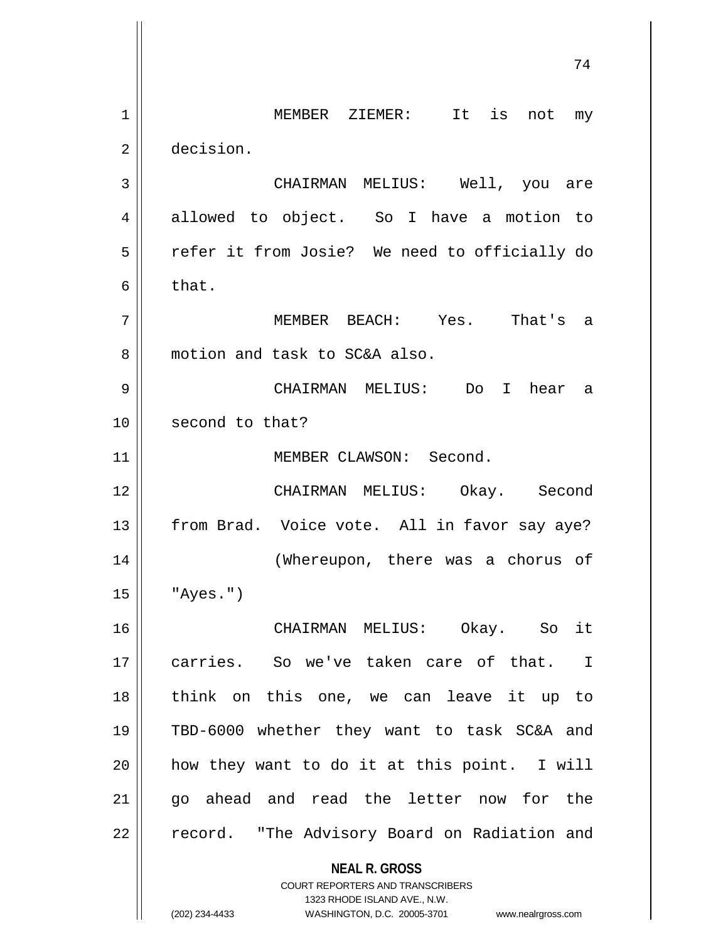**NEAL R. GROSS** COURT REPORTERS AND TRANSCRIBERS 1323 RHODE ISLAND AVE., N.W. 1 || MEMBER ZIEMER: It is not my 2 decision. 3 CHAIRMAN MELIUS: Well, you are 4 allowed to object. So I have a motion to 5 | refer it from Josie? We need to officially do  $6 \parallel$  that. 7 MEMBER BEACH: Yes. That's a 8 motion and task to SC&A also. 9 CHAIRMAN MELIUS: Do I hear a 10 || second to that? 11 || MEMBER CLAWSON: Second. 12 CHAIRMAN MELIUS: Okay. Second 13 || from Brad. Voice vote. All in favor say aye? 14 || (Whereupon, there was a chorus of  $15$   $\parallel$  "Ayes.") 16 CHAIRMAN MELIUS: Okay. So it 17 carries. So we've taken care of that. I 18 think on this one, we can leave it up to 19 TBD-6000 whether they want to task SC&A and  $20$  || how they want to do it at this point. I will 21 || go ahead and read the letter now for the 22 | record. "The Advisory Board on Radiation and

(202) 234-4433 WASHINGTON, D.C. 20005-3701 www.nealrgross.com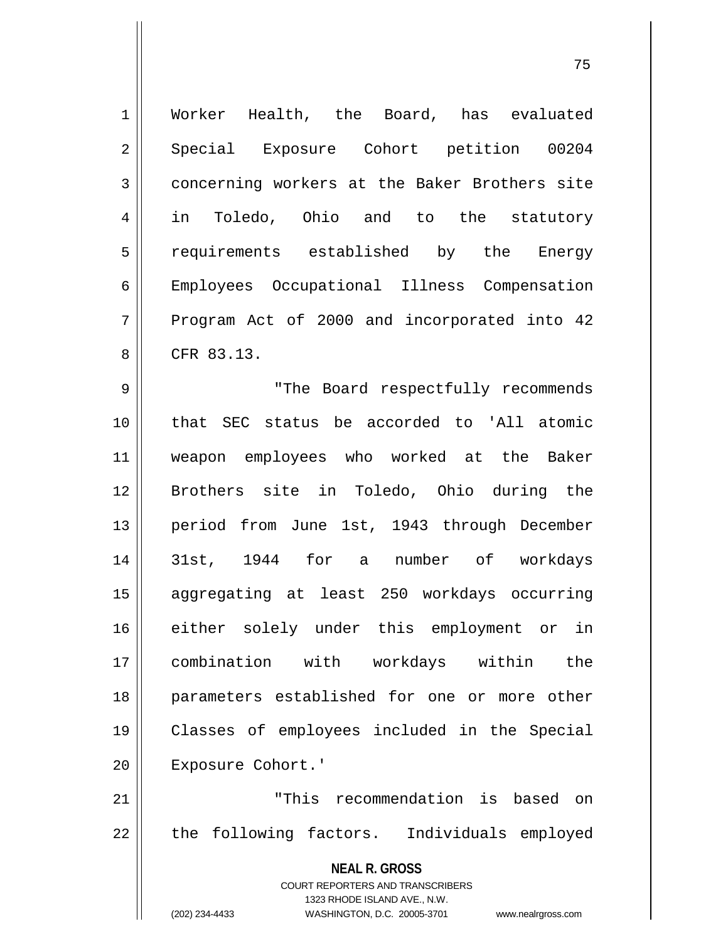| $\mathbf 1$ | Worker Health, the Board, has evaluated                             |
|-------------|---------------------------------------------------------------------|
| 2           | Special Exposure Cohort petition 00204                              |
| 3           | concerning workers at the Baker Brothers site                       |
| 4           | in Toledo, Ohio and to the statutory                                |
| 5           | requirements established by the Energy                              |
| 6           | Employees Occupational Illness Compensation                         |
| 7           | Program Act of 2000 and incorporated into 42                        |
| 8           | CFR 83.13.                                                          |
| 9           | "The Board respectfully recommends                                  |
| 10          | that SEC status be accorded to 'All atomic                          |
| 11          | weapon employees who worked at the Baker                            |
| 12          | Brothers site in Toledo, Ohio during the                            |
| 13          | period from June 1st, 1943 through December                         |
| 14          | 31st, 1944 for a number of workdays                                 |
| 15          | aggregating at least 250 workdays occurring                         |
| 16          | either solely under this employment or<br>in                        |
| 17          | combination with workdays within<br>the                             |
| 18          | parameters established for one or more other                        |
| 19          | Classes of employees included in the Special                        |
| 20          | Exposure Cohort.'                                                   |
| 21          | "This recommendation is based on                                    |
| 22          | the following factors. Individuals employed                         |
|             | <b>NEAL R. GROSS</b>                                                |
|             | COURT REPORTERS AND TRANSCRIBERS                                    |
|             | 1323 RHODE ISLAND AVE., N.W.                                        |
|             | (202) 234-4433<br>WASHINGTON, D.C. 20005-3701<br>www.nealrgross.com |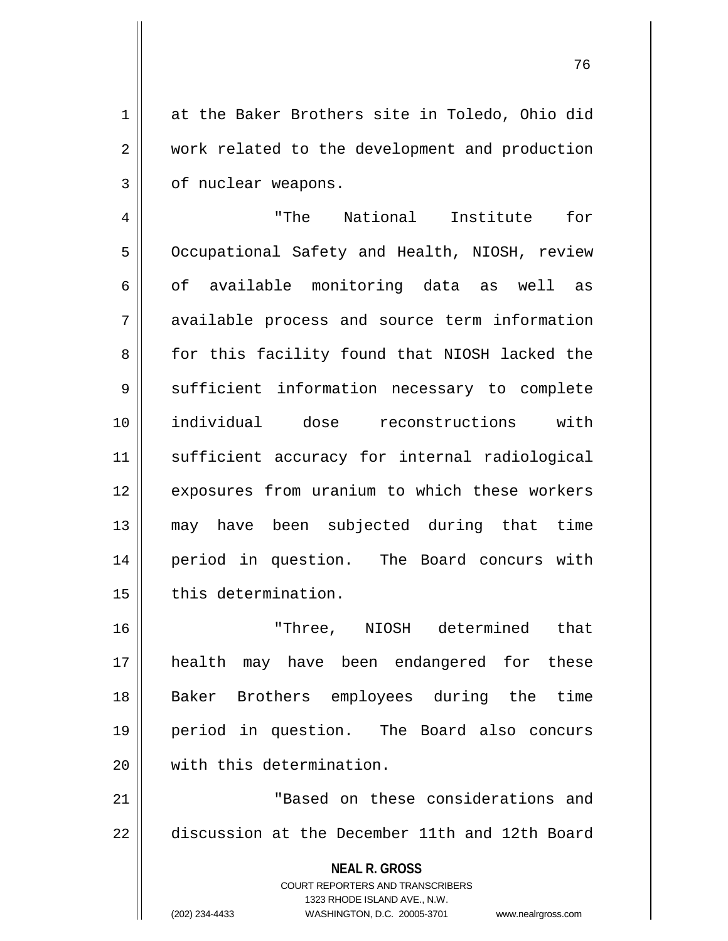1 at the Baker Brothers site in Toledo, Ohio did 2 | work related to the development and production 3 | of nuclear weapons.

4 || The National Institute for 5 | Occupational Safety and Health, NIOSH, review 6 of available monitoring data as well as 7 available process and source term information 8 for this facility found that NIOSH lacked the 9 || sufficient information necessary to complete 10 individual dose reconstructions with 11 sufficient accuracy for internal radiological 12 || exposures from uranium to which these workers 13 may have been subjected during that time 14 period in question. The Board concurs with 15 | this determination.

 "Three, NIOSH determined that health may have been endangered for these Baker Brothers employees during the time period in question. The Board also concurs 20 With this determination.

21 "Based on these considerations and 22 discussion at the December 11th and 12th Board

**NEAL R. GROSS**

COURT REPORTERS AND TRANSCRIBERS 1323 RHODE ISLAND AVE., N.W.

(202) 234-4433 WASHINGTON, D.C. 20005-3701 www.nealrgross.com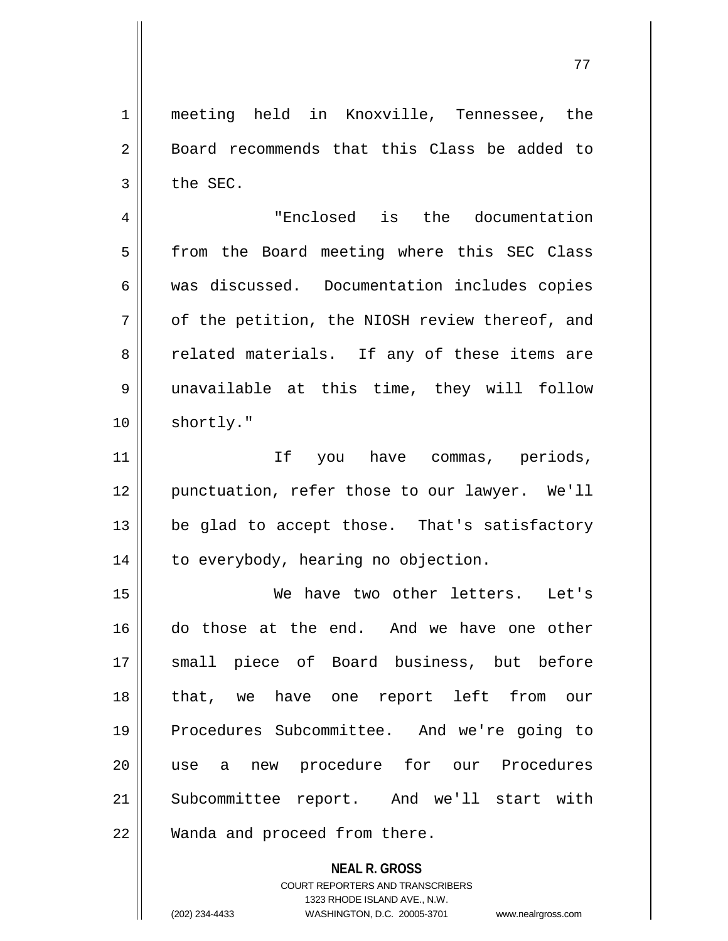**NEAL R. GROSS** 1 meeting held in Knoxville, Tennessee, the 2 | Board recommends that this Class be added to  $3 \parallel$  the SEC. 4 "Enclosed is the documentation 5 || from the Board meeting where this SEC Class 6 was discussed. Documentation includes copies  $7 \parallel$  of the petition, the NIOSH review thereof, and 8 celated materials. If any of these items are 9 unavailable at this time, they will follow 10 | shortly." 11 If you have commas, periods, 12 || punctuation, refer those to our lawyer. We'll  $13$  | be glad to accept those. That's satisfactory 14 | to everybody, hearing no objection. 15 We have two other letters. Let's 16 do those at the end. And we have one other 17 small piece of Board business, but before 18 that, we have one report left from our 19 Procedures Subcommittee. And we're going to 20 use a new procedure for our Procedures 21 || Subcommittee report. And we'll start with 22 || Wanda and proceed from there.

> COURT REPORTERS AND TRANSCRIBERS 1323 RHODE ISLAND AVE., N.W.

(202) 234-4433 WASHINGTON, D.C. 20005-3701 www.nealrgross.com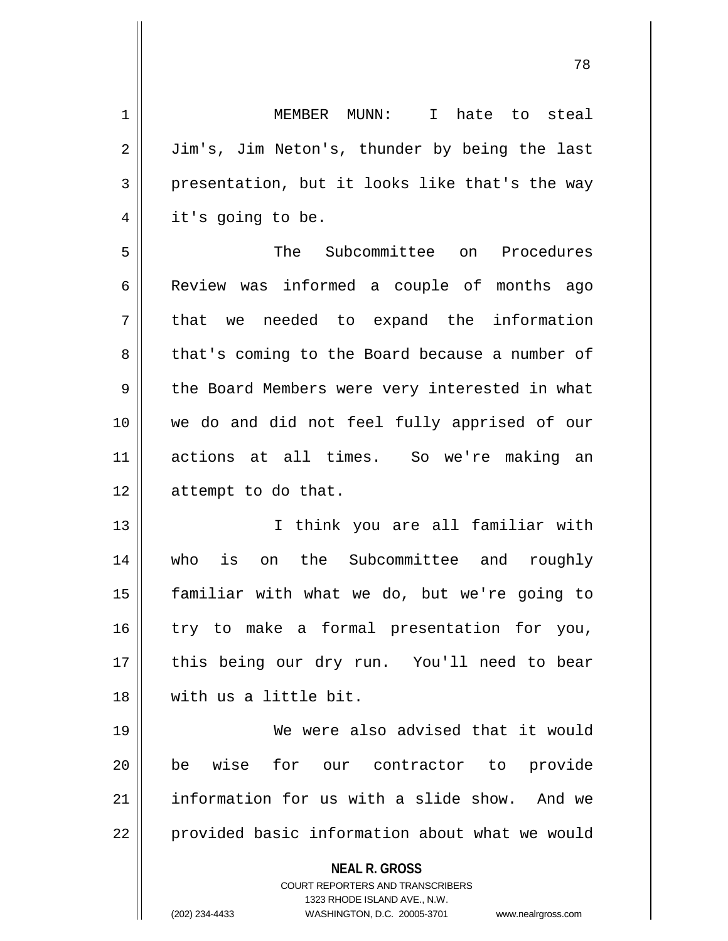**NEAL R. GROSS** COURT REPORTERS AND TRANSCRIBERS 1323 RHODE ISLAND AVE., N.W. (202) 234-4433 WASHINGTON, D.C. 20005-3701 www.nealrgross.com 1 || MEMBER MUNN: I hate to steal 2 | Jim's, Jim Neton's, thunder by being the last  $3 \parallel$  presentation, but it looks like that's the way 4 | it's going to be. 5 The Subcommittee on Procedures 6 | Review was informed a couple of months ago 7 || that we needed to expand the information 8 that's coming to the Board because a number of 9 the Board Members were very interested in what 10 we do and did not feel fully apprised of our 11 actions at all times. So we're making an 12 | attempt to do that. 13 I think you are all familiar with 14 who is on the Subcommittee and roughly 15 familiar with what we do, but we're going to 16 || try to make a formal presentation for you, 17 || this being our dry run. You'll need to bear 18 with us a little bit. 19 We were also advised that it would 20 be wise for our contractor to provide 21 information for us with a slide show. And we 22 | provided basic information about what we would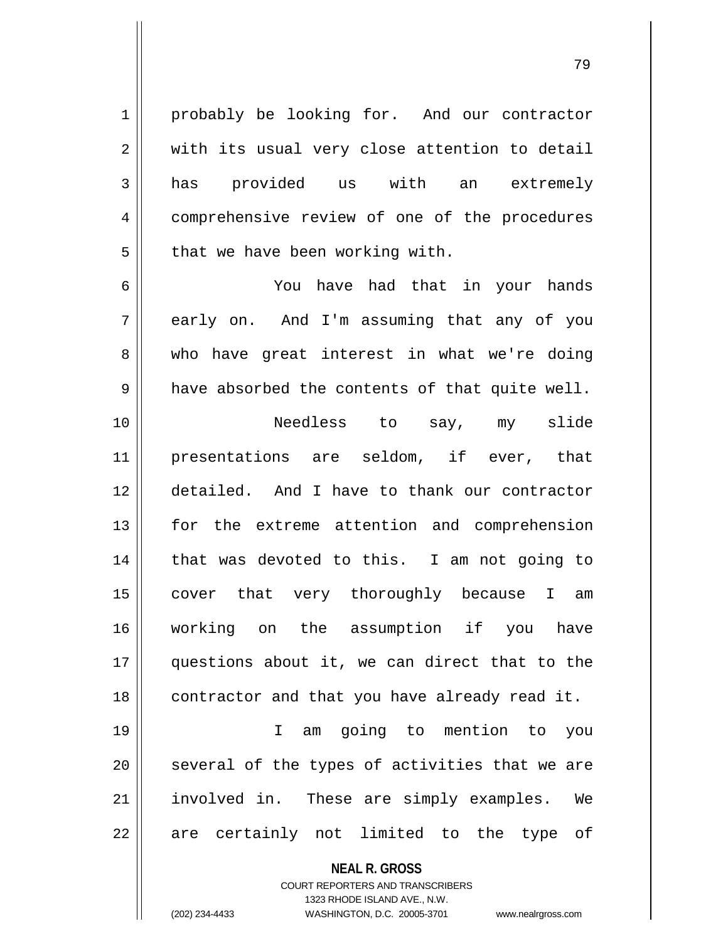1 | probably be looking for. And our contractor  $2 \parallel$  with its usual very close attention to detail 3 has provided us with an extremely 4 | comprehensive review of one of the procedures  $5 \parallel$  that we have been working with.

6 You have had that in your hands 7 acrly on. And I'm assuming that any of you 8 who have great interest in what we're doing  $9 \parallel$  have absorbed the contents of that quite well. 10 Needless to say, my slide 11 presentations are seldom, if ever, that 12 detailed. And I have to thank our contractor 13 for the extreme attention and comprehension

14 || that was devoted to this. I am not going to 15 || cover that very thoroughly because I am 16 working on the assumption if you have 17 questions about it, we can direct that to the  $18$  | contractor and that you have already read it.

19 I am going to mention to you  $20$  several of the types of activities that we are 21 || involved in. These are simply examples. We 22 || are certainly not limited to the type of

> **NEAL R. GROSS** COURT REPORTERS AND TRANSCRIBERS 1323 RHODE ISLAND AVE., N.W.

(202) 234-4433 WASHINGTON, D.C. 20005-3701 www.nealrgross.com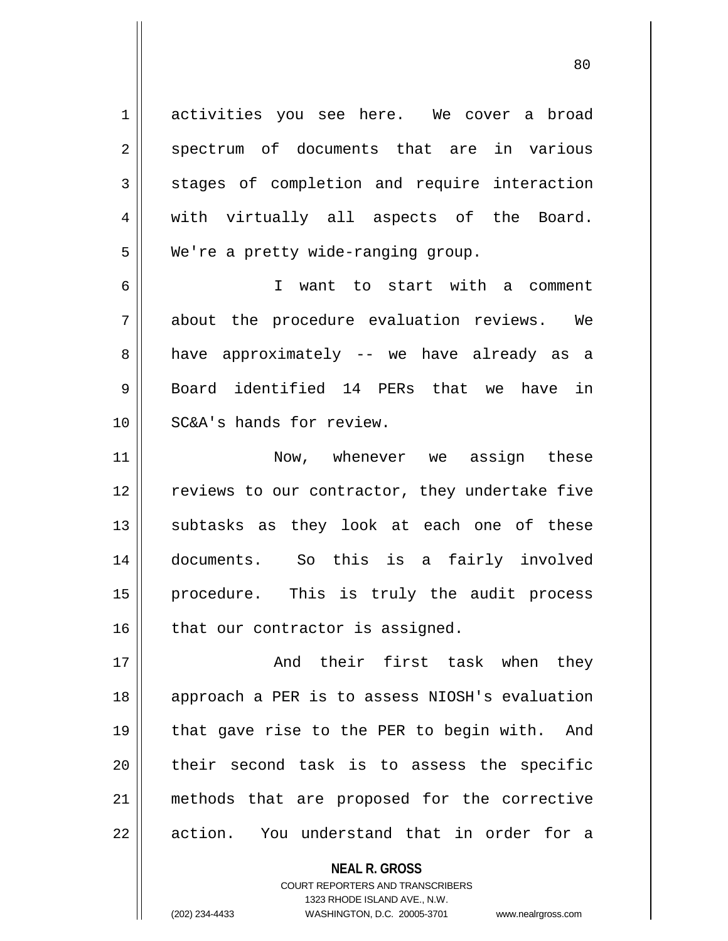1 activities you see here. We cover a broad 2 spectrum of documents that are in various 3 Stages of completion and require interaction 4 || with virtually all aspects of the Board. 5 | We're a pretty wide-ranging group.

6 I want to start with a comment 7 about the procedure evaluation reviews. We 8 || have approximately -- we have already as a  $9 \parallel$  Board identified 14 PERs that we have in 10 SC&A's hands for review.

11 || Now, whenever we assign these 12 || reviews to our contractor, they undertake five 13 || subtasks as they look at each one of these 14 documents. So this is a fairly involved 15 || procedure. This is truly the audit process  $16$  | that our contractor is assigned.

17 And their first task when they 18 || approach a PER is to assess NIOSH's evaluation 19 || that gave rise to the PER to begin with. And 20 || their second task is to assess the specific 21 methods that are proposed for the corrective  $22 \parallel$  action. You understand that in order for a

> **NEAL R. GROSS** COURT REPORTERS AND TRANSCRIBERS 1323 RHODE ISLAND AVE., N.W. (202) 234-4433 WASHINGTON, D.C. 20005-3701 www.nealrgross.com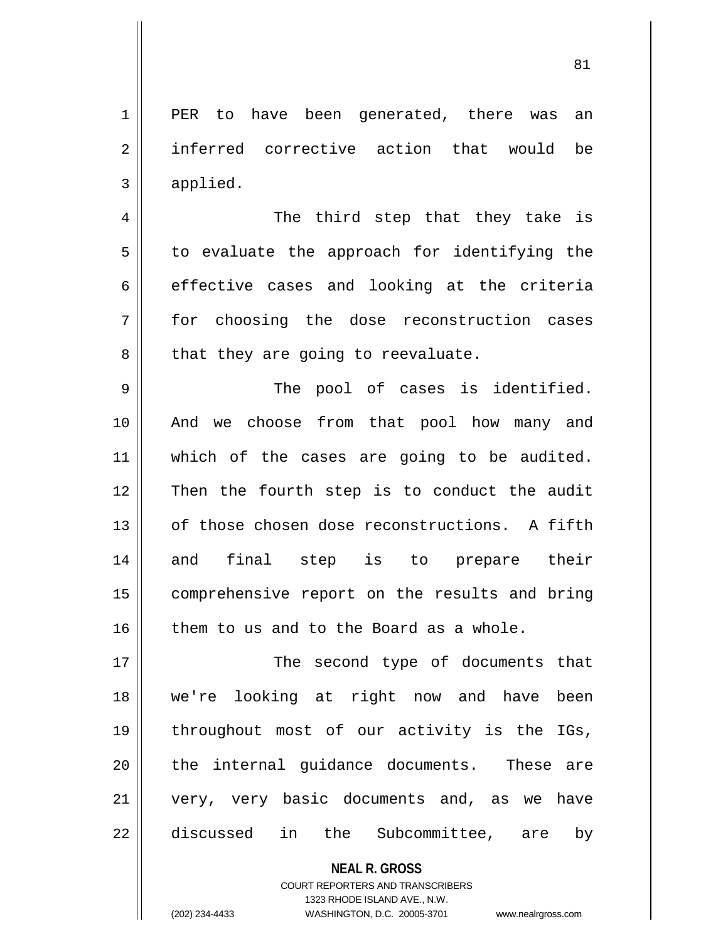1 || PER to have been generated, there was an 2 || inferred corrective action that would be  $3 \parallel$  applied.

4 || The third step that they take is  $5 \parallel$  to evaluate the approach for identifying the  $6 \parallel$  effective cases and looking at the criteria 7 for choosing the dose reconstruction cases  $8 \parallel$  that they are going to reevaluate.

9 The pool of cases is identified. 10 And we choose from that pool how many and 11 || which of the cases are going to be audited. 12 Then the fourth step is to conduct the audit 13 || of those chosen dose reconstructions. A fifth 14 and final step is to prepare their 15 | comprehensive report on the results and bring  $16$  | them to us and to the Board as a whole.

17 || The second type of documents that we're looking at right now and have been throughout most of our activity is the IGs, || the internal guidance documents. These are very, very basic documents and, as we have 22 discussed in the Subcommittee, are by

> **NEAL R. GROSS** COURT REPORTERS AND TRANSCRIBERS

1323 RHODE ISLAND AVE., N.W. (202) 234-4433 WASHINGTON, D.C. 20005-3701 www.nealrgross.com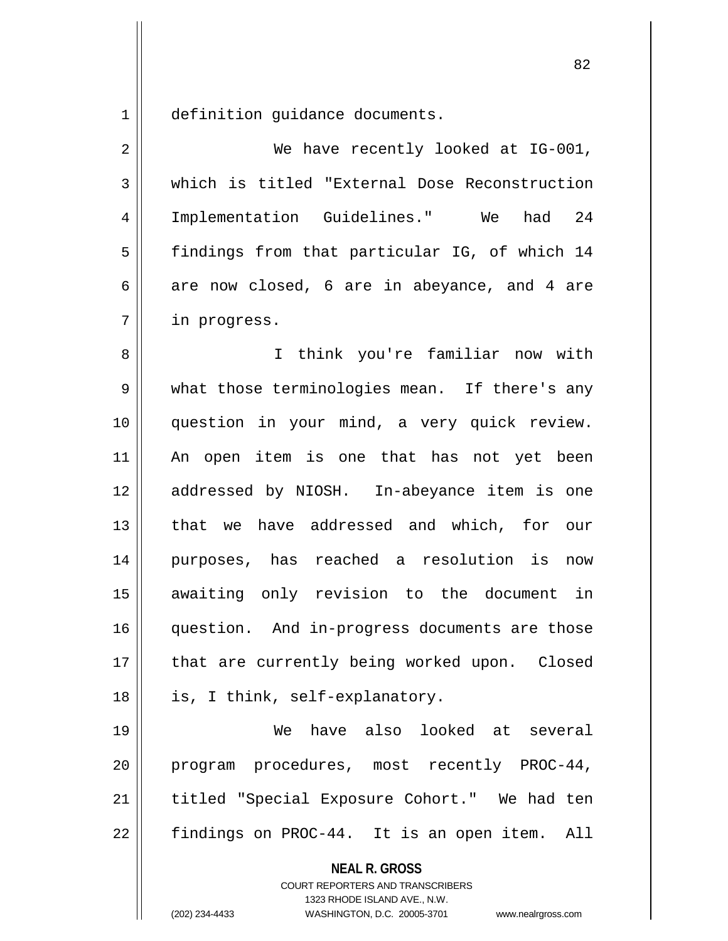1 || definition quidance documents.

**NEAL R. GROSS** 2 || We have recently looked at IG-001, 3 which is titled "External Dose Reconstruction 4 | Implementation Guidelines." We had 24 5 | findings from that particular IG, of which 14 6 are now closed, 6 are in abeyance, and 4 are 7 | in progress. 8 I think you're familiar now with 9 what those terminologies mean. If there's any 10 question in your mind, a very quick review. 11 An open item is one that has not yet been 12 addressed by NIOSH. In-abeyance item is one 13 || that we have addressed and which, for our 14 purposes, has reached a resolution is now 15 awaiting only revision to the document in 16 question. And in-progress documents are those 17 || that are currently being worked upon. Closed 18 || is, I think, self-explanatory. 19 We have also looked at several 20 program procedures, most recently PROC-44, 21 || titled "Special Exposure Cohort." We had ten 22 | findings on PROC-44. It is an open item. All

> COURT REPORTERS AND TRANSCRIBERS 1323 RHODE ISLAND AVE., N.W.

(202) 234-4433 WASHINGTON, D.C. 20005-3701 www.nealrgross.com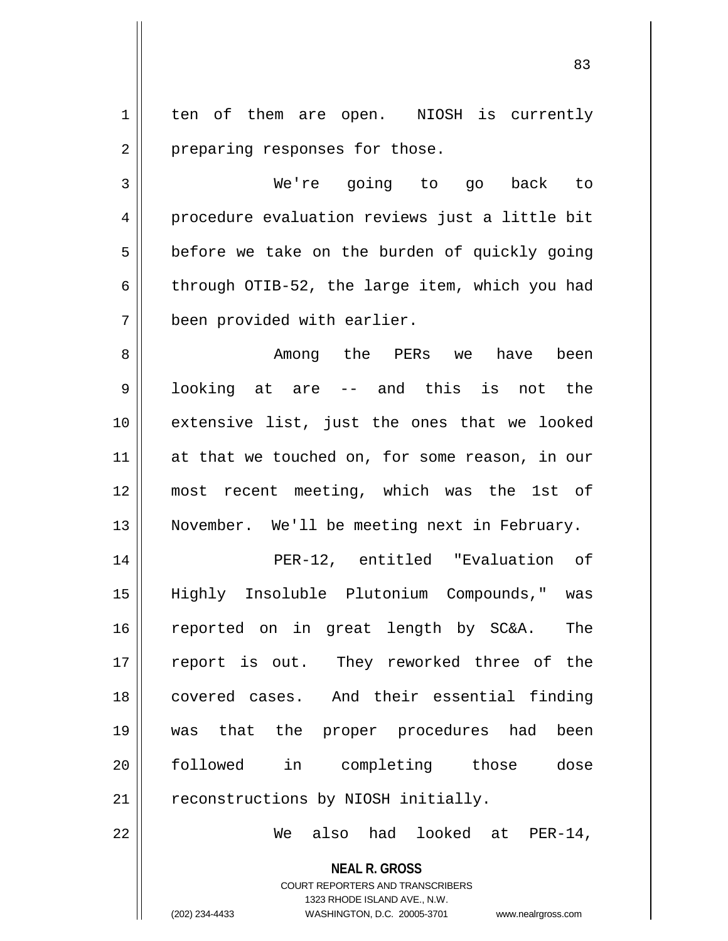1 | ten of them are open. NIOSH is currently 2 | preparing responses for those.

3 We're going to go back to 4 || procedure evaluation reviews just a little bit  $5 \parallel$  before we take on the burden of quickly going 6 | through OTIB-52, the large item, which you had 7 | been provided with earlier.

8 Among the PERs we have been  $9 \parallel$  looking at are -- and this is not the 10 || extensive list, just the ones that we looked 11 || at that we touched on, for some reason, in our 12 most recent meeting, which was the 1st of 13 || November. We'll be meeting next in February.

 PER-12, entitled "Evaluation of Highly Insoluble Plutonium Compounds," was reported on in great length by SC&A. The 17 || report is out. They reworked three of the covered cases. And their essential finding was that the proper procedures had been followed in completing those dose | reconstructions by NIOSH initially.

22 We also had looked at PER-14,

**NEAL R. GROSS** COURT REPORTERS AND TRANSCRIBERS 1323 RHODE ISLAND AVE., N.W.

(202) 234-4433 WASHINGTON, D.C. 20005-3701 www.nealrgross.com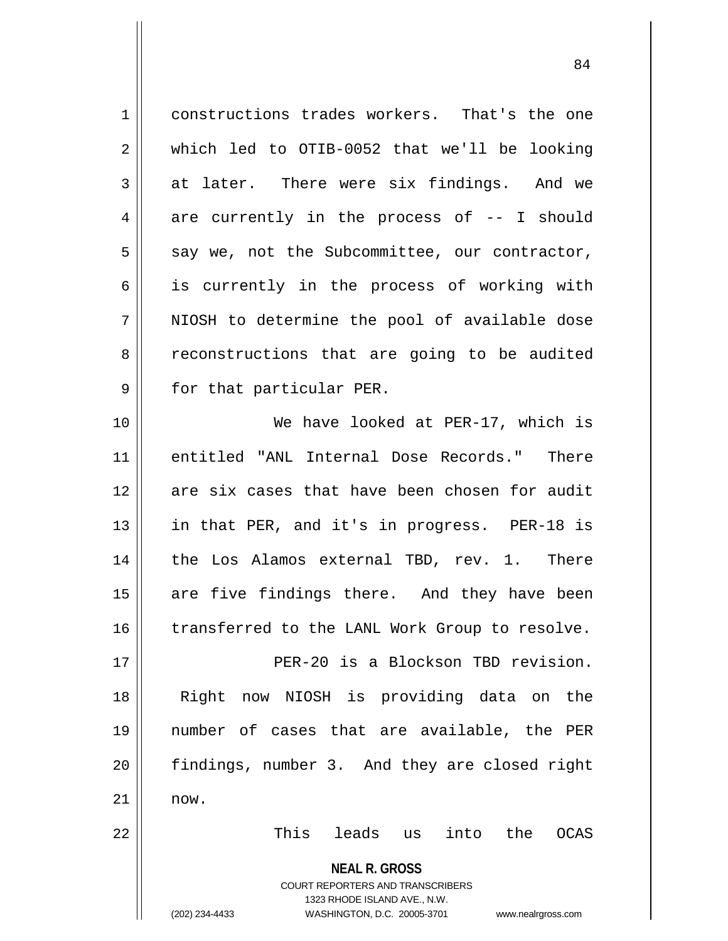| $\mathbf 1$ | constructions trades workers. That's the one                                                                                                                           |
|-------------|------------------------------------------------------------------------------------------------------------------------------------------------------------------------|
| 2           | which led to OTIB-0052 that we'll be looking                                                                                                                           |
| 3           | at later. There were six findings. And we                                                                                                                              |
| 4           | are currently in the process of -- I should                                                                                                                            |
| 5           | say we, not the Subcommittee, our contractor,                                                                                                                          |
| 6           | is currently in the process of working with                                                                                                                            |
| 7           | NIOSH to determine the pool of available dose                                                                                                                          |
| 8           | reconstructions that are going to be audited                                                                                                                           |
| 9           | for that particular PER.                                                                                                                                               |
| 10          | We have looked at PER-17, which is                                                                                                                                     |
| 11          | entitled "ANL Internal Dose Records." There                                                                                                                            |
| 12          | are six cases that have been chosen for audit                                                                                                                          |
| 13          | in that PER, and it's in progress. PER-18 is                                                                                                                           |
| 14          | the Los Alamos external TBD, rev. 1. There                                                                                                                             |
| 15          | are five findings there. And they have been                                                                                                                            |
| 16          | transferred to the LANL Work Group to resolve.                                                                                                                         |
| 17          | PER-20 is a Blockson TBD revision.                                                                                                                                     |
| 18          | now NIOSH is providing data on<br>Right<br>the                                                                                                                         |
| 19          | number of cases that are available, the PER                                                                                                                            |
| 20          | findings, number 3. And they are closed right                                                                                                                          |
| 21          | now.                                                                                                                                                                   |
| 22          | leads us<br>into the<br>This<br><b>OCAS</b>                                                                                                                            |
|             | <b>NEAL R. GROSS</b><br><b>COURT REPORTERS AND TRANSCRIBERS</b><br>1323 RHODE ISLAND AVE., N.W.<br>(202) 234-4433<br>WASHINGTON, D.C. 20005-3701<br>www.nealrgross.com |

 $\overline{1}$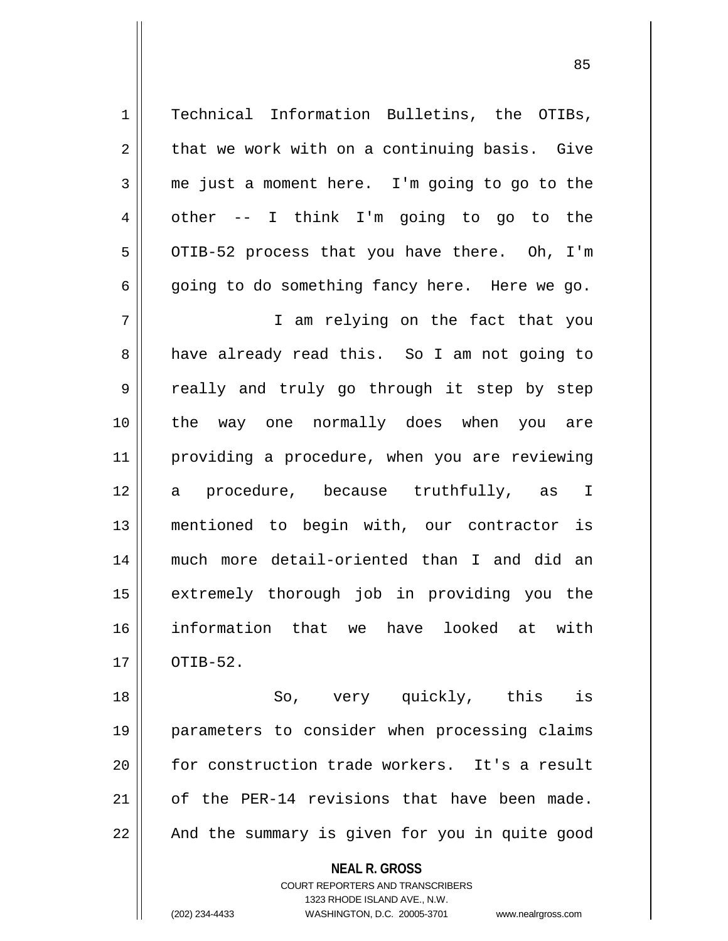$2 \parallel$  that we work with on a continuing basis. Give  $3 \parallel$  me just a moment here. I'm going to go to the  $4 \parallel$  other -- I think I'm going to go to the  $5 \parallel$  OTIB-52 process that you have there. Oh, I'm  $6 \parallel$  going to do something fancy here. Here we go. 7 I am relying on the fact that you 8 || have already read this. So I am not going to

1 || Technical Information Bulletins, the OTIBs,

9 || really and truly go through it step by step the way one normally does when you are providing a procedure, when you are reviewing a procedure, because truthfully, as I mentioned to begin with, our contractor is much more detail-oriented than I and did an 15 || extremely thorough job in providing you the information that we have looked at with  $17 \parallel$  OTIB-52.

18 || So, very quickly, this is 19 parameters to consider when processing claims 20 || for construction trade workers. It's a result 21  $\parallel$  of the PER-14 revisions that have been made. 22 || And the summary is given for you in quite good

**NEAL R. GROSS**

COURT REPORTERS AND TRANSCRIBERS 1323 RHODE ISLAND AVE., N.W. (202) 234-4433 WASHINGTON, D.C. 20005-3701 www.nealrgross.com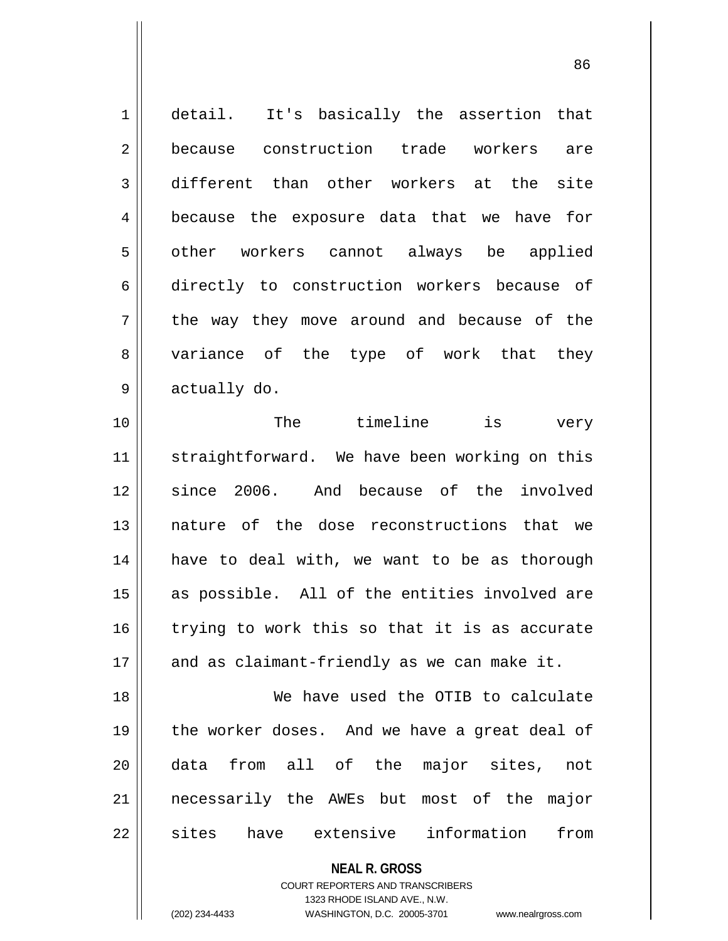| 1  | detail. It's basically the assertion that     |
|----|-----------------------------------------------|
| 2  | because construction trade workers are        |
| 3  | different than other workers at the site      |
| 4  | because the exposure data that we have for    |
| 5  | other workers cannot always be applied        |
| 6  | directly to construction workers because of   |
| 7  | the way they move around and because of the   |
| 8  | variance of the type of work that they        |
| 9  | actually do.                                  |
| 10 | timeline is<br>The<br>very                    |
| 11 | straightforward. We have been working on this |
| 12 | since 2006. And because of the involved       |
| 13 | nature of the dose reconstructions that we    |
| 14 | have to deal with, we want to be as thorough  |
| 15 | as possible. All of the entities involved are |
| 16 | trying to work this so that it is as accurate |
| 17 | and as claimant-friendly as we can make it.   |
| 18 | We have used the OTIB to calculate            |
| 19 | the worker doses. And we have a great deal of |
| 20 | data from all of the major sites,<br>not      |
| 21 | necessarily the AWEs but most of the major    |
| 22 | have extensive information<br>sites<br>from   |
|    | <b>NEAL R. GROSS</b>                          |

COURT REPORTERS AND TRANSCRIBERS 1323 RHODE ISLAND AVE., N.W.

 $\mathsf{II}$ 

(202) 234-4433 WASHINGTON, D.C. 20005-3701 www.nealrgross.com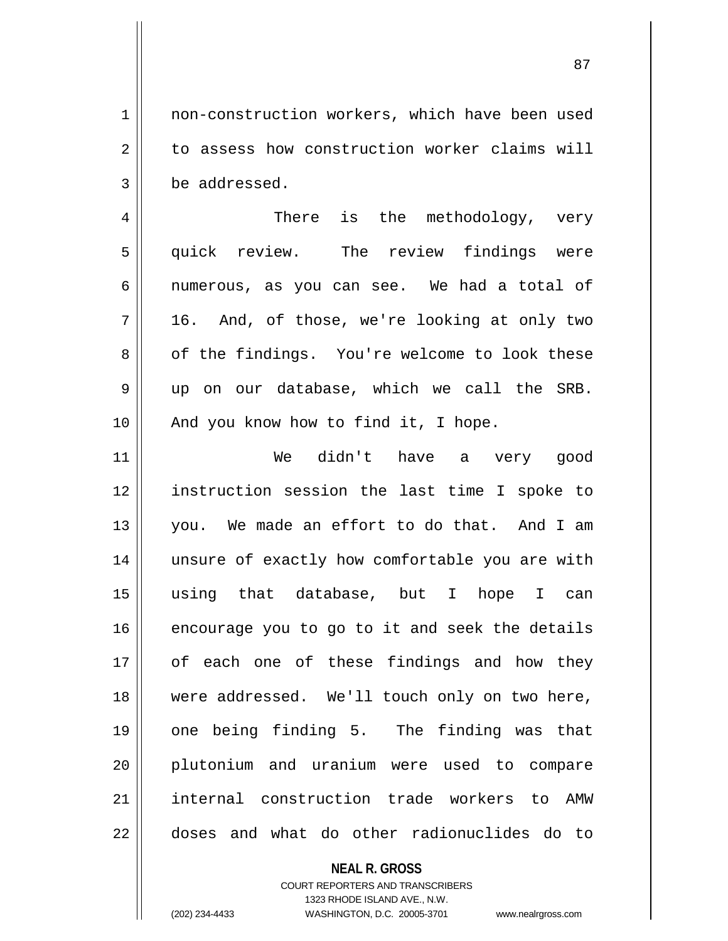1 | non-construction workers, which have been used 2 || to assess how construction worker claims will 3 | be addressed.

4 There is the methodology, very 5 quick review. The review findings were  $6 \parallel$  numerous, as you can see. We had a total of  $7 \parallel 16$ . And, of those, we're looking at only two 8 of the findings. You're welcome to look these 9 up on our database, which we call the SRB.  $10$  || And you know how to find it, I hope.

 We didn't have a very good instruction session the last time I spoke to you. We made an effort to do that. And I am 14 || unsure of exactly how comfortable you are with using that database, but I hope I can encourage you to go to it and seek the details 17 || of each one of these findings and how they 18 Were addressed. We'll touch only on two here, one being finding 5. The finding was that plutonium and uranium were used to compare internal construction trade workers to AMW doses and what do other radionuclides do to

## **NEAL R. GROSS** COURT REPORTERS AND TRANSCRIBERS

1323 RHODE ISLAND AVE., N.W. (202) 234-4433 WASHINGTON, D.C. 20005-3701 www.nealrgross.com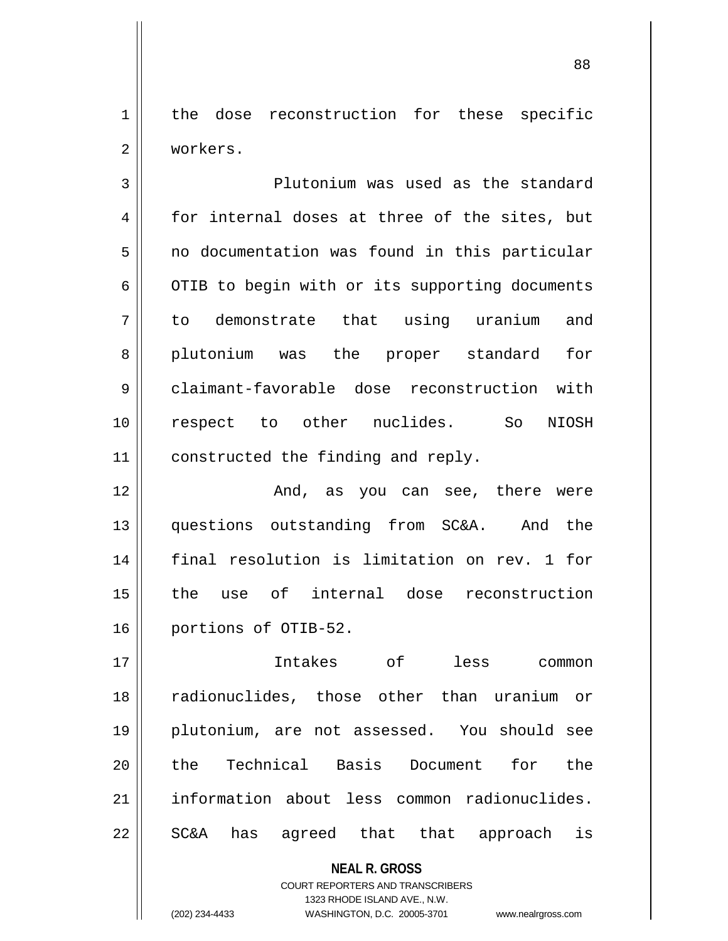1 | the dose reconstruction for these specific 2 workers.

3 Plutonium was used as the standard  $4 \parallel$  for internal doses at three of the sites, but  $5 \parallel$  no documentation was found in this particular  $6 \parallel$  OTIB to begin with or its supporting documents 7 to demonstrate that using uranium and 8 || plutonium was the proper standard for 9 claimant-favorable dose reconstruction with 10 respect to other nuclides. So NIOSH 11 | constructed the finding and reply.

 And, as you can see, there were questions outstanding from SC&A. And the final resolution is limitation on rev. 1 for the use of internal dose reconstruction 16 portions of OTIB-52.

 Intakes of less common radionuclides, those other than uranium or plutonium, are not assessed. You should see 20 the Technical Basis Document for the information about less common radionuclides.  $22 \parallel$  SC&A has agreed that that approach is

> **NEAL R. GROSS** COURT REPORTERS AND TRANSCRIBERS 1323 RHODE ISLAND AVE., N.W. (202) 234-4433 WASHINGTON, D.C. 20005-3701 www.nealrgross.com

```
88
```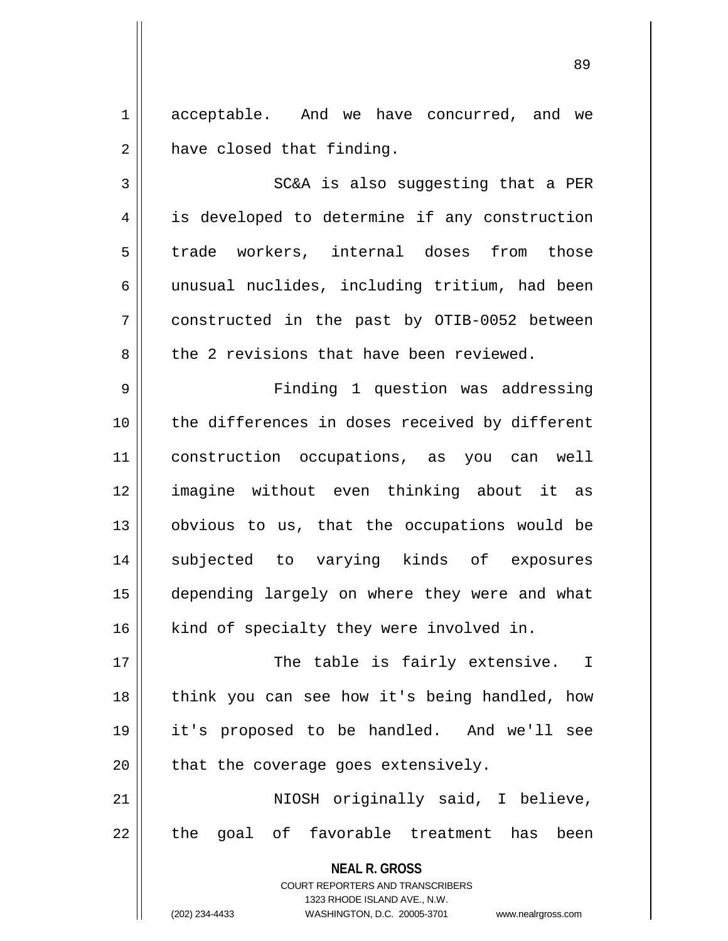1 acceptable. And we have concurred, and we  $2 \parallel$  have closed that finding.

 $3$   $\parallel$  SC&A is also suggesting that a PER 4 || is developed to determine if any construction 5 trade workers, internal doses from those 6 || unusual nuclides, including tritium, had been 7 constructed in the past by OTIB-0052 between  $8 \parallel$  the 2 revisions that have been reviewed.

 Finding 1 question was addressing 10 || the differences in doses received by different construction occupations, as you can well imagine without even thinking about it as 13 || obvious to us, that the occupations would be subjected to varying kinds of exposures depending largely on where they were and what 16 || kind of specialty they were involved in.

 The table is fairly extensive. I 18 || think you can see how it's being handled, how it's proposed to be handled. And we'll see | that the coverage goes extensively.

21 || NIOSH originally said, I believe,  $22$   $\parallel$  the goal of favorable treatment has been

> **NEAL R. GROSS** COURT REPORTERS AND TRANSCRIBERS 1323 RHODE ISLAND AVE., N.W. (202) 234-4433 WASHINGTON, D.C. 20005-3701 www.nealrgross.com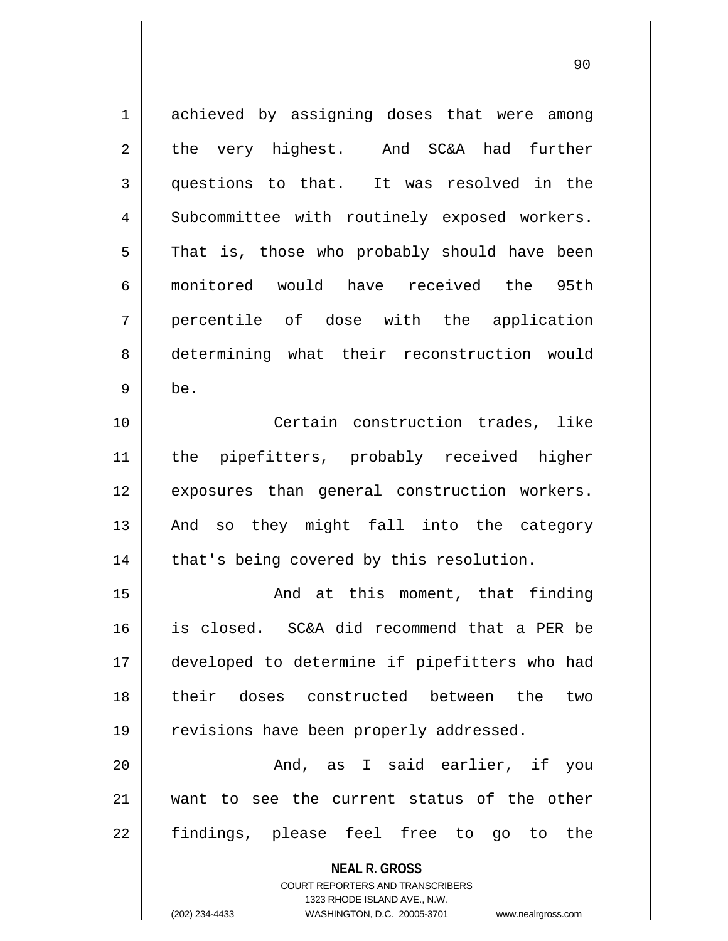| $\mathbf 1$    | achieved by assigning doses that were among                         |
|----------------|---------------------------------------------------------------------|
| 2              | the very highest. And SC&A had<br>further                           |
| 3              | questions to that. It was resolved in the                           |
| $\overline{4}$ | Subcommittee with routinely exposed workers.                        |
| 5              | That is, those who probably should have been                        |
| 6              | monitored would have received the 95th                              |
| 7              | percentile of dose with the application                             |
| 8              | determining what their reconstruction would                         |
| 9              | be.                                                                 |
| 10             | Certain construction trades, like                                   |
| 11             | the pipefitters, probably received higher                           |
| 12             | exposures than general construction workers.                        |
| 13             | And so they might fall into the category                            |
| 14             | that's being covered by this resolution.                            |
| 15             | And at this moment, that finding                                    |
| 16             | is closed. SC&A did recommend that a PER be                         |
| 17             | developed to determine if pipefitters who had                       |
| 18             | their doses constructed between the<br>two                          |
| 19             | revisions have been properly addressed.                             |
| 20             | And, as I said earlier, if you                                      |
| 21             | want to see the current status of the other                         |
| 22             | findings, please feel free to go to the                             |
|                | <b>NEAL R. GROSS</b>                                                |
|                | COURT REPORTERS AND TRANSCRIBERS                                    |
|                | 1323 RHODE ISLAND AVE., N.W.                                        |
|                | (202) 234-4433<br>WASHINGTON, D.C. 20005-3701<br>www.nealrgross.com |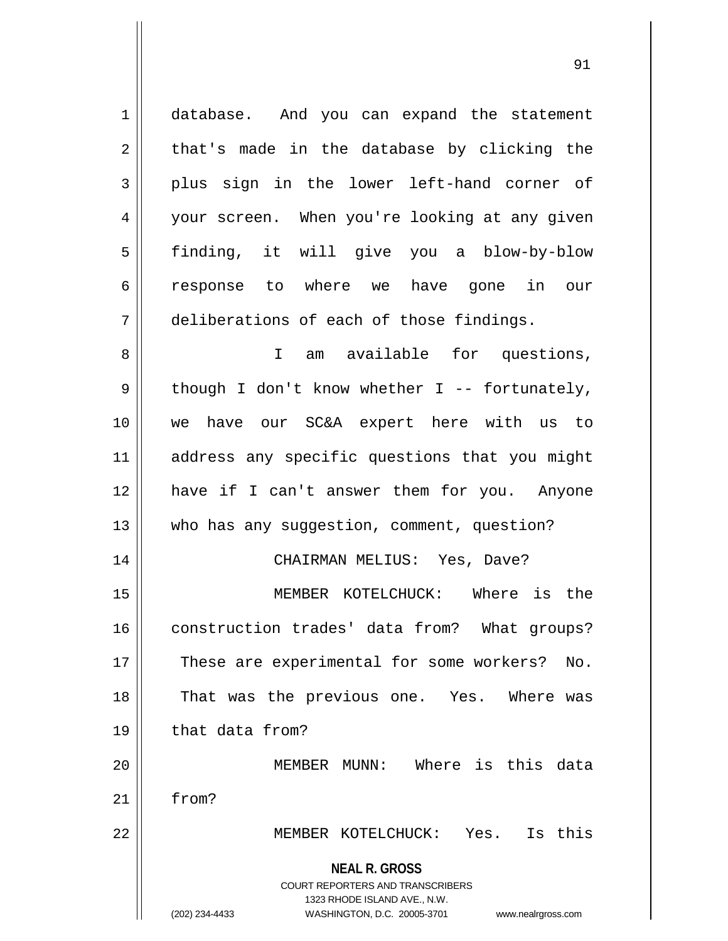**NEAL R. GROSS** COURT REPORTERS AND TRANSCRIBERS 1323 RHODE ISLAND AVE., N.W. 1 database. And you can expand the statement  $2 \parallel$  that's made in the database by clicking the  $3 \parallel$  plus sign in the lower left-hand corner of 4 || your screen. When you're looking at any given 5 finding, it will give you a blow-by-blow 6 response to where we have gone in our 7 deliberations of each of those findings. 8 || I am available for questions,  $9 \parallel$  though I don't know whether I -- fortunately, 10 we have our SC&A expert here with us to 11 || address any specific questions that you might 12 have if I can't answer them for you. Anyone 13 || who has any suggestion, comment, question? 14 CHAIRMAN MELIUS: Yes, Dave? 15 MEMBER KOTELCHUCK: Where is the 16 construction trades' data from? What groups? 17 || These are experimental for some workers? No. 18 || That was the previous one. Yes. Where was 19 || that data from? 20 MEMBER MUNN: Where is this data 21 | from? 22 MEMBER KOTELCHUCK: Yes. Is this

(202) 234-4433 WASHINGTON, D.C. 20005-3701 www.nealrgross.com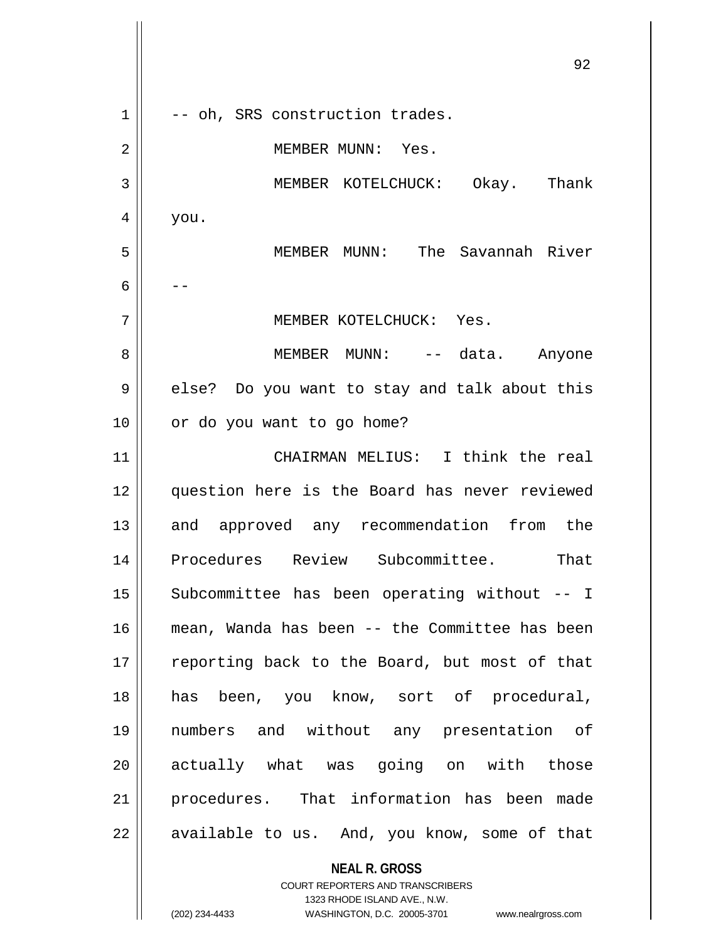**NEAL R. GROSS** 92  $1 \parallel$  -- oh, SRS construction trades. 2 || MEMBER MUNN: Yes. 3 MEMBER KOTELCHUCK: Okay. Thank  $4 \mid$  you. 5 MEMBER MUNN: The Savannah River 6  $|$  --7 MEMBER KOTELCHUCK: Yes. 8 MEMBER MUNN: -- data. Anyone 9 || else? Do you want to stay and talk about this 10 || or do you want to go home? 11 CHAIRMAN MELIUS: I think the real 12 question here is the Board has never reviewed 13 and approved any recommendation from the 14 Procedures Review Subcommittee. That 15 || Subcommittee has been operating without -- I 16 mean, Wanda has been -- the Committee has been 17 || reporting back to the Board, but most of that 18 has been, you know, sort of procedural, 19 numbers and without any presentation of 20 || actually what was going on with those 21 procedures. That information has been made  $22$  || available to us. And, you know, some of that

> COURT REPORTERS AND TRANSCRIBERS 1323 RHODE ISLAND AVE., N.W.

(202) 234-4433 WASHINGTON, D.C. 20005-3701 www.nealrgross.com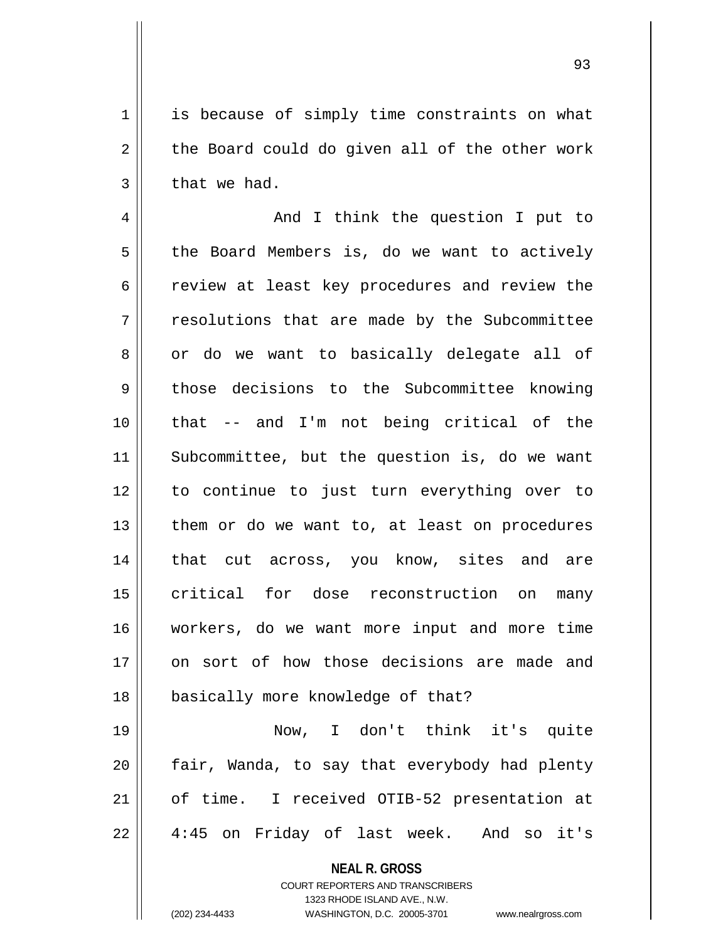1 || is because of simply time constraints on what  $2 \parallel$  the Board could do given all of the other work  $3 \parallel$  that we had.

4 And I think the question I put to  $5 \parallel$  the Board Members is, do we want to actively  $6 \parallel$  review at least key procedures and review the 7 || resolutions that are made by the Subcommittee 8 || or do we want to basically delegate all of 9 those decisions to the Subcommittee knowing 10 that -- and I'm not being critical of the 11 Subcommittee, but the question is, do we want 12 to continue to just turn everything over to  $13$  | them or do we want to, at least on procedures 14 || that cut across, you know, sites and are 15 || critical for dose reconstruction on many 16 workers, do we want more input and more time 17 on sort of how those decisions are made and 18 || basically more knowledge of that?

 Now, I don't think it's quite  $\parallel$  fair, Wanda, to say that everybody had plenty 21 || of time. I received OTIB-52 presentation at 4:45 on Friday of last week. And so it's

**NEAL R. GROSS**

COURT REPORTERS AND TRANSCRIBERS 1323 RHODE ISLAND AVE., N.W. (202) 234-4433 WASHINGTON, D.C. 20005-3701 www.nealrgross.com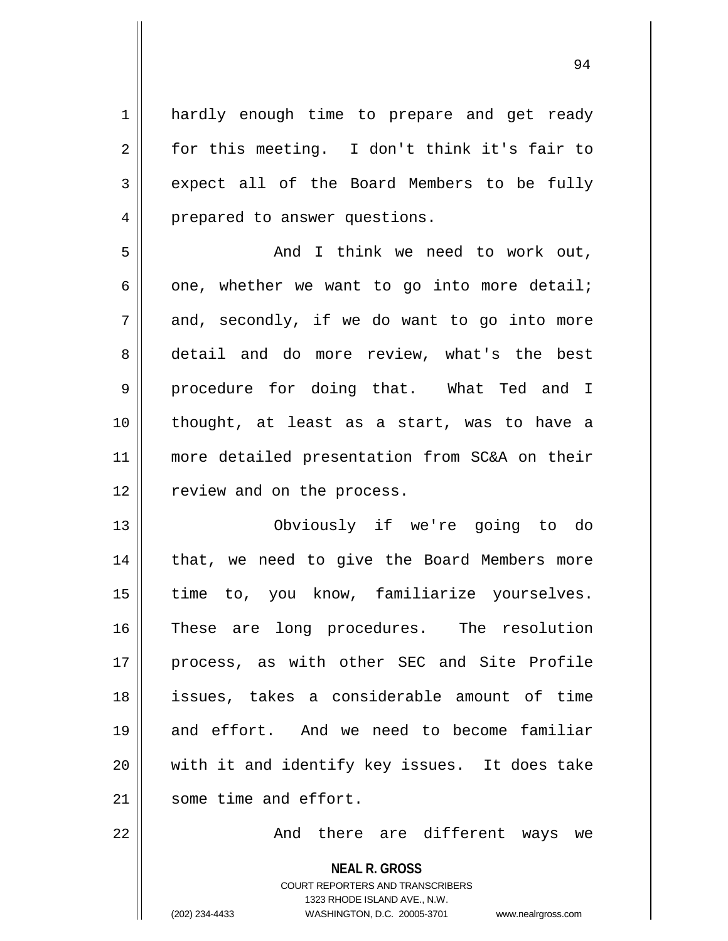1 || hardly enough time to prepare and get ready  $2 \parallel$  for this meeting. I don't think it's fair to 3 expect all of the Board Members to be fully 4 | prepared to answer questions.

5 And I think we need to work out,  $6 \parallel$  one, whether we want to go into more detail;  $7 \parallel$  and, secondly, if we do want to go into more 8 detail and do more review, what's the best 9 procedure for doing that. What Ted and I 10 thought, at least as a start, was to have a 11 more detailed presentation from SC&A on their 12 || review and on the process.

13 Obviously if we're going to do 14 || that, we need to give the Board Members more 15 || time to, you know, familiarize yourselves. 16 These are long procedures. The resolution 17 process, as with other SEC and Site Profile 18 issues, takes a considerable amount of time 19 and effort. And we need to become familiar 20 || with it and identify key issues. It does take 21 Some time and effort.

22 And there are different ways we

**NEAL R. GROSS** COURT REPORTERS AND TRANSCRIBERS 1323 RHODE ISLAND AVE., N.W. (202) 234-4433 WASHINGTON, D.C. 20005-3701 www.nealrgross.com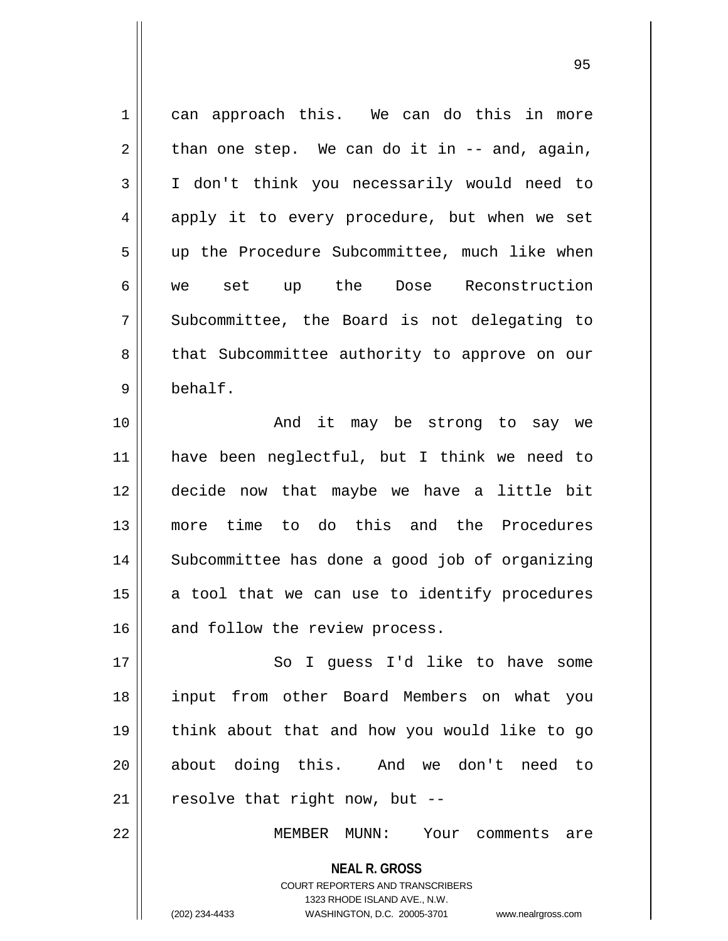**NEAL R. GROSS** 1 can approach this. We can do this in more  $2 \parallel$  than one step. We can do it in -- and, again, 3 I don't think you necessarily would need to 4 apply it to every procedure, but when we set 5 || up the Procedure Subcommittee, much like when 6 || we set up the Dose Reconstruction  $7 \parallel$  Subcommittee, the Board is not delegating to 8 || that Subcommittee authority to approve on our 9 behalf. 10 || The Contributional Control and it may be strong to say we 11 have been neglectful, but I think we need to 12 decide now that maybe we have a little bit 13 more time to do this and the Procedures 14 || Subcommittee has done a good job of organizing  $15$  a tool that we can use to identify procedures  $16$  and follow the review process. 17 || So I quess I'd like to have some 18 input from other Board Members on what you 19 think about that and how you would like to go 20 || about doing this. And we don't need to  $21$  | resolve that right now, but --22 MEMBER MUNN: Your comments are

> COURT REPORTERS AND TRANSCRIBERS 1323 RHODE ISLAND AVE., N.W.

(202) 234-4433 WASHINGTON, D.C. 20005-3701 www.nealrgross.com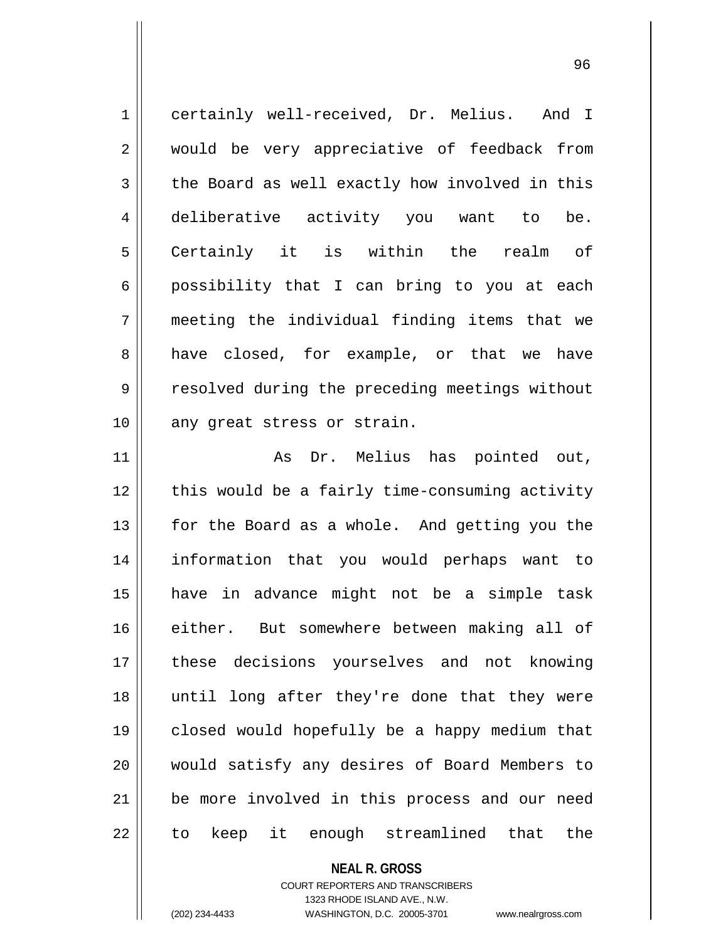| $\mathbf 1$    | certainly well-received, Dr. Melius. And I     |
|----------------|------------------------------------------------|
| $\overline{2}$ | would be very appreciative of feedback from    |
| 3              | the Board as well exactly how involved in this |
| 4              | deliberative activity you want to be.          |
| 5              | Certainly it is within the realm of            |
| 6              | possibility that I can bring to you at each    |
| 7              | meeting the individual finding items that we   |
| 8              | have closed, for example, or that we have      |
| 9              | resolved during the preceding meetings without |
| 10             | any great stress or strain.                    |
| 11             | As Dr. Melius has pointed out,                 |
| 12             | this would be a fairly time-consuming activity |
| 13             | for the Board as a whole. And getting you the  |
|                |                                                |

  $\parallel$  this would be a fairly time-consuming activity  $\parallel$  for the Board as a whole. And getting you the information that you would perhaps want to have in advance might not be a simple task 16 either. But somewhere between making all of 17 || these decisions yourselves and not knowing until long after they're done that they were closed would hopefully be a happy medium that 20 || would satisfy any desires of Board Members to 21 || be more involved in this process and our need || to keep it enough streamlined that the

## **NEAL R. GROSS** COURT REPORTERS AND TRANSCRIBERS 1323 RHODE ISLAND AVE., N.W. (202) 234-4433 WASHINGTON, D.C. 20005-3701 www.nealrgross.com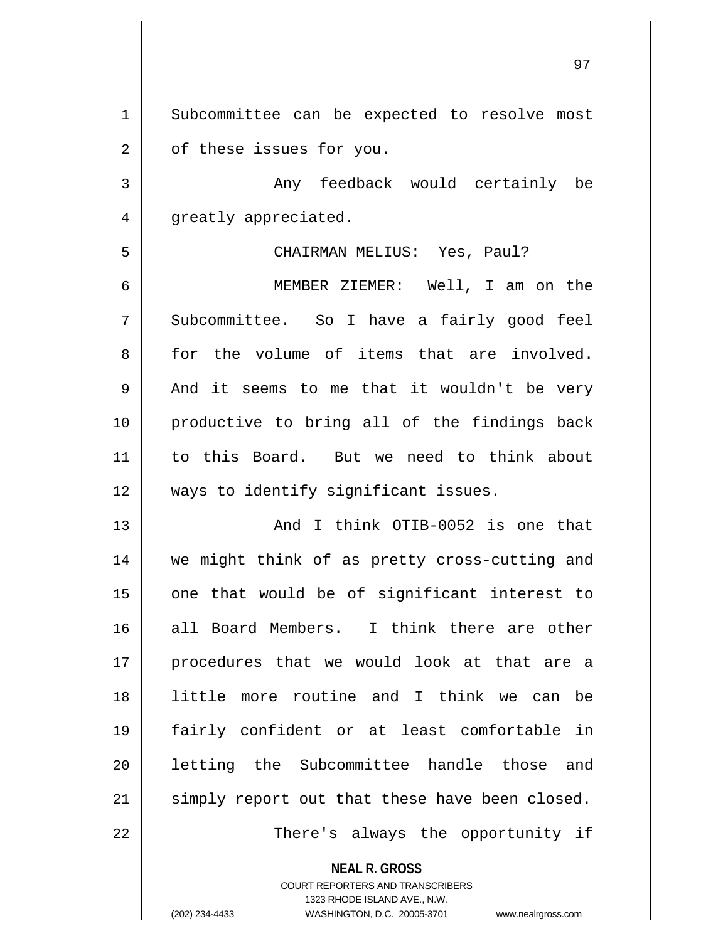1 || Subcommittee can be expected to resolve most 2 | of these issues for you.

3 Any feedback would certainly be 4 || greatly appreciated.

## 5 CHAIRMAN MELIUS: Yes, Paul?

6 MEMBER ZIEMER: Well, I am on the 7 Subcommittee. So I have a fairly good feel 8 for the volume of items that are involved. 9 And it seems to me that it wouldn't be very 10 productive to bring all of the findings back 11 to this Board. But we need to think about 12 || ways to identify significant issues.

13 And I think OTIB-0052 is one that 14 || we might think of as pretty cross-cutting and  $15$  one that would be of significant interest to 16 all Board Members. I think there are other 17 || procedures that we would look at that are a 18 little more routine and I think we can be 19 fairly confident or at least comfortable in 20 || letting the Subcommittee handle those and 21 || simply report out that these have been closed.

22 || There's always the opportunity if

**NEAL R. GROSS**

COURT REPORTERS AND TRANSCRIBERS 1323 RHODE ISLAND AVE., N.W. (202) 234-4433 WASHINGTON, D.C. 20005-3701 www.nealrgross.com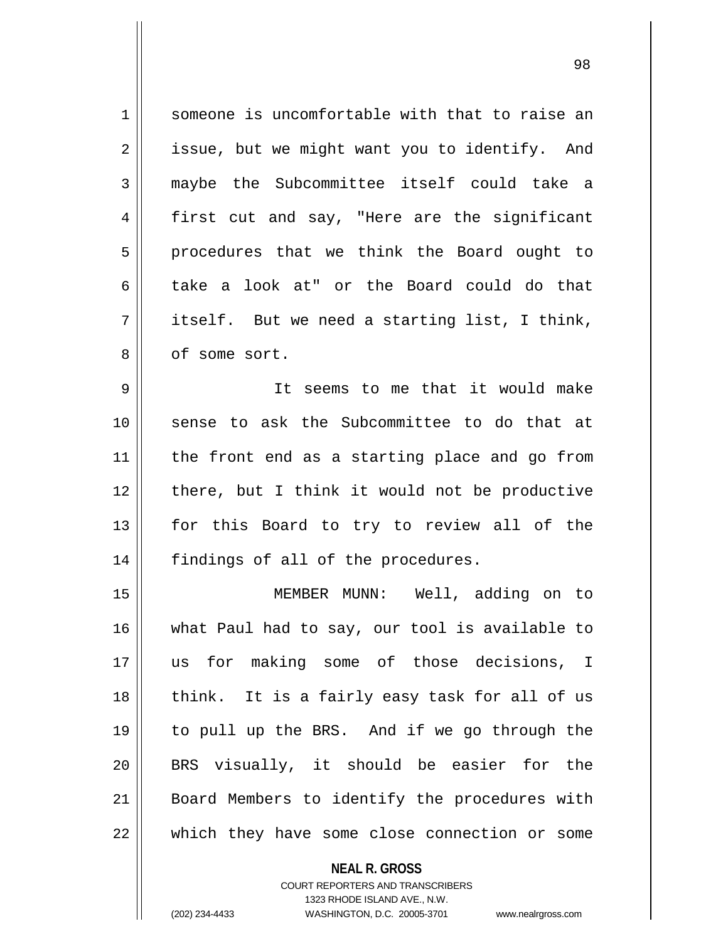1 Someone is uncomfortable with that to raise an  $2 \parallel$  issue, but we might want you to identify. And 3 || maybe the Subcommittee itself could take a 4 first cut and say, "Here are the significant 5 || procedures that we think the Board ought to 6 take a look at" or the Board could do that  $7 \parallel$  itself. But we need a starting list, I think, 8 || of some sort.

9 It seems to me that it would make 10 sense to ask the Subcommittee to do that at 11 || the front end as a starting place and go from 12 || there, but I think it would not be productive 13 || for this Board to try to review all of the 14 || findings of all of the procedures.

 MEMBER MUNN: Well, adding on to what Paul had to say, our tool is available to us for making some of those decisions, I 18 || think. It is a fairly easy task for all of us to pull up the BRS. And if we go through the 20 || BRS visually, it should be easier for the 21 || Board Members to identify the procedures with  $\parallel$  which they have some close connection or some

> **NEAL R. GROSS** COURT REPORTERS AND TRANSCRIBERS 1323 RHODE ISLAND AVE., N.W. (202) 234-4433 WASHINGTON, D.C. 20005-3701 www.nealrgross.com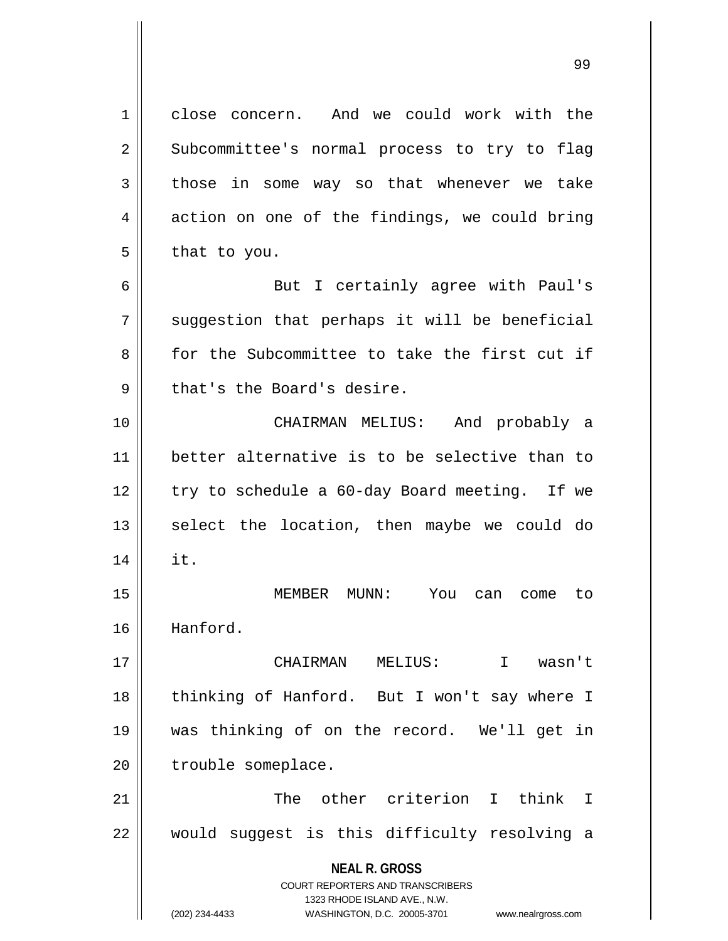**NEAL R. GROSS** COURT REPORTERS AND TRANSCRIBERS 1323 RHODE ISLAND AVE., N.W. (202) 234-4433 WASHINGTON, D.C. 20005-3701 www.nealrgross.com 1 || close concern. And we could work with the 2 || Subcommittee's normal process to try to flag  $3 \parallel$  those in some way so that whenever we take  $4 \parallel$  action on one of the findings, we could bring  $5 \parallel$  that to you. 6 || But I certainly agree with Paul's  $7 \parallel$  suggestion that perhaps it will be beneficial 8 for the Subcommittee to take the first cut if  $9 \parallel$  that's the Board's desire. 10 CHAIRMAN MELIUS: And probably a 11 better alternative is to be selective than to  $12$  | try to schedule a 60-day Board meeting. If we  $13$  select the location, then maybe we could do  $14 \parallel$  it. 15 MEMBER MUNN: You can come to 16 Hanford. 17 CHAIRMAN MELIUS: I wasn't 18 || thinking of Hanford. But I won't say where I 19 was thinking of on the record. We'll get in 20 | trouble someplace. 21 || The other criterion I think I 22 || would suggest is this difficulty resolving a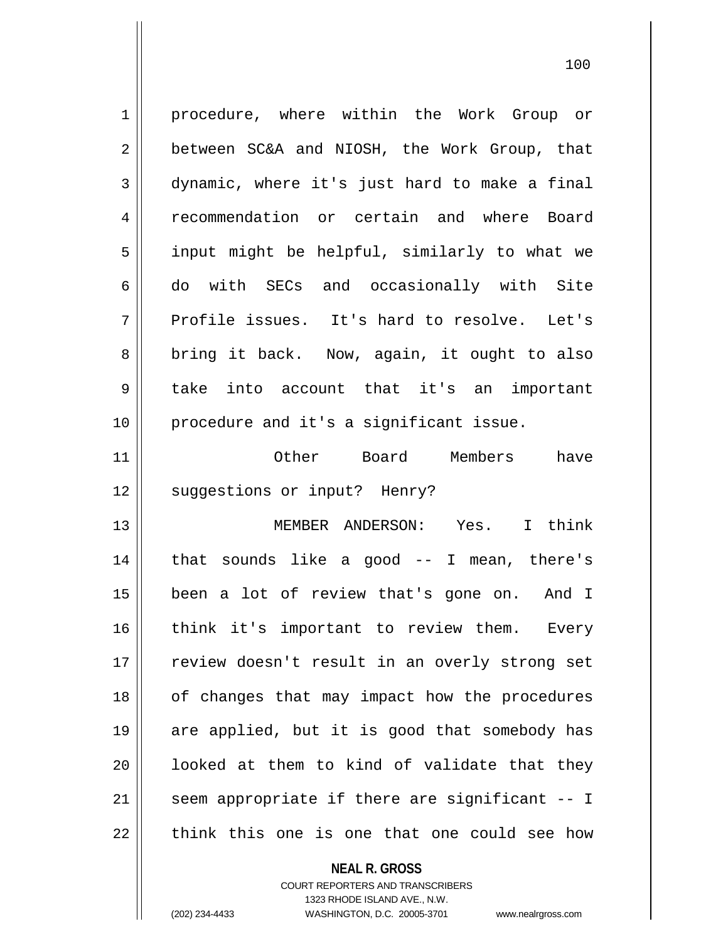1 | procedure, where within the Work Group or  $2 \parallel$  between SC&A and NIOSH, the Work Group, that  $3 \parallel$  dynamic, where it's just hard to make a final 4 recommendation or certain and where Board 5 || input might be helpful, similarly to what we 6 do with SECs and occasionally with Site  $7 \parallel$  Profile issues. It's hard to resolve. Let's 8 || bring it back. Now, again, it ought to also 9 take into account that it's an important 10 || procedure and it's a significant issue. 11 Other Board Members have 12 || suqqestions or input? Henry? 13 MEMBER ANDERSON: Yes. I think

14 || that sounds like a good -- I mean, there's 15 been a lot of review that's gone on. And I 16 || think it's important to review them. Every 17 || review doesn't result in an overly strong set 18 || of changes that may impact how the procedures 19 are applied, but it is good that somebody has  $20$  || looked at them to kind of validate that they  $21$  | seem appropriate if there are significant  $-1$  $22$  || think this one is one that one could see how

> **NEAL R. GROSS** COURT REPORTERS AND TRANSCRIBERS 1323 RHODE ISLAND AVE., N.W. (202) 234-4433 WASHINGTON, D.C. 20005-3701 www.nealrgross.com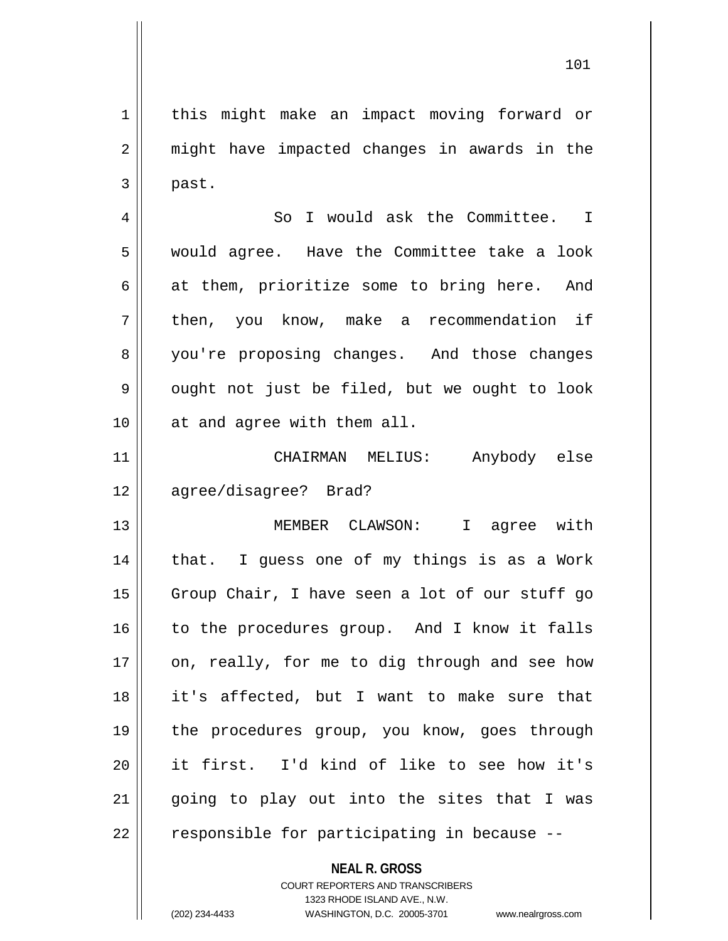1 || this might make an impact moving forward or 2 || might have impacted changes in awards in the  $3 \parallel$  past.

4 || So I would ask the Committee. I 5 would agree. Have the Committee take a look  $6 \parallel$  at them, prioritize some to bring here. And 7 | then, you know, make a recommendation if 8 you're proposing changes. And those changes  $9 \parallel$  ought not just be filed, but we ought to look 10 || at and agree with them all.

11 CHAIRMAN MELIUS: Anybody else 12 agree/disagree? Brad?

13 MEMBER CLAWSON: I agree with 14 || that. I guess one of my things is as a Work 15 || Group Chair, I have seen a lot of our stuff go 16 || to the procedures group. And I know it falls  $17$  | on, really, for me to dig through and see how 18 it's affected, but I want to make sure that 19 || the procedures group, you know, goes through 20 it first. I'd kind of like to see how it's 21 || going to play out into the sites that I was 22 || responsible for participating in because --

## **NEAL R. GROSS**

COURT REPORTERS AND TRANSCRIBERS 1323 RHODE ISLAND AVE., N.W. (202) 234-4433 WASHINGTON, D.C. 20005-3701 www.nealrgross.com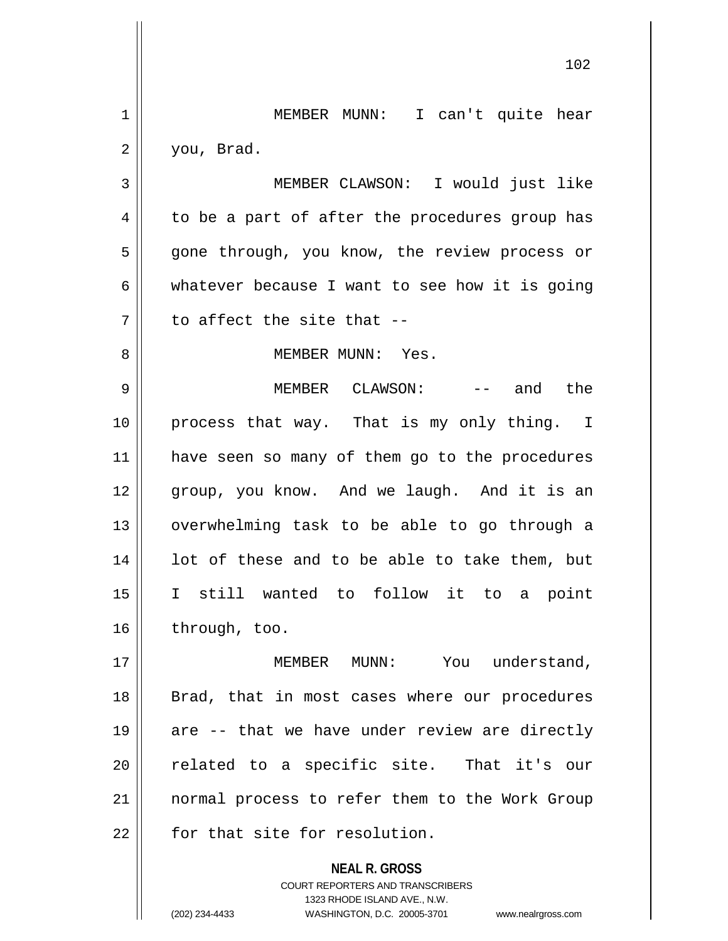**NEAL R. GROSS** COURT REPORTERS AND TRANSCRIBERS 102 1 || MEMBER MUNN: I can't quite hear 2 you, Brad. 3 MEMBER CLAWSON: I would just like  $4 \parallel$  to be a part of after the procedures group has 5 || gone through, you know, the review process or  $6 \parallel$  whatever because I want to see how it is going  $7 \parallel$  to affect the site that --8 MEMBER MUNN: Yes. 9 MEMBER CLAWSON: -- and the 10 process that way. That is my only thing. I 11 || have seen so many of them go to the procedures 12 || group, you know. And we laugh. And it is an 13 || overwhelming task to be able to go through a  $14$  || lot of these and to be able to take them, but 15 I still wanted to follow it to a point 16 | through, too. 17 || MEMBER MUNN: You understand, 18 || Brad, that in most cases where our procedures 19  $\parallel$  are -- that we have under review are directly 20 || related to a specific site. That it's our 21 normal process to refer them to the Work Group  $22$   $\parallel$  for that site for resolution.

1323 RHODE ISLAND AVE., N.W.

(202) 234-4433 WASHINGTON, D.C. 20005-3701 www.nealrgross.com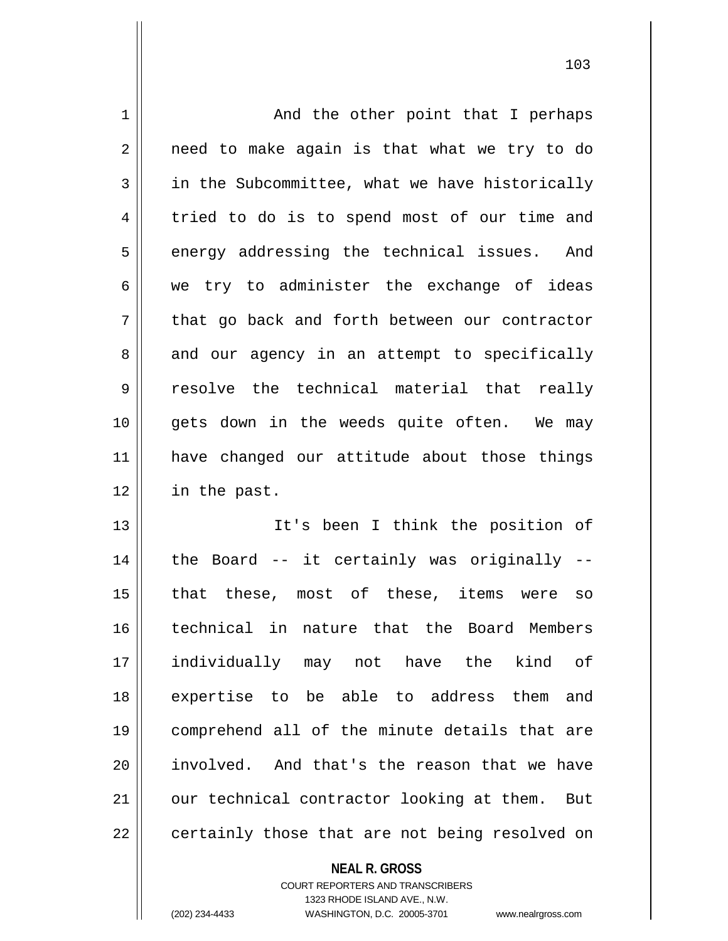| $\mathbf 1$ | And the other point that I perhaps             |
|-------------|------------------------------------------------|
| 2           | need to make again is that what we try to do   |
| 3           | in the Subcommittee, what we have historically |
| 4           | tried to do is to spend most of our time and   |
| 5           | energy addressing the technical issues. And    |
| 6           | we try to administer the exchange of ideas     |
| 7           | that go back and forth between our contractor  |
| 8           | and our agency in an attempt to specifically   |
| 9           | resolve the technical material that really     |
| 10          | gets down in the weeds quite often. We may     |
| 11          | have changed our attitude about those things   |
| 12          | in the past.                                   |
| 13          | It's been I think the position of              |
| 14          | the Board -- it certainly was originally --    |
| 15          | that these, most of these, items were so       |
| 16          | technical in nature that the Board Members     |
| 17          | individually may not have the kind of          |
| 18          | expertise to be able to address them<br>and    |
| 19          | comprehend all of the minute details that are  |
| 20          | involved. And that's the reason that we have   |
| 21          | our technical contractor looking at them. But  |
| 22          | certainly those that are not being resolved on |

**NEAL R. GROSS**

COURT REPORTERS AND TRANSCRIBERS 1323 RHODE ISLAND AVE., N.W. (202) 234-4433 WASHINGTON, D.C. 20005-3701 www.nealrgross.com

 $\mathbf{I}$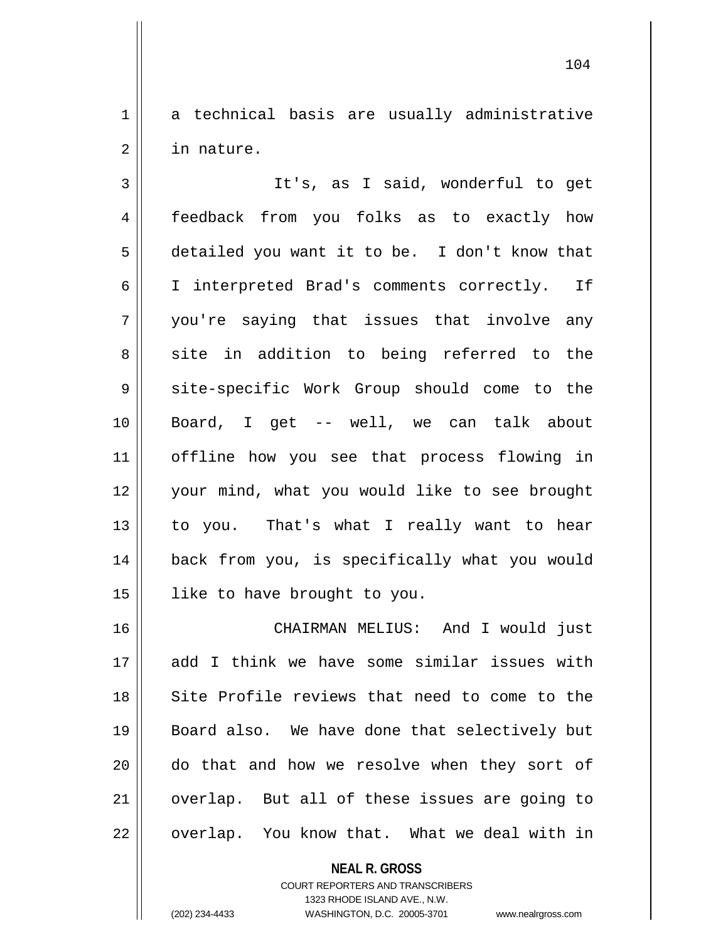1 a technical basis are usually administrative 2 in nature.

3 || It's, as I said, wonderful to get feedback from you folks as to exactly how detailed you want it to be. I don't know that I interpreted Brad's comments correctly. If you're saying that issues that involve any 8 || site in addition to being referred to the 9 site-specific Work Group should come to the Board, I get -- well, we can talk about offline how you see that process flowing in your mind, what you would like to see brought 13 || to you. That's what I really want to hear back from you, is specifically what you would like to have brought to you.

16 CHAIRMAN MELIUS: And I would just 17 add I think we have some similar issues with 18 Site Profile reviews that need to come to the 19 Board also. We have done that selectively but 20 do that and how we resolve when they sort of 21 || overlap. But all of these issues are going to  $22 \parallel$  overlap. You know that. What we deal with in

> **NEAL R. GROSS** COURT REPORTERS AND TRANSCRIBERS 1323 RHODE ISLAND AVE., N.W. (202) 234-4433 WASHINGTON, D.C. 20005-3701 www.nealrgross.com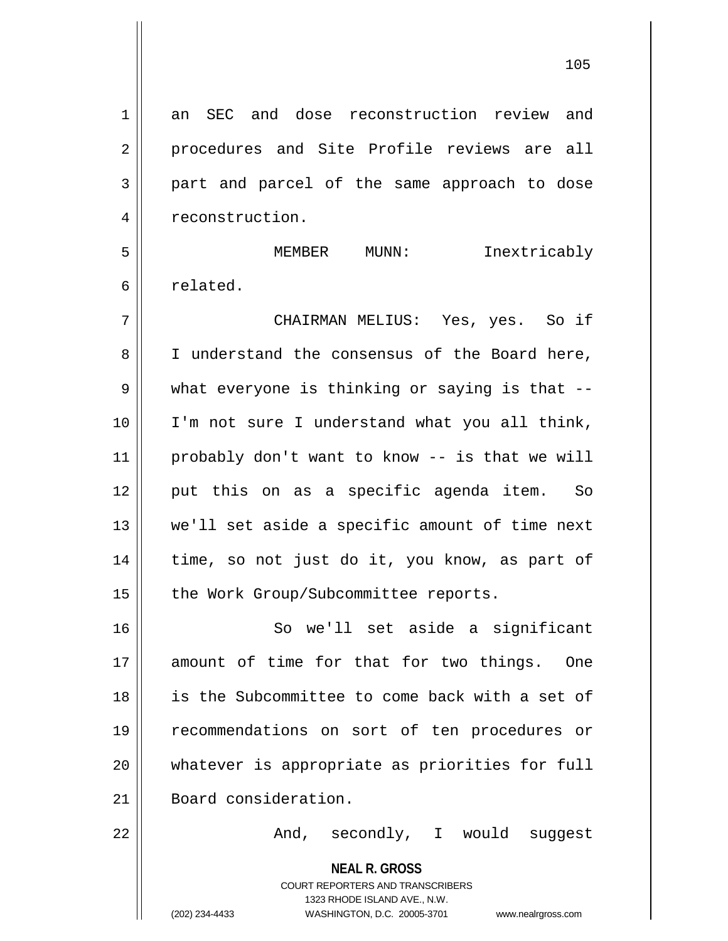1 an SEC and dose reconstruction review and 2 procedures and Site Profile reviews are all 3 part and parcel of the same approach to dose 4 | reconstruction.

5 MEMBER MUNN: Inextricably 6 l related.

7 CHAIRMAN MELIUS: Yes, yes. So if 8 || I understand the consensus of the Board here, 9 what everyone is thinking or saying is that --10 I'm not sure I understand what you all think, 11 probably don't want to know -- is that we will 12 put this on as a specific agenda item. So 13 we'll set aside a specific amount of time next 14 || time, so not just do it, you know, as part of 15 | the Work Group/Subcommittee reports.

 So we'll set aside a significant amount of time for that for two things. One is the Subcommittee to come back with a set of recommendations on sort of ten procedures or whatever is appropriate as priorities for full 21 Board consideration.

22 || The Mod, secondly, I would suggest

**NEAL R. GROSS** COURT REPORTERS AND TRANSCRIBERS

1323 RHODE ISLAND AVE., N.W.

(202) 234-4433 WASHINGTON, D.C. 20005-3701 www.nealrgross.com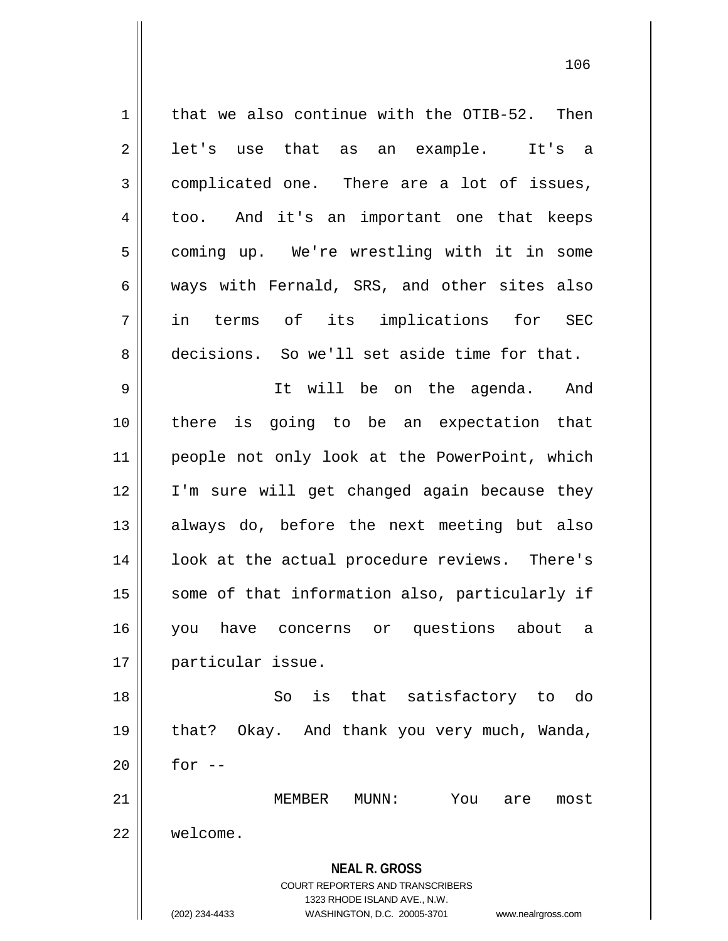**NEAL R. GROSS** COURT REPORTERS AND TRANSCRIBERS 1323 RHODE ISLAND AVE., N.W. (202) 234-4433 WASHINGTON, D.C. 20005-3701 www.nealrgross.com  $1 \parallel$  that we also continue with the OTIB-52. Then  $2 \parallel$  let's use that as an example. It's a 3 complicated one. There are a lot of issues, 4 too. And it's an important one that keeps 5 | coming up. We're wrestling with it in some  $6 \parallel$  ways with Fernald, SRS, and other sites also 7 in terms of its implications for SEC 8 decisions. So we'll set aside time for that. 9 It will be on the agenda. And 10 there is going to be an expectation that 11 people not only look at the PowerPoint, which 12 I'm sure will get changed again because they 13 always do, before the next meeting but also 14 || look at the actual procedure reviews. There's 15 || some of that information also, particularly if 16 you have concerns or questions about a 17 particular issue. 18 So is that satisfactory to do 19 that? Okay. And thank you very much, Wanda,  $20$  || for --21 MEMBER MUNN: You are most 22 welcome.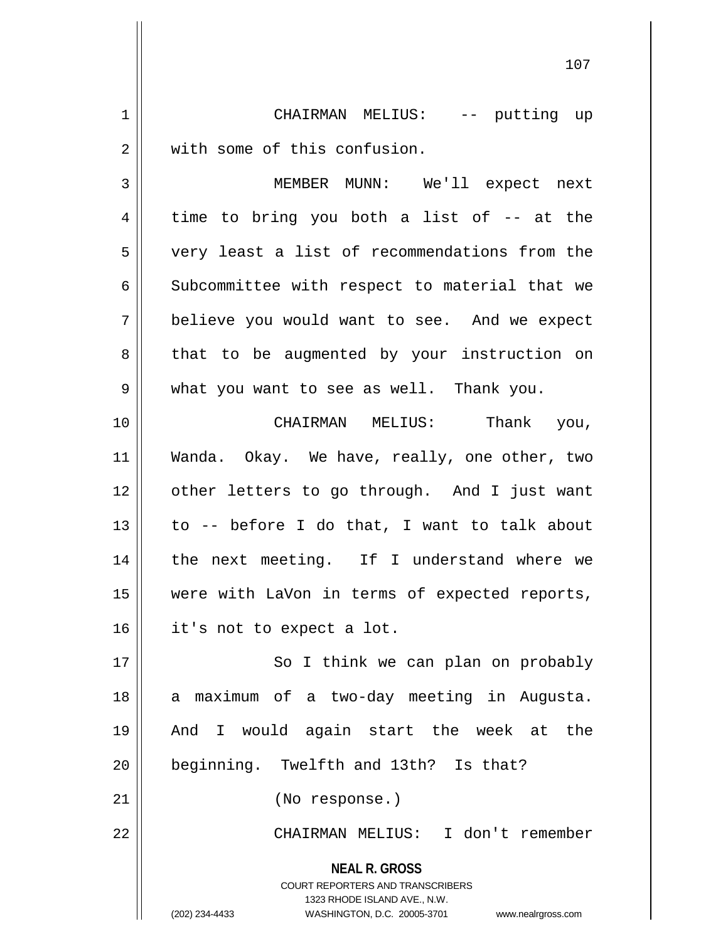1 CHAIRMAN MELIUS: -- putting up 2 || with some of this confusion. 3 MEMBER MUNN: We'll expect next  $4 \parallel$  time to bring you both a list of  $-$  at the 5 very least a list of recommendations from the 6 Subcommittee with respect to material that we 7 believe you would want to see. And we expect 8 || that to be augmented by your instruction on 9 what you want to see as well. Thank you. 10 CHAIRMAN MELIUS: Thank you, 11 Wanda. Okay. We have, really, one other, two 12 || other letters to go through. And I just want

 $13$  || to -- before I do that, I want to talk about 14 || the next meeting. If I understand where we 15 were with LaVon in terms of expected reports, 16 | it's not to expect a lot.

17 || So I think we can plan on probably 18 || a maximum of a two-day meeting in Augusta. 19 And I would again start the week at the 20 | beginning. Twelfth and 13th? Is that?

21 (No response.)

22 CHAIRMAN MELIUS: I don't remember

**NEAL R. GROSS** COURT REPORTERS AND TRANSCRIBERS 1323 RHODE ISLAND AVE., N.W. (202) 234-4433 WASHINGTON, D.C. 20005-3701 www.nealrgross.com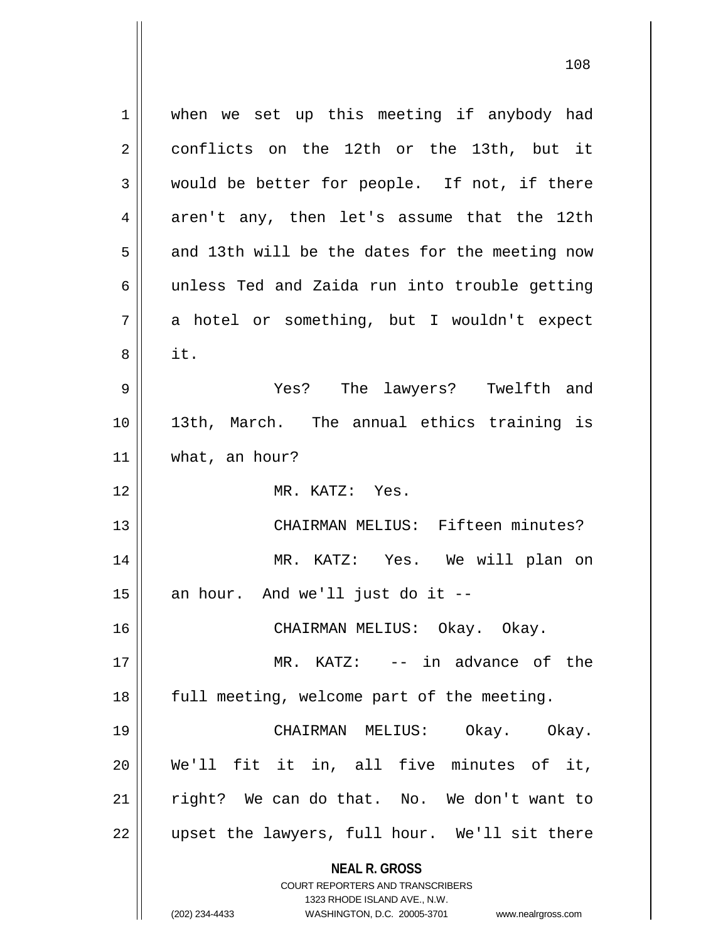**NEAL R. GROSS** COURT REPORTERS AND TRANSCRIBERS 1323 RHODE ISLAND AVE., N.W. 1 || when we set up this meeting if anybody had 2 || conflicts on the 12th or the 13th, but it  $3 \parallel$  would be better for people. If not, if there  $4 \parallel$  aren't any, then let's assume that the 12th  $5 \parallel$  and 13th will be the dates for the meeting now  $6 \parallel$  unless Ted and Zaida run into trouble getting  $7 \parallel$  a hotel or something, but I wouldn't expect  $8 \parallel$  it. 9 Yes? The lawyers? Twelfth and 10 13th, March. The annual ethics training is 11 what, an hour? 12 MR. KATZ: Yes. 13 CHAIRMAN MELIUS: Fifteen minutes? 14 MR. KATZ: Yes. We will plan on  $15$  | an hour. And we'll just do it --16 CHAIRMAN MELIUS: Okay. Okay. 17 || MR. KATZ: -- in advance of the 18 || full meeting, welcome part of the meeting. 19 CHAIRMAN MELIUS: Okay. Okay. 20 We'll fit it in, all five minutes of it, 21 || right? We can do that. No. We don't want to 22 || upset the lawyers, full hour. We'll sit there

<sup>(202) 234-4433</sup> WASHINGTON, D.C. 20005-3701 www.nealrgross.com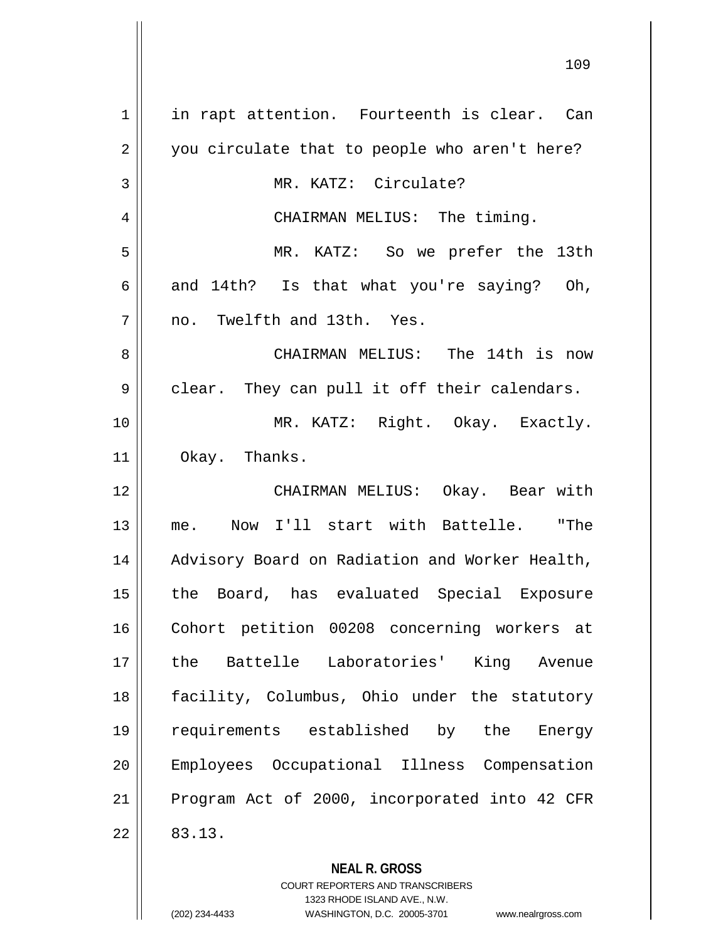1 || in rapt attention. Fourteenth is clear. Can 2 || you circulate that to people who aren't here? 3 || MR. KATZ: Circulate? 4 || CHAIRMAN MELIUS: The timing. 5 MR. KATZ: So we prefer the 13th 6 and 14th? Is that what you're saying? Oh,  $7 \parallel$  no. Twelfth and 13th. Yes. 8 CHAIRMAN MELIUS: The 14th is now  $9 \parallel$  clear. They can pull it off their calendars. 10 MR. KATZ: Right. Okay. Exactly. 11 Okay. Thanks. 12 CHAIRMAN MELIUS: Okay. Bear with 13 me. Now I'll start with Battelle. "The 14 || Advisory Board on Radiation and Worker Health, 15 || the Board, has evaluated Special Exposure 16 Cohort petition 00208 concerning workers at 17 the Battelle Laboratories' King Avenue 18 facility, Columbus, Ohio under the statutory 19 requirements established by the Energy 20 Employees Occupational Illness Compensation 21 || Program Act of 2000, incorporated into 42 CFR  $22 \parallel 83.13.$ 

> COURT REPORTERS AND TRANSCRIBERS 1323 RHODE ISLAND AVE., N.W. (202) 234-4433 WASHINGTON, D.C. 20005-3701 www.nealrgross.com

**NEAL R. GROSS**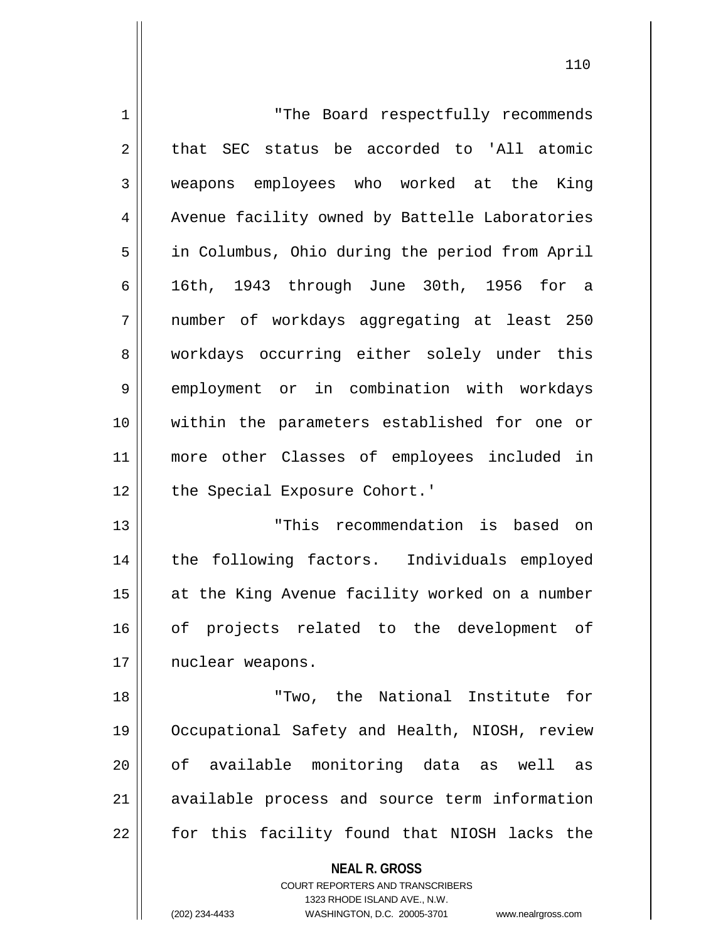| $\mathbf 1$ | "The Board respectfully recommends                                                                                                                                     |
|-------------|------------------------------------------------------------------------------------------------------------------------------------------------------------------------|
| 2           | that SEC status be accorded to 'All atomic                                                                                                                             |
| 3           | weapons employees who worked at the<br>King                                                                                                                            |
| 4           | Avenue facility owned by Battelle Laboratories                                                                                                                         |
| 5           | in Columbus, Ohio during the period from April                                                                                                                         |
| 6           | 16th, 1943 through June 30th, 1956 for a                                                                                                                               |
| 7           | number of workdays aggregating at least 250                                                                                                                            |
| 8           | workdays occurring either solely under this                                                                                                                            |
| 9           | employment or in combination with workdays                                                                                                                             |
| 10          | within the parameters established for one or                                                                                                                           |
| 11          | more other Classes of employees included in                                                                                                                            |
| 12          | the Special Exposure Cohort.'                                                                                                                                          |
| 13          | "This recommendation is based on                                                                                                                                       |
| 14          | the following factors. Individuals employed                                                                                                                            |
| 15          | at the King Avenue facility worked on a number                                                                                                                         |
| 16          | of projects related to the development of                                                                                                                              |
| 17          | nuclear weapons.                                                                                                                                                       |
| 18          | "Two, the National Institute for                                                                                                                                       |
| 19          | Occupational Safety and Health, NIOSH, review                                                                                                                          |
| 20          | of available monitoring data as well<br>as                                                                                                                             |
| 21          | available process and source term information                                                                                                                          |
| 22          | for this facility found that NIOSH lacks the                                                                                                                           |
|             | <b>NEAL R. GROSS</b><br><b>COURT REPORTERS AND TRANSCRIBERS</b><br>1323 RHODE ISLAND AVE., N.W.<br>(202) 234-4433<br>WASHINGTON, D.C. 20005-3701<br>www.nealrgross.com |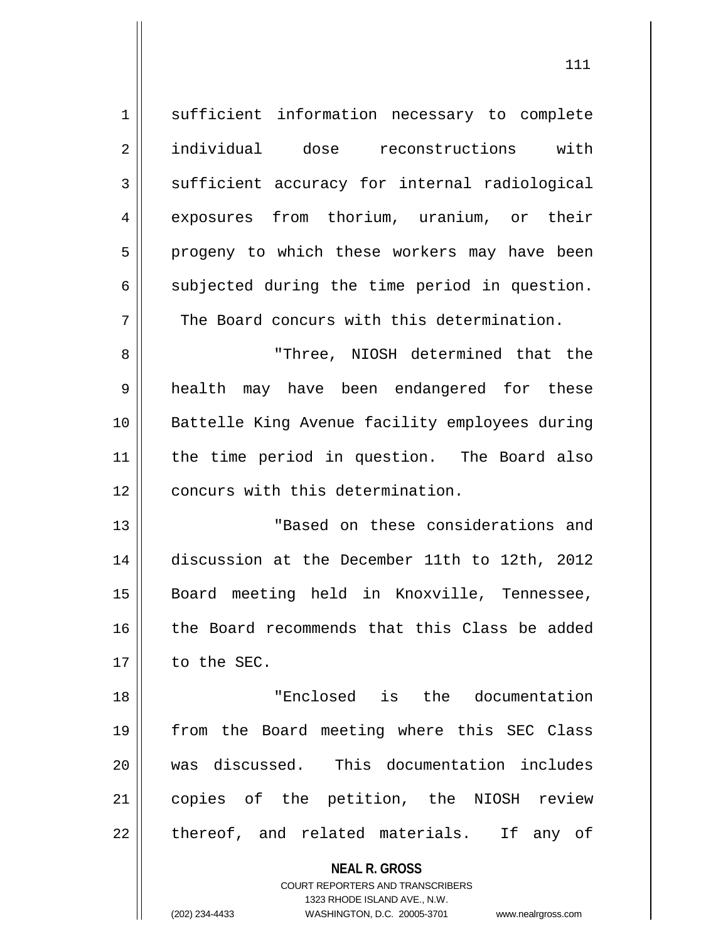| $\mathbf 1$    | sufficient information necessary to complete   |
|----------------|------------------------------------------------|
| $\overline{2}$ | individual dose reconstructions with           |
| 3              | sufficient accuracy for internal radiological  |
| 4              | exposures from thorium, uranium, or their      |
| 5              | progeny to which these workers may have been   |
| 6              | subjected during the time period in question.  |
| 7              | The Board concurs with this determination.     |
| 8              | "Three, NIOSH determined that the              |
| $\mathsf 9$    | health may have been endangered for these      |
| 10             | Battelle King Avenue facility employees during |
| 11             | the time period in question. The Board also    |
| 12             | concurs with this determination.               |
| 13             | "Based on these considerations and             |
| 14             | discussion at the December 11th to 12th, 2012  |
| 15             | Board meeting held in Knoxville, Tennessee,    |
| 16             | the Board recommends that this Class be added  |
| 17             | to the SEC.                                    |
| 18             | "Enclosed is the documentation                 |
| 19             | from the Board meeting where this SEC Class    |
| 20             | was discussed. This documentation includes     |
| 21             | copies of the petition, the NIOSH review       |
| 22             | thereof, and related materials. If any of      |
|                | <b>NEAL R. GROSS</b>                           |

COURT REPORTERS AND TRANSCRIBERS 1323 RHODE ISLAND AVE., N.W.

 $\mathsf{II}$ 

(202) 234-4433 WASHINGTON, D.C. 20005-3701 www.nealrgross.com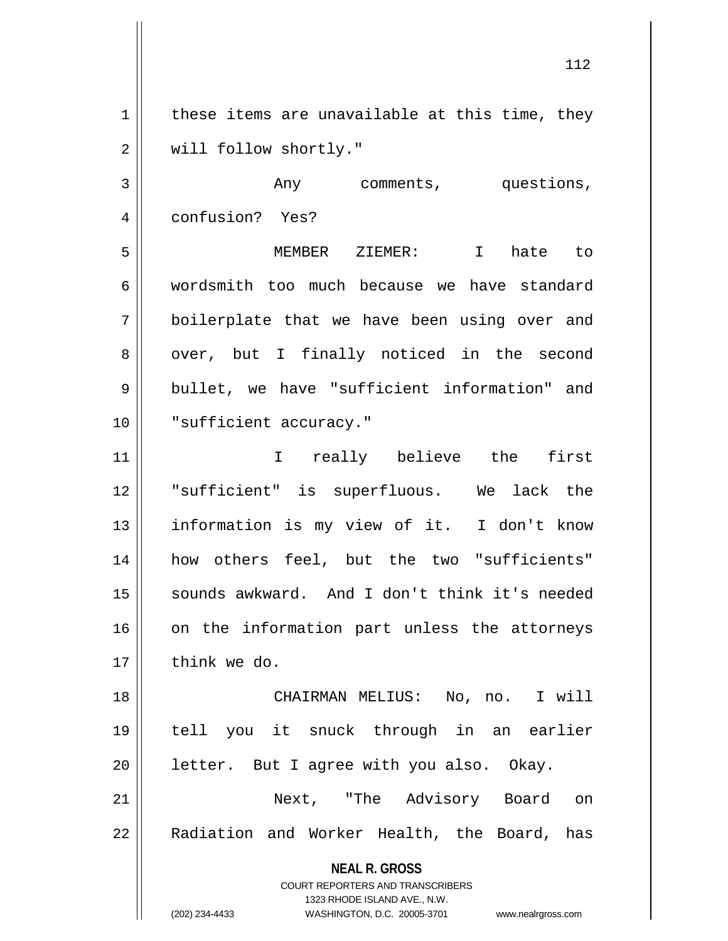$1 \parallel$  these items are unavailable at this time, they 2 | will follow shortly."

3 Any comments, questions, 4 | confusion? Yes? 5 MEMBER ZIEMER: I hate to 6 wordsmith too much because we have standard 7 boilerplate that we have been using over and 8 || over, but I finally noticed in the second

9 || bullet, we have "sufficient information" and 10 || "sufficient accuracy."

11 || The interview in the first the first in the set of the set of the set of the set of the set of the set o 12 || "sufficient" is superfluous. We lack the 13 || information is my view of it. I don't know 14 how others feel, but the two "sufficients" 15 || sounds awkward. And I don't think it's needed  $16$  on the information part unless the attorneys  $17$   $\parallel$  think we do.

 CHAIRMAN MELIUS: No, no. I will tell you it snuck through in an earlier | letter. But I agree with you also. Okay. Next, "The Advisory Board on 22 || Radiation and Worker Health, the Board, has

**NEAL R. GROSS**

COURT REPORTERS AND TRANSCRIBERS 1323 RHODE ISLAND AVE., N.W. (202) 234-4433 WASHINGTON, D.C. 20005-3701 www.nealrgross.com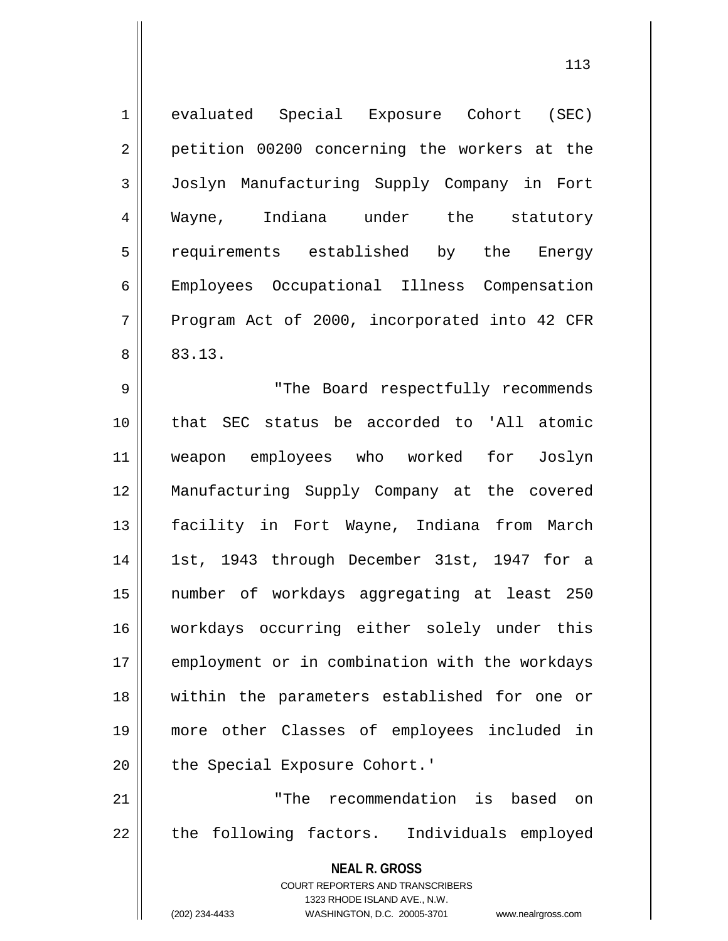| $\mathbf 1$    | evaluated Special Exposure Cohort (SEC)                                                             |
|----------------|-----------------------------------------------------------------------------------------------------|
| $\overline{2}$ | petition 00200 concerning the workers at the                                                        |
| $\mathfrak{Z}$ | Joslyn Manufacturing Supply Company in Fort                                                         |
| 4              | Wayne, Indiana under the statutory                                                                  |
| 5              | requirements established by the Energy                                                              |
| $\epsilon$     | Employees Occupational Illness Compensation                                                         |
| 7              | Program Act of 2000, incorporated into 42 CFR                                                       |
| 8              | 83.13.                                                                                              |
| 9              | "The Board respectfully recommends                                                                  |
| 10             | that SEC status be accorded to 'All atomic                                                          |
| 11             | weapon employees who worked for Joslyn                                                              |
| 12             | Manufacturing Supply Company at the covered                                                         |
| 13             | facility in Fort Wayne, Indiana from March                                                          |
| 14             | 1st, 1943 through December 31st, 1947 for a                                                         |
| 15             | number of workdays aggregating at least 250                                                         |
| 16             | workdays occurring either solely under this                                                         |
| 17             | employment or in combination with the workdays                                                      |
| 18             | within the parameters established for one or                                                        |
| 19             | more other Classes of employees included in                                                         |
| 20             | the Special Exposure Cohort.'                                                                       |
| 21             | "The recommendation is<br>based<br>on                                                               |
| 22             | the following factors. Individuals employed                                                         |
|                | <b>NEAL R. GROSS</b>                                                                                |
|                | <b>COURT REPORTERS AND TRANSCRIBERS</b>                                                             |
|                | 1323 RHODE ISLAND AVE., N.W.<br>(202) 234-4433<br>WASHINGTON, D.C. 20005-3701<br>www.nealrgross.com |
|                |                                                                                                     |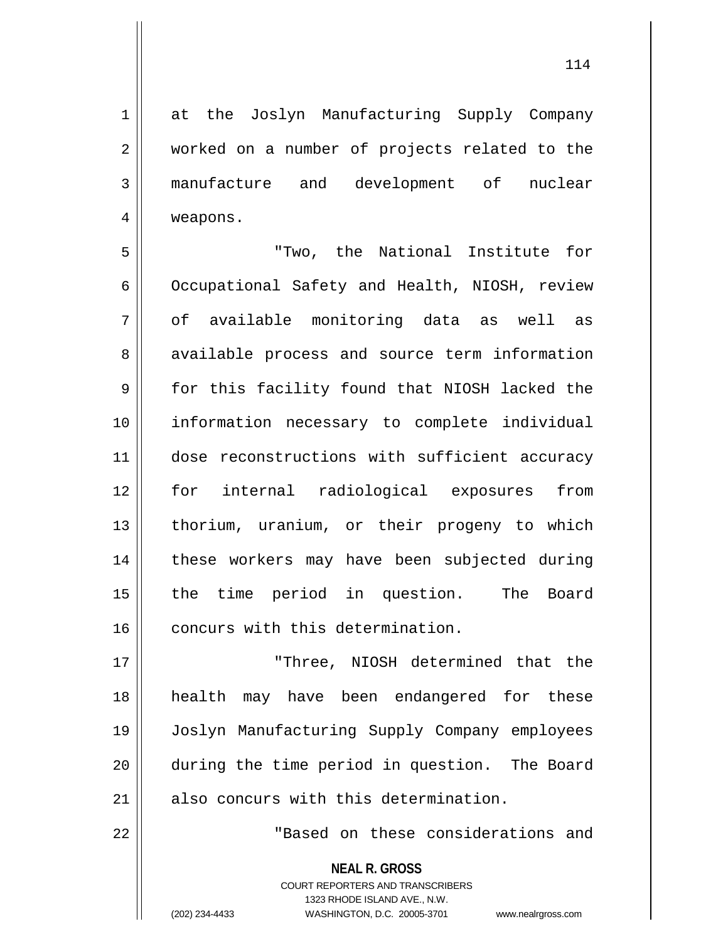1 at the Joslyn Manufacturing Supply Company 2 worked on a number of projects related to the 3 manufacture and development of nuclear 4 weapons.

5 "Two, the National Institute for 6 | Occupational Safety and Health, NIOSH, review 7 of available monitoring data as well as 8 available process and source term information 9 for this facility found that NIOSH lacked the 10 information necessary to complete individual 11 || dose reconstructions with sufficient accuracy 12 for internal radiological exposures from 13 || thorium, uranium, or their progeny to which 14 these workers may have been subjected during 15 || the time period in question. The Board 16 concurs with this determination.

 "Three, NIOSH determined that the health may have been endangered for these Joslyn Manufacturing Supply Company employees during the time period in question. The Board 21 || also concurs with this determination.

22 "Based on these considerations and

**NEAL R. GROSS** COURT REPORTERS AND TRANSCRIBERS 1323 RHODE ISLAND AVE., N.W. (202) 234-4433 WASHINGTON, D.C. 20005-3701 www.nealrgross.com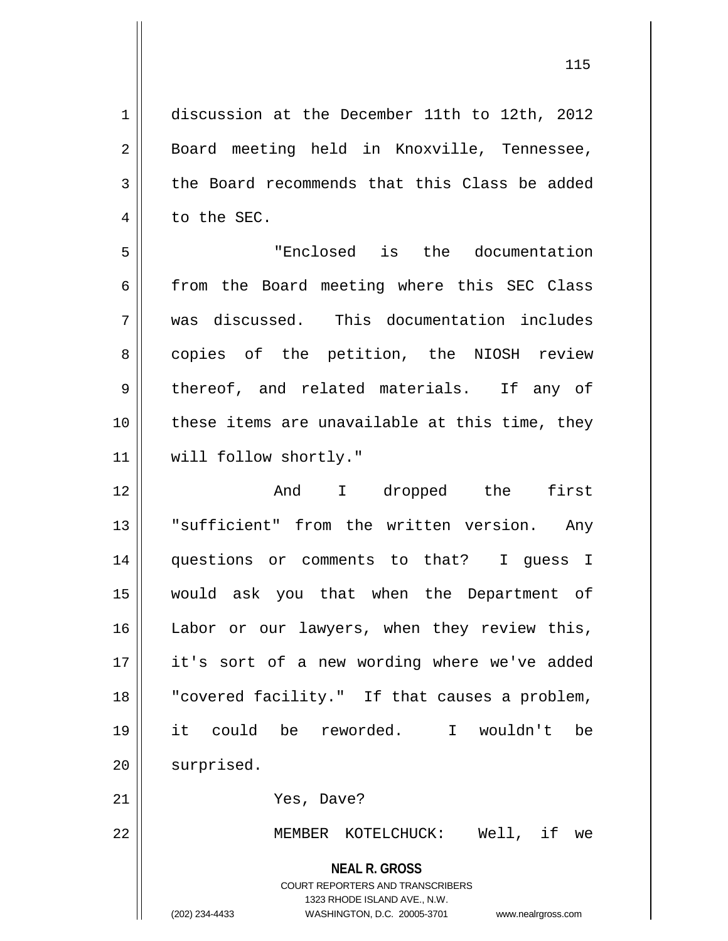1 discussion at the December 11th to 12th, 2012 2 || Board meeting held in Knoxville, Tennessee,  $3 \parallel$  the Board recommends that this Class be added  $4 \parallel$  to the SEC.

5 "Enclosed is the documentation  $6$  from the Board meeting where this SEC Class 7 was discussed. This documentation includes 8 || copies of the petition, the NIOSH review 9 || thereof, and related materials. If any of 10 || these items are unavailable at this time, they 11 | will follow shortly."

12 || The And I dropped the first 13 "sufficient" from the written version. Any 14 || questions or comments to that? I guess I 15 would ask you that when the Department of 16 || Labor or our lawyers, when they review this, 17 it's sort of a new wording where we've added 18 || "covered facility." If that causes a problem, 19 it could be reworded. I wouldn't be 20 | surprised. 21 | Yes, Dave?

22 MEMBER KOTELCHUCK: Well, if we

**NEAL R. GROSS**

COURT REPORTERS AND TRANSCRIBERS 1323 RHODE ISLAND AVE., N.W. (202) 234-4433 WASHINGTON, D.C. 20005-3701 www.nealrgross.com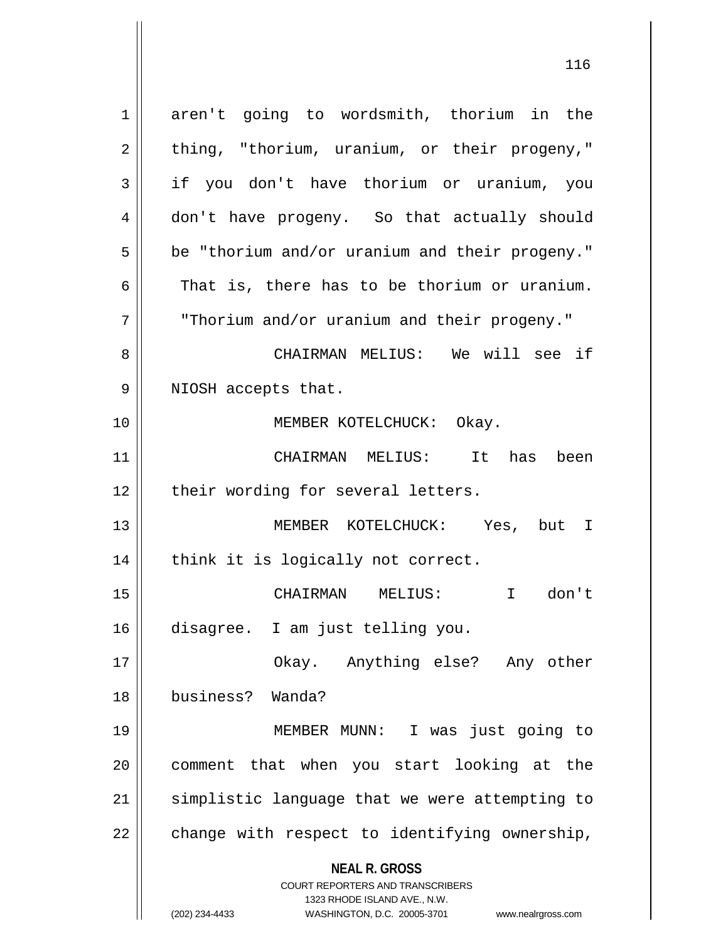**NEAL R. GROSS** COURT REPORTERS AND TRANSCRIBERS 1323 RHODE ISLAND AVE., N.W. 1 aren't going to wordsmith, thorium in the  $2 \parallel$  thing, "thorium, uranium, or their progeny," 3 if you don't have thorium or uranium, you 4 don't have progeny. So that actually should  $5 \parallel$  be "thorium and/or uranium and their progeny." 6 That is, there has to be thorium or uranium. 7 "Thorium and/or uranium and their progeny." 8 CHAIRMAN MELIUS: We will see if 9 || NIOSH accepts that. 10 || **MEMBER KOTELCHUCK:** Okay. 11 CHAIRMAN MELIUS: It has been  $12$  | their wording for several letters. 13 MEMBER KOTELCHUCK: Yes, but I  $14$  | think it is logically not correct. 15 CHAIRMAN MELIUS: I don't 16 disagree. I am just telling you. 17 Okay. Anything else? Any other 18 business? Wanda? 19 MEMBER MUNN: I was just going to 20 comment that when you start looking at the 21 || simplistic language that we were attempting to  $22$  | change with respect to identifying ownership,

(202) 234-4433 WASHINGTON, D.C. 20005-3701 www.nealrgross.com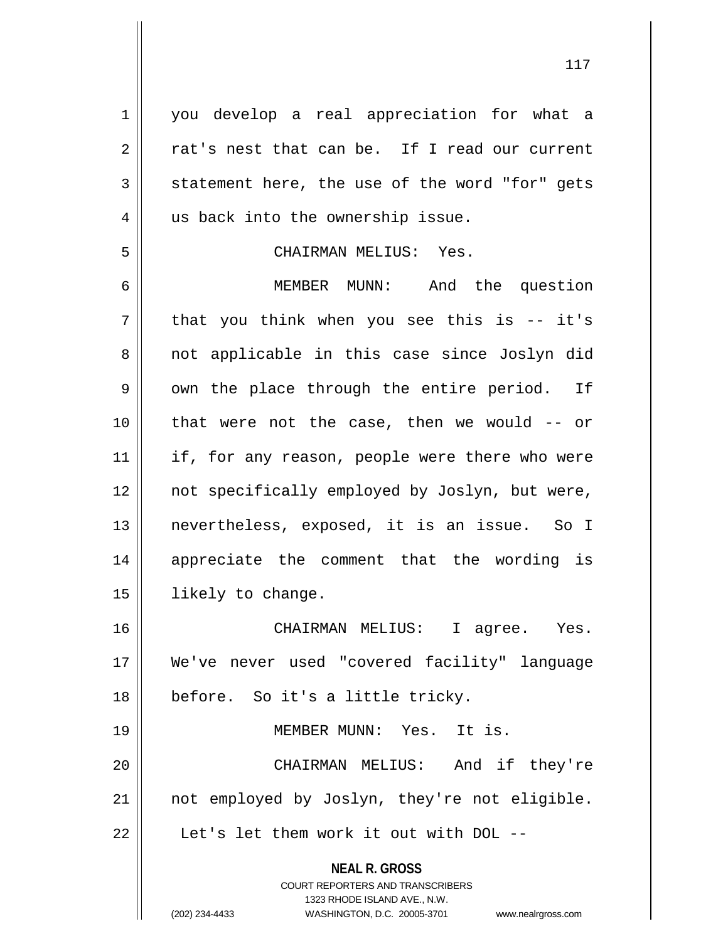1 || you develop a real appreciation for what a  $2 \parallel$  rat's nest that can be. If I read our current  $3 \parallel$  statement here, the use of the word "for" gets 4 || us back into the ownership issue. 5 CHAIRMAN MELIUS: Yes. 6 MEMBER MUNN: And the question  $7 \parallel$  that you think when you see this is -- it's 8 || not applicable in this case since Joslyn did 9 || own the place through the entire period. If 10 that were not the case, then we would -- or 11 || if, for any reason, people were there who were 12 || not specifically employed by Joslyn, but were, 13 nevertheless, exposed, it is an issue. So I 14 || appreciate the comment that the wording is 15 | likely to change. 16 CHAIRMAN MELIUS: I agree. Yes. 17 We've never used "covered facility" language 18 || before. So it's a little tricky. 19 MEMBER MUNN: Yes. It is. 20 CHAIRMAN MELIUS: And if they're 21 || not employed by Joslyn, they're not eligible.

22 || Let's let them work it out with DOL --

**NEAL R. GROSS** COURT REPORTERS AND TRANSCRIBERS

1323 RHODE ISLAND AVE., N.W.

(202) 234-4433 WASHINGTON, D.C. 20005-3701 www.nealrgross.com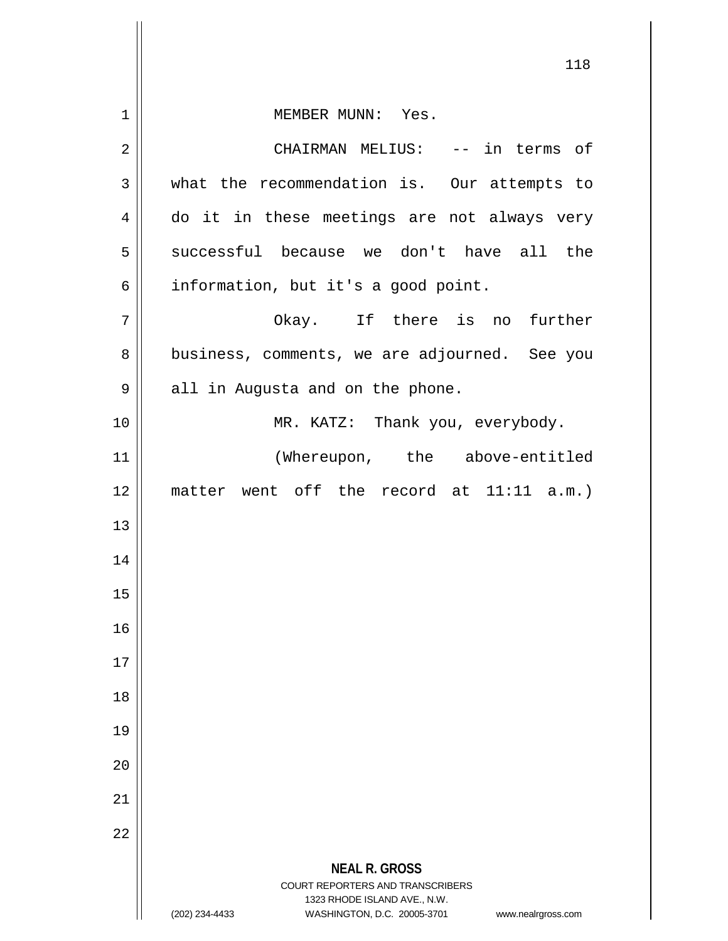|             | 118                                                                                                 |
|-------------|-----------------------------------------------------------------------------------------------------|
| $\mathbf 1$ | MEMBER MUNN: Yes.                                                                                   |
| 2           | CHAIRMAN MELIUS: -- in terms of                                                                     |
| 3           | what the recommendation is. Our attempts to                                                         |
| 4           | do it in these meetings are not always very                                                         |
| 5           | successful because we don't have all the                                                            |
| 6           | information, but it's a good point.                                                                 |
| 7           | Okay. If there is no further                                                                        |
| 8           | business, comments, we are adjourned. See you                                                       |
| 9           | all in Augusta and on the phone.                                                                    |
| 10          | MR. KATZ: Thank you, everybody.                                                                     |
| 11          | (Whereupon, the above-entitled                                                                      |
| 12          | matter went off the record at 11:11 a.m.)                                                           |
| 13          |                                                                                                     |
| 14          |                                                                                                     |
| 15          |                                                                                                     |
| 16          |                                                                                                     |
| 17          |                                                                                                     |
| 18          |                                                                                                     |
| 19          |                                                                                                     |
| 20          |                                                                                                     |
| 21          |                                                                                                     |
| 22          |                                                                                                     |
|             | <b>NEAL R. GROSS</b><br><b>COURT REPORTERS AND TRANSCRIBERS</b>                                     |
|             | 1323 RHODE ISLAND AVE., N.W.<br>(202) 234-4433<br>WASHINGTON, D.C. 20005-3701<br>www.nealrgross.com |